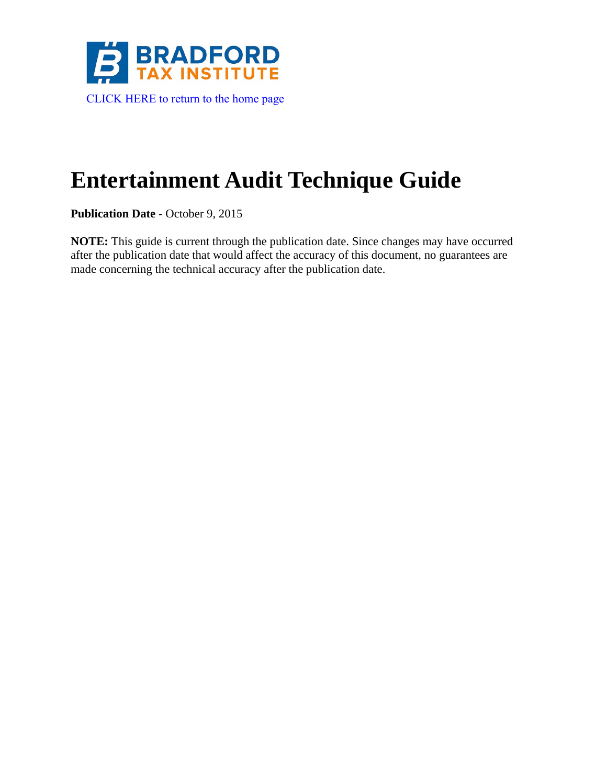<span id="page-0-0"></span>

# **Entertainment Audit Technique Guide**

**Publication Date** - October 9, 2015

**NOTE:** This guide is current through the publication date. Since changes may have occurred after the publication date that would affect the accuracy of this document, no guarantees are made concerning the technical accuracy after the publication date.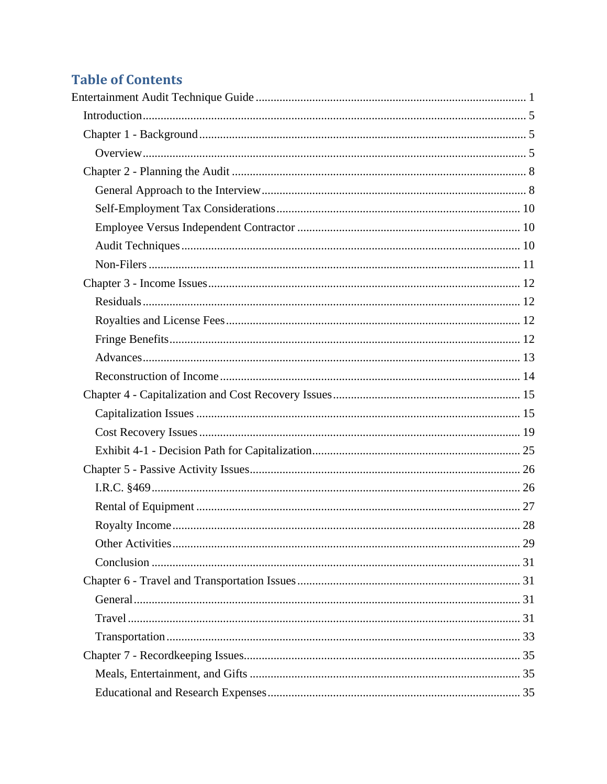## **Table of Contents**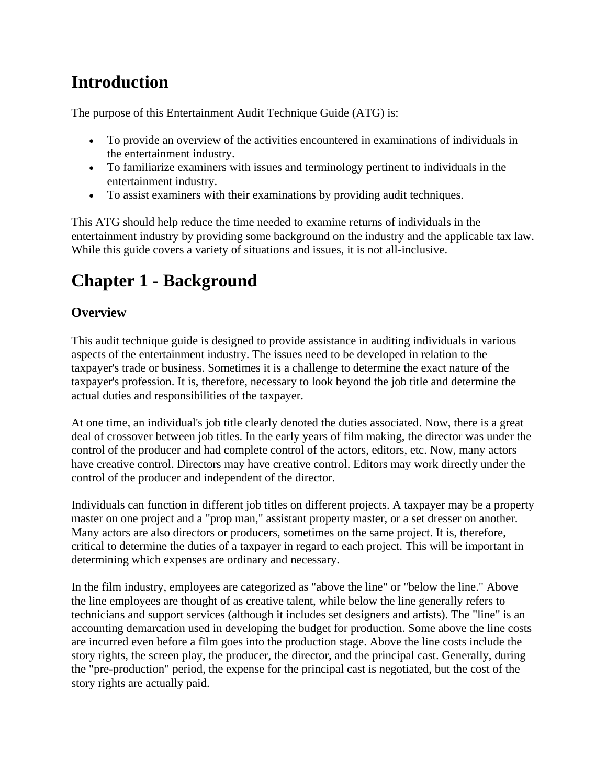## <span id="page-4-0"></span>**Introduction**

The purpose of this Entertainment Audit Technique Guide (ATG) is:

- To provide an overview of the activities encountered in examinations of individuals in the entertainment industry.
- To familiarize examiners with issues and terminology pertinent to individuals in the entertainment industry.
- To assist examiners with their examinations by providing audit techniques.

This ATG should help reduce the time needed to examine returns of individuals in the entertainment industry by providing some background on the industry and the applicable tax law. While this guide covers a variety of situations and issues, it is not all-inclusive.

## <span id="page-4-1"></span>**Chapter 1 - Background**

## <span id="page-4-2"></span>**Overview**

This audit technique guide is designed to provide assistance in auditing individuals in various aspects of the entertainment industry. The issues need to be developed in relation to the taxpayer's trade or business. Sometimes it is a challenge to determine the exact nature of the taxpayer's profession. It is, therefore, necessary to look beyond the job title and determine the actual duties and responsibilities of the taxpayer.

At one time, an individual's job title clearly denoted the duties associated. Now, there is a great deal of crossover between job titles. In the early years of film making, the director was under the control of the producer and had complete control of the actors, editors, etc. Now, many actors have creative control. Directors may have creative control. Editors may work directly under the control of the producer and independent of the director.

Individuals can function in different job titles on different projects. A taxpayer may be a property master on one project and a "prop man," assistant property master, or a set dresser on another. Many actors are also directors or producers, sometimes on the same project. It is, therefore, critical to determine the duties of a taxpayer in regard to each project. This will be important in determining which expenses are ordinary and necessary.

In the film industry, employees are categorized as "above the line" or "below the line." Above the line employees are thought of as creative talent, while below the line generally refers to technicians and support services (although it includes set designers and artists). The "line" is an accounting demarcation used in developing the budget for production. Some above the line costs are incurred even before a film goes into the production stage. Above the line costs include the story rights, the screen play, the producer, the director, and the principal cast. Generally, during the "pre-production" period, the expense for the principal cast is negotiated, but the cost of the story rights are actually paid.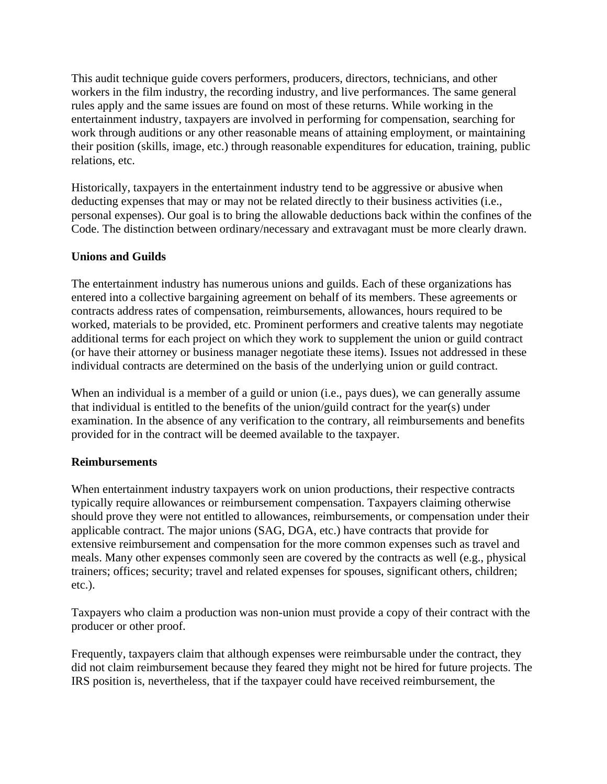This audit technique guide covers performers, producers, directors, technicians, and other workers in the film industry, the recording industry, and live performances. The same general rules apply and the same issues are found on most of these returns. While working in the entertainment industry, taxpayers are involved in performing for compensation, searching for work through auditions or any other reasonable means of attaining employment, or maintaining their position (skills, image, etc.) through reasonable expenditures for education, training, public relations, etc.

Historically, taxpayers in the entertainment industry tend to be aggressive or abusive when deducting expenses that may or may not be related directly to their business activities (i.e., personal expenses). Our goal is to bring the allowable deductions back within the confines of the Code. The distinction between ordinary/necessary and extravagant must be more clearly drawn.

### **Unions and Guilds**

The entertainment industry has numerous unions and guilds. Each of these organizations has entered into a collective bargaining agreement on behalf of its members. These agreements or contracts address rates of compensation, reimbursements, allowances, hours required to be worked, materials to be provided, etc. Prominent performers and creative talents may negotiate additional terms for each project on which they work to supplement the union or guild contract (or have their attorney or business manager negotiate these items). Issues not addressed in these individual contracts are determined on the basis of the underlying union or guild contract.

When an individual is a member of a guild or union (i.e., pays dues), we can generally assume that individual is entitled to the benefits of the union/guild contract for the year(s) under examination. In the absence of any verification to the contrary, all reimbursements and benefits provided for in the contract will be deemed available to the taxpayer.

#### **Reimbursements**

When entertainment industry taxpayers work on union productions, their respective contracts typically require allowances or reimbursement compensation. Taxpayers claiming otherwise should prove they were not entitled to allowances, reimbursements, or compensation under their applicable contract. The major unions (SAG, DGA, etc.) have contracts that provide for extensive reimbursement and compensation for the more common expenses such as travel and meals. Many other expenses commonly seen are covered by the contracts as well (e.g., physical trainers; offices; security; travel and related expenses for spouses, significant others, children; etc.).

Taxpayers who claim a production was non-union must provide a copy of their contract with the producer or other proof.

Frequently, taxpayers claim that although expenses were reimbursable under the contract, they did not claim reimbursement because they feared they might not be hired for future projects. The IRS position is, nevertheless, that if the taxpayer could have received reimbursement, the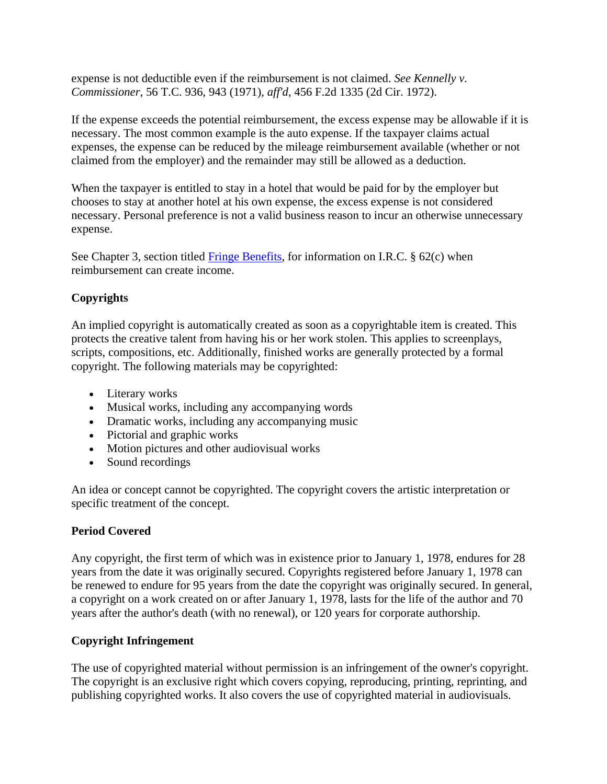expense is not deductible even if the reimbursement is not claimed. *See Kennelly v. Commissioner*, 56 T.C. 936, 943 (1971), *aff'd*, 456 F.2d 1335 (2d Cir. 1972).

If the expense exceeds the potential reimbursement, the excess expense may be allowable if it is necessary. The most common example is the auto expense. If the taxpayer claims actual expenses, the expense can be reduced by the mileage reimbursement available (whether or not claimed from the employer) and the remainder may still be allowed as a deduction.

When the taxpayer is entitled to stay in a hotel that would be paid for by the employer but chooses to stay at another hotel at his own expense, the excess expense is not considered necessary. Personal preference is not a valid business reason to incur an otherwise unnecessary expense.

See Chapter 3, section titled  $\overline{\text{Fringe Benefits}}$ , for information on I.R.C. § 62(c) when reimbursement can create income.

## **Copyrights**

An implied copyright is automatically created as soon as a copyrightable item is created. This protects the creative talent from having his or her work stolen. This applies to screenplays, scripts, compositions, etc. Additionally, finished works are generally protected by a formal copyright. The following materials may be copyrighted:

- Literary works
- Musical works, including any accompanying words
- Dramatic works, including any accompanying music
- Pictorial and graphic works
- Motion pictures and other audiovisual works
- Sound recordings

An idea or concept cannot be copyrighted. The copyright covers the artistic interpretation or specific treatment of the concept.

## **Period Covered**

Any copyright, the first term of which was in existence prior to January 1, 1978, endures for 28 years from the date it was originally secured. Copyrights registered before January 1, 1978 can be renewed to endure for 95 years from the date the copyright was originally secured. In general, a copyright on a work created on or after January 1, 1978, lasts for the life of the author and 70 years after the author's death (with no renewal), or 120 years for corporate authorship.

## **Copyright Infringement**

The use of copyrighted material without permission is an infringement of the owner's copyright. The copyright is an exclusive right which covers copying, reproducing, printing, reprinting, and publishing copyrighted works. It also covers the use of copyrighted material in audiovisuals.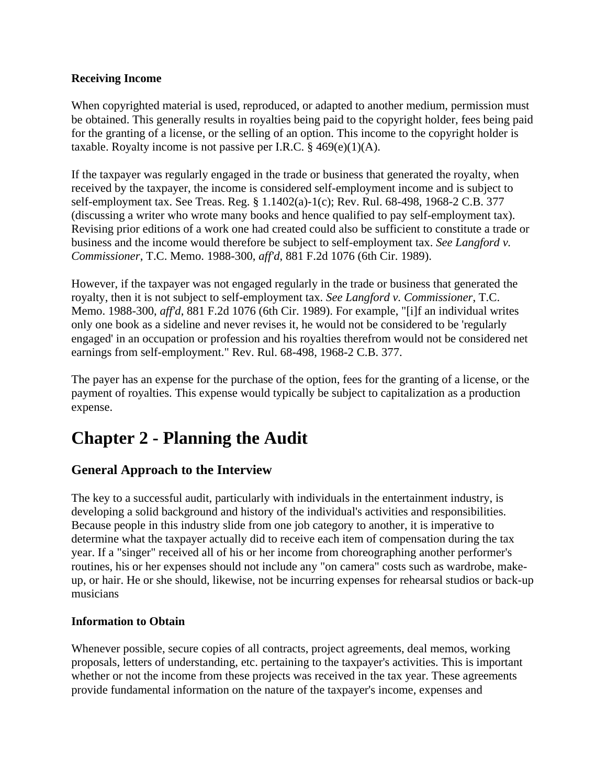#### **Receiving Income**

When copyrighted material is used, reproduced, or adapted to another medium, permission must be obtained. This generally results in royalties being paid to the copyright holder, fees being paid for the granting of a license, or the selling of an option. This income to the copyright holder is taxable. Royalty income is not passive per I.R.C.  $\S$  469(e)(1)(A).

If the taxpayer was regularly engaged in the trade or business that generated the royalty, when received by the taxpayer, the income is considered self-employment income and is subject to self-employment tax. See Treas. Reg. § 1.1402(a)-1(c); Rev. Rul. 68-498, 1968-2 C.B. 377 (discussing a writer who wrote many books and hence qualified to pay self-employment tax). Revising prior editions of a work one had created could also be sufficient to constitute a trade or business and the income would therefore be subject to self-employment tax. *See Langford v. Commissioner*, T.C. Memo. 1988-300, *aff'd*, 881 F.2d 1076 (6th Cir. 1989).

However, if the taxpayer was not engaged regularly in the trade or business that generated the royalty, then it is not subject to self-employment tax. *See Langford v. Commissioner*, T.C. Memo. 1988-300, *aff'd*, 881 F.2d 1076 (6th Cir. 1989). For example, "[i]f an individual writes only one book as a sideline and never revises it, he would not be considered to be 'regularly engaged' in an occupation or profession and his royalties therefrom would not be considered net earnings from self-employment." Rev. Rul. 68-498, 1968-2 C.B. 377.

The payer has an expense for the purchase of the option, fees for the granting of a license, or the payment of royalties. This expense would typically be subject to capitalization as a production expense.

## <span id="page-7-0"></span>**Chapter 2 - Planning the Audit**

## <span id="page-7-1"></span>**General Approach to the Interview**

The key to a successful audit, particularly with individuals in the entertainment industry, is developing a solid background and history of the individual's activities and responsibilities. Because people in this industry slide from one job category to another, it is imperative to determine what the taxpayer actually did to receive each item of compensation during the tax year. If a "singer" received all of his or her income from choreographing another performer's routines, his or her expenses should not include any "on camera" costs such as wardrobe, makeup, or hair. He or she should, likewise, not be incurring expenses for rehearsal studios or back-up musicians

### **Information to Obtain**

Whenever possible, secure copies of all contracts, project agreements, deal memos, working proposals, letters of understanding, etc. pertaining to the taxpayer's activities. This is important whether or not the income from these projects was received in the tax year. These agreements provide fundamental information on the nature of the taxpayer's income, expenses and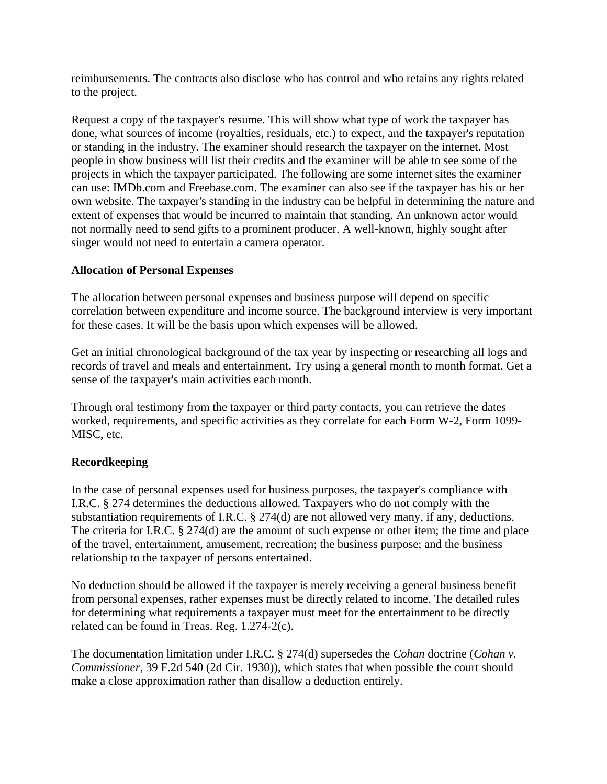reimbursements. The contracts also disclose who has control and who retains any rights related to the project.

Request a copy of the taxpayer's resume. This will show what type of work the taxpayer has done, what sources of income (royalties, residuals, etc.) to expect, and the taxpayer's reputation or standing in the industry. The examiner should research the taxpayer on the internet. Most people in show business will list their credits and the examiner will be able to see some of the projects in which the taxpayer participated. The following are some internet sites the examiner can use: IMDb.com and Freebase.com. The examiner can also see if the taxpayer has his or her own website. The taxpayer's standing in the industry can be helpful in determining the nature and extent of expenses that would be incurred to maintain that standing. An unknown actor would not normally need to send gifts to a prominent producer. A well-known, highly sought after singer would not need to entertain a camera operator.

## **Allocation of Personal Expenses**

The allocation between personal expenses and business purpose will depend on specific correlation between expenditure and income source. The background interview is very important for these cases. It will be the basis upon which expenses will be allowed.

Get an initial chronological background of the tax year by inspecting or researching all logs and records of travel and meals and entertainment. Try using a general month to month format. Get a sense of the taxpayer's main activities each month.

Through oral testimony from the taxpayer or third party contacts, you can retrieve the dates worked, requirements, and specific activities as they correlate for each Form W-2, Form 1099- MISC, etc.

## **Recordkeeping**

In the case of personal expenses used for business purposes, the taxpayer's compliance with I.R.C. § 274 determines the deductions allowed. Taxpayers who do not comply with the substantiation requirements of I.R.C. § 274(d) are not allowed very many, if any, deductions. The criteria for I.R.C. § 274(d) are the amount of such expense or other item; the time and place of the travel, entertainment, amusement, recreation; the business purpose; and the business relationship to the taxpayer of persons entertained.

No deduction should be allowed if the taxpayer is merely receiving a general business benefit from personal expenses, rather expenses must be directly related to income. The detailed rules for determining what requirements a taxpayer must meet for the entertainment to be directly related can be found in Treas. Reg. 1.274-2(c).

The documentation limitation under I.R.C. § 274(d) supersedes the *Cohan* doctrine (*Cohan v. Commissioner*, 39 F.2d 540 (2d Cir. 1930)), which states that when possible the court should make a close approximation rather than disallow a deduction entirely.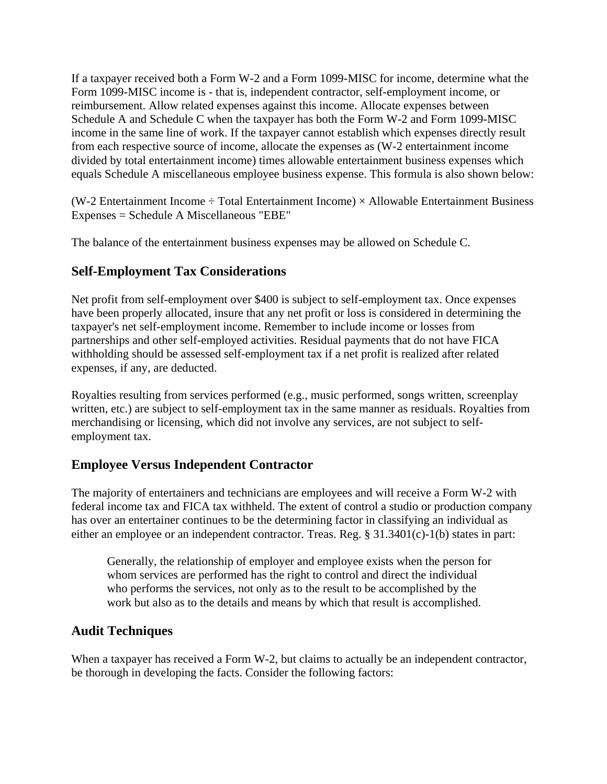If a taxpayer received both a Form W-2 and a Form 1099-MISC for income, determine what the Form 1099-MISC income is - that is, independent contractor, self-employment income, or reimbursement. Allow related expenses against this income. Allocate expenses between Schedule A and Schedule C when the taxpayer has both the Form W-2 and Form 1099-MISC income in the same line of work. If the taxpayer cannot establish which expenses directly result from each respective source of income, allocate the expenses as (W-2 entertainment income divided by total entertainment income) times allowable entertainment business expenses which equals Schedule A miscellaneous employee business expense. This formula is also shown below:

(W-2 Entertainment Income  $\div$  Total Entertainment Income)  $\times$  Allowable Entertainment Business Expenses = Schedule A Miscellaneous "EBE"

The balance of the entertainment business expenses may be allowed on Schedule C.

## <span id="page-9-0"></span>**Self-Employment Tax Considerations**

Net profit from self-employment over \$400 is subject to self-employment tax. Once expenses have been properly allocated, insure that any net profit or loss is considered in determining the taxpayer's net self-employment income. Remember to include income or losses from partnerships and other self-employed activities. Residual payments that do not have FICA withholding should be assessed self-employment tax if a net profit is realized after related expenses, if any, are deducted.

Royalties resulting from services performed (e.g., music performed, songs written, screenplay written, etc.) are subject to self-employment tax in the same manner as residuals. Royalties from merchandising or licensing, which did not involve any services, are not subject to selfemployment tax.

## <span id="page-9-1"></span>**Employee Versus Independent Contractor**

The majority of entertainers and technicians are employees and will receive a Form W-2 with federal income tax and FICA tax withheld. The extent of control a studio or production company has over an entertainer continues to be the determining factor in classifying an individual as either an employee or an independent contractor. Treas. Reg. § 31.3401(c)-1(b) states in part:

Generally, the relationship of employer and employee exists when the person for whom services are performed has the right to control and direct the individual who performs the services, not only as to the result to be accomplished by the work but also as to the details and means by which that result is accomplished.

## <span id="page-9-2"></span>**Audit Techniques**

When a taxpayer has received a Form W-2, but claims to actually be an independent contractor, be thorough in developing the facts. Consider the following factors: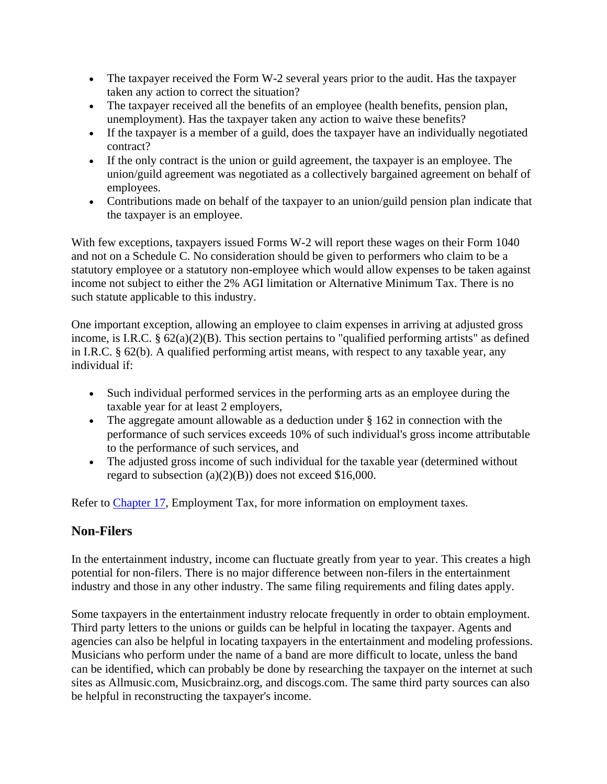- The taxpayer received the Form W-2 several years prior to the audit. Has the taxpayer taken any action to correct the situation?
- The taxpayer received all the benefits of an employee (health benefits, pension plan, unemployment). Has the taxpayer taken any action to waive these benefits?
- If the taxpayer is a member of a guild, does the taxpayer have an individually negotiated contract?
- If the only contract is the union or guild agreement, the taxpayer is an employee. The union/guild agreement was negotiated as a collectively bargained agreement on behalf of employees.
- Contributions made on behalf of the taxpayer to an union/guild pension plan indicate that the taxpayer is an employee.

With few exceptions, taxpayers issued Forms W-2 will report these wages on their Form 1040 and not on a Schedule C. No consideration should be given to performers who claim to be a statutory employee or a statutory non-employee which would allow expenses to be taken against income not subject to either the 2% AGI limitation or Alternative Minimum Tax. There is no such statute applicable to this industry.

One important exception, allowing an employee to claim expenses in arriving at adjusted gross income, is I.R.C. § 62(a)(2)(B). This section pertains to "qualified performing artists" as defined in I.R.C. § 62(b). A qualified performing artist means, with respect to any taxable year, any individual if:

- Such individual performed services in the performing arts as an employee during the taxable year for at least 2 employers,
- The aggregate amount allowable as a deduction under § 162 in connection with the performance of such services exceeds 10% of such individual's gross income attributable to the performance of such services, and
- The adjusted gross income of such individual for the taxable year (determined without regard to subsection  $(a)(2)(B)$  does not exceed \$16,000.

Refer to Chapter 17, Employment Tax, for more information on employment taxes.

## <span id="page-10-0"></span>**Non-Filers**

In the entertainment industry, income can fluctuate greatly from year to year. This creates a high potential for non-filers. There is no major difference between non-filers in the entertainment industry and those in any other industry. The same filing requirements and filing dates apply.

Some taxpayers in the entertainment industry relocate frequently in order to obtain employment. Third party letters to the unions or guilds can be helpful in locating the taxpayer. Agents and agencies can also be helpful in locating taxpayers in the entertainment and modeling professions. Musicians who perform under the name of a band are more difficult to locate, unless the band can be identified, which can probably be done by researching the taxpayer on the internet at such sites as Allmusic.com, Musicbrainz.org, and discogs.com. The same third party sources can also be helpful in reconstructing the taxpayer's income.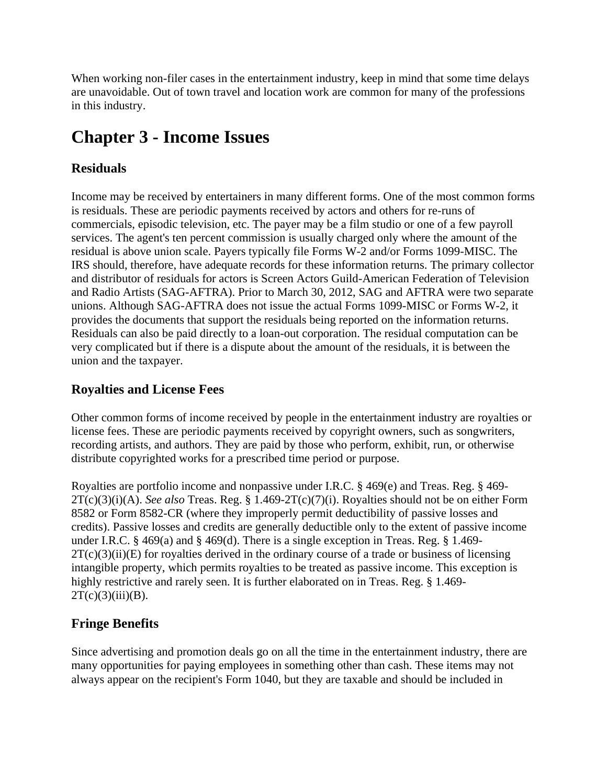When working non-filer cases in the entertainment industry, keep in mind that some time delays are unavoidable. Out of town travel and location work are common for many of the professions in this industry.

## <span id="page-11-0"></span>**Chapter 3 - Income Issues**

## <span id="page-11-1"></span>**Residuals**

Income may be received by entertainers in many different forms. One of the most common forms is residuals. These are periodic payments received by actors and others for re-runs of commercials, episodic television, etc. The payer may be a film studio or one of a few payroll services. The agent's ten percent commission is usually charged only where the amount of the residual is above union scale. Payers typically file Forms W-2 and/or Forms 1099-MISC. The IRS should, therefore, have adequate records for these information returns. The primary collector and distributor of residuals for actors is Screen Actors Guild-American Federation of Television and Radio Artists (SAG-AFTRA). Prior to March 30, 2012, SAG and AFTRA were two separate unions. Although SAG-AFTRA does not issue the actual Forms 1099-MISC or Forms W-2, it provides the documents that support the residuals being reported on the information returns. Residuals can also be paid directly to a loan-out corporation. The residual computation can be very complicated but if there is a dispute about the amount of the residuals, it is between the union and the taxpayer.

## <span id="page-11-2"></span>**Royalties and License Fees**

Other common forms of income received by people in the entertainment industry are royalties or license fees. These are periodic payments received by copyright owners, such as songwriters, recording artists, and authors. They are paid by those who perform, exhibit, run, or otherwise distribute copyrighted works for a prescribed time period or purpose.

Royalties are portfolio income and nonpassive under I.R.C.  $\S$  469(e) and Treas. Reg.  $\S$  469-2T(c)(3)(i)(A). *See also* Treas. Reg. § 1.469-2T(c)(7)(i). Royalties should not be on either Form 8582 or Form 8582-CR (where they improperly permit deductibility of passive losses and credits). Passive losses and credits are generally deductible only to the extent of passive income under I.R.C.  $\S$  469(a) and  $\S$  469(d). There is a single exception in Treas. Reg.  $\S$  1.469- $2T(c)(3)(ii)(E)$  for royalties derived in the ordinary course of a trade or business of licensing intangible property, which permits royalties to be treated as passive income. This exception is highly restrictive and rarely seen. It is further elaborated on in Treas. Reg. § 1.469- $2T(c)(3)(iii)(B).$ 

## <span id="page-11-3"></span>**Fringe Benefits**

Since advertising and promotion deals go on all the time in the entertainment industry, there are many opportunities for paying employees in something other than cash. These items may not always appear on the recipient's Form 1040, but they are taxable and should be included in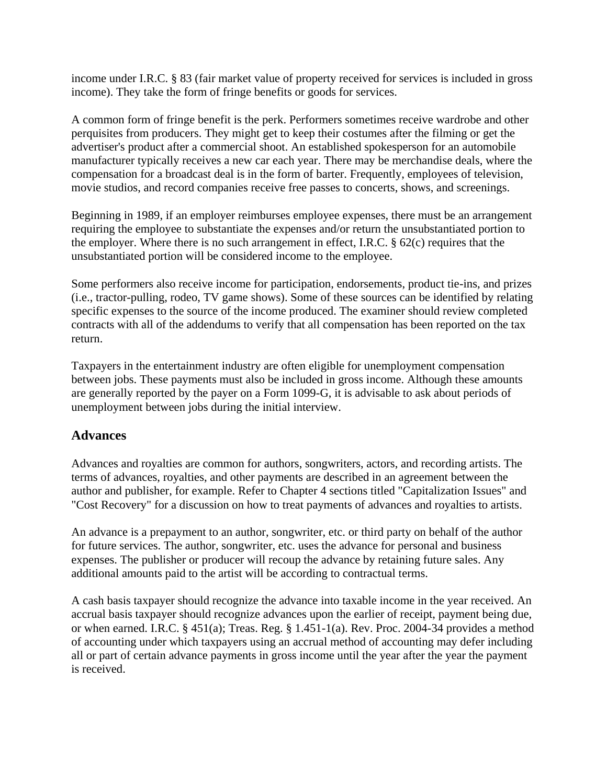income under I.R.C. § 83 (fair market value of property received for services is included in gross income). They take the form of fringe benefits or goods for services.

A common form of fringe benefit is the perk. Performers sometimes receive wardrobe and other perquisites from producers. They might get to keep their costumes after the filming or get the advertiser's product after a commercial shoot. An established spokesperson for an automobile manufacturer typically receives a new car each year. There may be merchandise deals, where the compensation for a broadcast deal is in the form of barter. Frequently, employees of television, movie studios, and record companies receive free passes to concerts, shows, and screenings.

Beginning in 1989, if an employer reimburses employee expenses, there must be an arrangement requiring the employee to substantiate the expenses and/or return the unsubstantiated portion to the employer. Where there is no such arrangement in effect, I.R.C. § 62(c) requires that the unsubstantiated portion will be considered income to the employee.

Some performers also receive income for participation, endorsements, product tie-ins, and prizes (i.e., tractor-pulling, rodeo, TV game shows). Some of these sources can be identified by relating specific expenses to the source of the income produced. The examiner should review completed contracts with all of the addendums to verify that all compensation has been reported on the tax return.

Taxpayers in the entertainment industry are often eligible for unemployment compensation between jobs. These payments must also be included in gross income. Although these amounts are generally reported by the payer on a Form 1099-G, it is advisable to ask about periods of unemployment between jobs during the initial interview.

## <span id="page-12-0"></span>**Advances**

Advances and royalties are common for authors, songwriters, actors, and recording artists. The terms of advances, royalties, and other payments are described in an agreement between the author and publisher, for example. Refer to Chapter 4 sections titled "Capitalization Issues" and "Cost Recovery" for a discussion on how to treat payments of advances and royalties to artists.

An advance is a prepayment to an author, songwriter, etc. or third party on behalf of the author for future services. The author, songwriter, etc. uses the advance for personal and business expenses. The publisher or producer will recoup the advance by retaining future sales. Any additional amounts paid to the artist will be according to contractual terms.

A cash basis taxpayer should recognize the advance into taxable income in the year received. An accrual basis taxpayer should recognize advances upon the earlier of receipt, payment being due, or when earned. I.R.C. § 451(a); Treas. Reg. § 1.451-1(a). Rev. Proc. 2004-34 provides a method of accounting under which taxpayers using an accrual method of accounting may defer including all or part of certain advance payments in gross income until the year after the year the payment is received.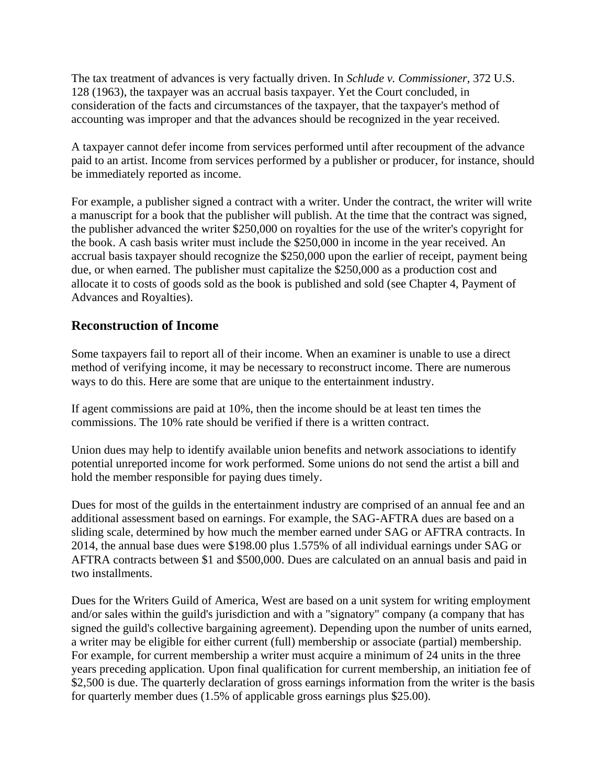The tax treatment of advances is very factually driven. In *Schlude v. Commissioner*, 372 U.S. 128 (1963), the taxpayer was an accrual basis taxpayer. Yet the Court concluded, in consideration of the facts and circumstances of the taxpayer, that the taxpayer's method of accounting was improper and that the advances should be recognized in the year received.

A taxpayer cannot defer income from services performed until after recoupment of the advance paid to an artist. Income from services performed by a publisher or producer, for instance, should be immediately reported as income.

For example, a publisher signed a contract with a writer. Under the contract, the writer will write a manuscript for a book that the publisher will publish. At the time that the contract was signed, the publisher advanced the writer \$250,000 on royalties for the use of the writer's copyright for the book. A cash basis writer must include the \$250,000 in income in the year received. An accrual basis taxpayer should recognize the \$250,000 upon the earlier of receipt, payment being due, or when earned. The publisher must capitalize the \$250,000 as a production cost and allocate it to costs of goods sold as the book is published and sold (see Chapter 4, Payment of Advances and Royalties).

## <span id="page-13-0"></span>**Reconstruction of Income**

Some taxpayers fail to report all of their income. When an examiner is unable to use a direct method of verifying income, it may be necessary to reconstruct income. There are numerous ways to do this. Here are some that are unique to the entertainment industry.

If agent commissions are paid at 10%, then the income should be at least ten times the commissions. The 10% rate should be verified if there is a written contract.

Union dues may help to identify available union benefits and network associations to identify potential unreported income for work performed. Some unions do not send the artist a bill and hold the member responsible for paying dues timely.

Dues for most of the guilds in the entertainment industry are comprised of an annual fee and an additional assessment based on earnings. For example, the SAG-AFTRA dues are based on a sliding scale, determined by how much the member earned under SAG or AFTRA contracts. In 2014, the annual base dues were \$198.00 plus 1.575% of all individual earnings under SAG or AFTRA contracts between \$1 and \$500,000. Dues are calculated on an annual basis and paid in two installments.

Dues for the Writers Guild of America, West are based on a unit system for writing employment and/or sales within the guild's jurisdiction and with a "signatory" company (a company that has signed the guild's collective bargaining agreement). Depending upon the number of units earned, a writer may be eligible for either current (full) membership or associate (partial) membership. For example, for current membership a writer must acquire a minimum of 24 units in the three years preceding application. Upon final qualification for current membership, an initiation fee of \$2,500 is due. The quarterly declaration of gross earnings information from the writer is the basis for quarterly member dues (1.5% of applicable gross earnings plus \$25.00).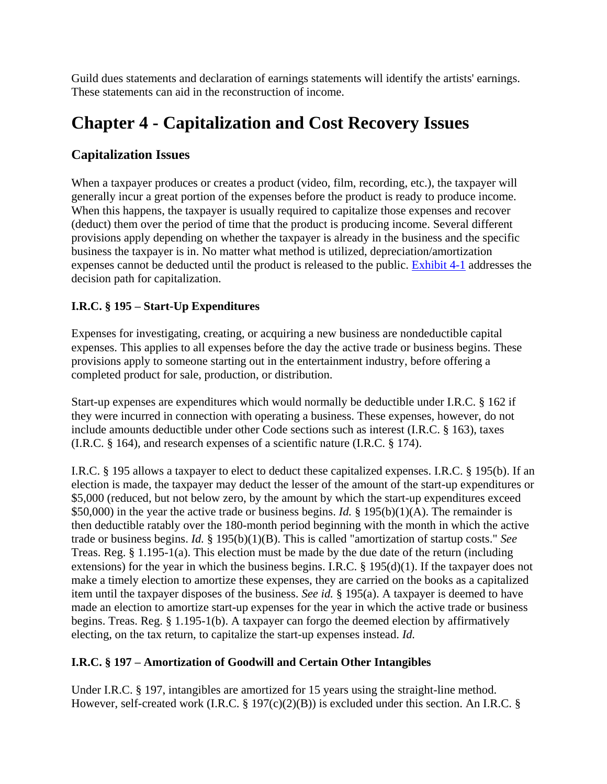Guild dues statements and declaration of earnings statements will identify the artists' earnings. These statements can aid in the reconstruction of income.

## <span id="page-14-0"></span>**Chapter 4 - Capitalization and Cost Recovery Issues**

## <span id="page-14-1"></span>**Capitalization Issues**

When a taxpayer produces or creates a product (video, film, recording, etc.), the taxpayer will generally incur a great portion of the expenses before the product is ready to produce income. When this happens, the taxpayer is usually required to capitalize those expenses and recover (deduct) them over the period of time that the product is producing income. Several different provisions apply depending on whether the taxpayer is already in the business and the specific business the taxpayer is in. No matter what method is utilized, depreciation/amortization expenses cannot be deducted until the product is released to the public. Exhibit 4-1 addresses the decision path for capitalization.

## **I.R.C. § 195 – Start-Up Expenditures**

Expenses for investigating, creating, or acquiring a new business are nondeductible capital expenses. This applies to all expenses before the day the active trade or business begins. These provisions apply to someone starting out in the entertainment industry, before offering a completed product for sale, production, or distribution.

Start-up expenses are expenditures which would normally be deductible under I.R.C. § 162 if they were incurred in connection with operating a business. These expenses, however, do not include amounts deductible under other Code sections such as interest (I.R.C. § 163), taxes (I.R.C. § 164), and research expenses of a scientific nature (I.R.C. § 174).

I.R.C. § 195 allows a taxpayer to elect to deduct these capitalized expenses. I.R.C. § 195(b). If an election is made, the taxpayer may deduct the lesser of the amount of the start-up expenditures or \$5,000 (reduced, but not below zero, by the amount by which the start-up expenditures exceed \$50,000) in the year the active trade or business begins. *Id.* § 195(b)(1)(A). The remainder is then deductible ratably over the 180-month period beginning with the month in which the active trade or business begins. *Id.* § 195(b)(1)(B). This is called "amortization of startup costs." *See* Treas. Reg. § 1.195-1(a). This election must be made by the due date of the return (including extensions) for the year in which the business begins. I.R.C. § 195(d)(1). If the taxpayer does not make a timely election to amortize these expenses, they are carried on the books as a capitalized item until the taxpayer disposes of the business. *See id.* § 195(a). A taxpayer is deemed to have made an election to amortize start-up expenses for the year in which the active trade or business begins. Treas. Reg. § 1.195-1(b). A taxpayer can forgo the deemed election by affirmatively electing, on the tax return, to capitalize the start-up expenses instead. *Id.*

## **I.R.C. § 197 – Amortization of Goodwill and Certain Other Intangibles**

Under I.R.C. § 197, intangibles are amortized for 15 years using the straight-line method. However, self-created work (I.R.C. § 197(c)(2)(B)) is excluded under this section. An I.R.C. §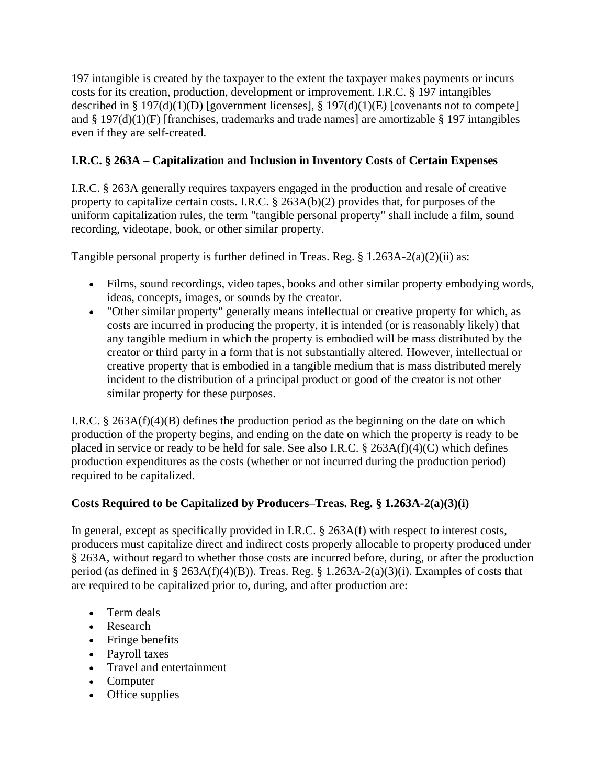197 intangible is created by the taxpayer to the extent the taxpayer makes payments or incurs costs for its creation, production, development or improvement. I.R.C. § 197 intangibles described in § 197(d)(1)(D) [government licenses], § 197(d)(1)(E) [covenants not to compete] and § 197(d)(1)(F) [franchises, trademarks and trade names] are amortizable § 197 intangibles even if they are self-created.

## **I.R.C. § 263A – Capitalization and Inclusion in Inventory Costs of Certain Expenses**

I.R.C. § 263A generally requires taxpayers engaged in the production and resale of creative property to capitalize certain costs. I.R.C. § 263A(b)(2) provides that, for purposes of the uniform capitalization rules, the term "tangible personal property" shall include a film, sound recording, videotape, book, or other similar property.

Tangible personal property is further defined in Treas. Reg. § 1.263A-2(a)(2)(ii) as:

- Films, sound recordings, video tapes, books and other similar property embodying words, ideas, concepts, images, or sounds by the creator.
- "Other similar property" generally means intellectual or creative property for which, as costs are incurred in producing the property, it is intended (or is reasonably likely) that any tangible medium in which the property is embodied will be mass distributed by the creator or third party in a form that is not substantially altered. However, intellectual or creative property that is embodied in a tangible medium that is mass distributed merely incident to the distribution of a principal product or good of the creator is not other similar property for these purposes.

I.R.C. § 263A(f)(4)(B) defines the production period as the beginning on the date on which production of the property begins, and ending on the date on which the property is ready to be placed in service or ready to be held for sale. See also I.R.C. § 263A(f)(4)(C) which defines production expenditures as the costs (whether or not incurred during the production period) required to be capitalized.

## **Costs Required to be Capitalized by Producers–Treas. Reg. § 1.263A-2(a)(3)(i)**

In general, except as specifically provided in I.R.C. § 263A(f) with respect to interest costs, producers must capitalize direct and indirect costs properly allocable to property produced under § 263A, without regard to whether those costs are incurred before, during, or after the production period (as defined in § 263A(f)(4)(B)). Treas. Reg. § 1.263A-2(a)(3)(i). Examples of costs that are required to be capitalized prior to, during, and after production are:

- Term deals
- Research
- Fringe benefits
- Payroll taxes
- Travel and entertainment
- Computer
- Office supplies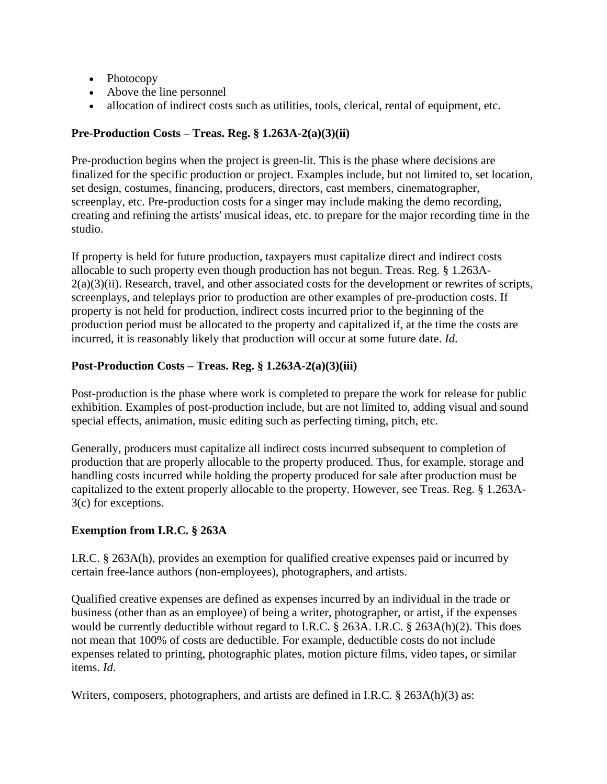- Photocopy
- Above the line personnel
- allocation of indirect costs such as utilities, tools, clerical, rental of equipment, etc.

### **Pre-Production Costs – Treas. Reg. § 1.263A-2(a)(3)(ii)**

Pre-production begins when the project is green-lit. This is the phase where decisions are finalized for the specific production or project. Examples include, but not limited to, set location, set design, costumes, financing, producers, directors, cast members, cinematographer, screenplay, etc. Pre-production costs for a singer may include making the demo recording, creating and refining the artists' musical ideas, etc. to prepare for the major recording time in the studio.

If property is held for future production, taxpayers must capitalize direct and indirect costs allocable to such property even though production has not begun. Treas. Reg. § 1.263A- $2(a)(3)(ii)$ . Research, travel, and other associated costs for the development or rewrites of scripts, screenplays, and teleplays prior to production are other examples of pre-production costs. If property is not held for production, indirect costs incurred prior to the beginning of the production period must be allocated to the property and capitalized if, at the time the costs are incurred, it is reasonably likely that production will occur at some future date. *Id*.

## **Post-Production Costs – Treas. Reg. § 1.263A-2(a)(3)(iii)**

Post-production is the phase where work is completed to prepare the work for release for public exhibition. Examples of post-production include, but are not limited to, adding visual and sound special effects, animation, music editing such as perfecting timing, pitch, etc.

Generally, producers must capitalize all indirect costs incurred subsequent to completion of production that are properly allocable to the property produced. Thus, for example, storage and handling costs incurred while holding the property produced for sale after production must be capitalized to the extent properly allocable to the property. However, see Treas. Reg. § 1.263A-3(c) for exceptions.

## **Exemption from I.R.C. § 263A**

I.R.C. § 263A(h), provides an exemption for qualified creative expenses paid or incurred by certain free-lance authors (non-employees), photographers, and artists.

Qualified creative expenses are defined as expenses incurred by an individual in the trade or business (other than as an employee) of being a writer, photographer, or artist, if the expenses would be currently deductible without regard to I.R.C. § 263A. I.R.C. § 263A(h)(2). This does not mean that 100% of costs are deductible. For example, deductible costs do not include expenses related to printing, photographic plates, motion picture films, video tapes, or similar items. *Id*.

Writers, composers, photographers, and artists are defined in I.R.C. § 263A(h)(3) as: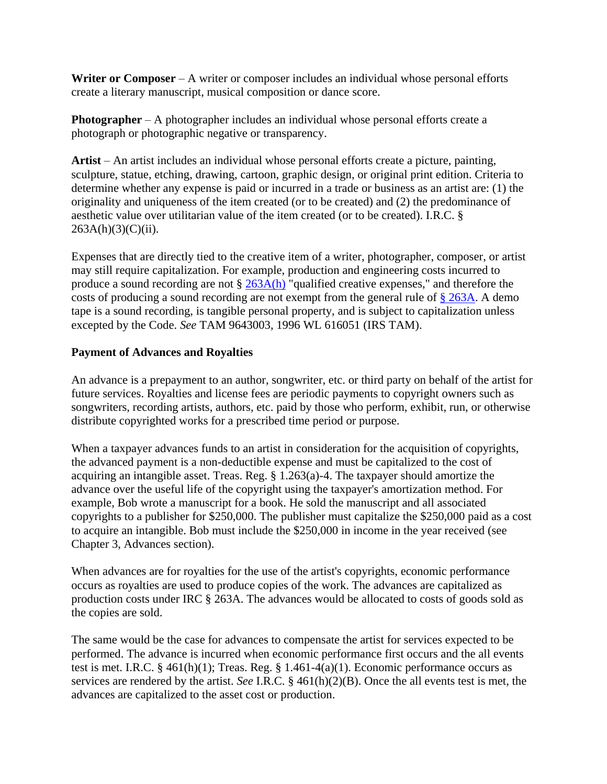**Writer or Composer** – A writer or composer includes an individual whose personal efforts create a literary manuscript, musical composition or dance score.

**Photographer** – A photographer includes an individual whose personal efforts create a photograph or photographic negative or transparency.

**Artist** – An artist includes an individual whose personal efforts create a picture, painting, sculpture, statue, etching, drawing, cartoon, graphic design, or original print edition. Criteria to determine whether any expense is paid or incurred in a trade or business as an artist are: (1) the originality and uniqueness of the item created (or to be created) and (2) the predominance of aesthetic value over utilitarian value of the item created (or to be created). I.R.C. §  $263A(h)(3)(C)(ii)$ .

Expenses that are directly tied to the creative item of a writer, photographer, composer, or artist may still require capitalization. For example, production and engineering costs incurred to produce a sound recording are not § [263A\(h\)](http://www.westlaw.com/Find/Default.wl?rs=dfa1.0&vr=2.0&DB=1012823&DocName=26USCAS263A&FindType=L&ReferencePositionType=T&ReferencePosition=SP_f383000077b35) "qualified creative expenses," and therefore the costs of producing a sound recording are not exempt from the general rule of [§ 263A.](http://www.westlaw.com/Find/Default.wl?rs=dfa1.0&vr=2.0&DB=1012823&DocName=26USCAS263A&FindType=L) A demo tape is a sound recording, is tangible personal property, and is subject to capitalization unless excepted by the Code. *See* TAM 9643003, 1996 WL 616051 (IRS TAM).

#### **Payment of Advances and Royalties**

An advance is a prepayment to an author, songwriter, etc. or third party on behalf of the artist for future services. Royalties and license fees are periodic payments to copyright owners such as songwriters, recording artists, authors, etc. paid by those who perform, exhibit, run, or otherwise distribute copyrighted works for a prescribed time period or purpose.

When a taxpayer advances funds to an artist in consideration for the acquisition of copyrights, the advanced payment is a non-deductible expense and must be capitalized to the cost of acquiring an intangible asset. Treas. Reg. § 1.263(a)-4. The taxpayer should amortize the advance over the useful life of the copyright using the taxpayer's amortization method. For example, Bob wrote a manuscript for a book. He sold the manuscript and all associated copyrights to a publisher for \$250,000. The publisher must capitalize the \$250,000 paid as a cost to acquire an intangible. Bob must include the \$250,000 in income in the year received (see Chapter 3, Advances section).

When advances are for royalties for the use of the artist's copyrights, economic performance occurs as royalties are used to produce copies of the work. The advances are capitalized as production costs under IRC § 263A. The advances would be allocated to costs of goods sold as the copies are sold.

The same would be the case for advances to compensate the artist for services expected to be performed. The advance is incurred when economic performance first occurs and the all events test is met. I.R.C. § 461(h)(1); Treas. Reg. § 1.461-4(a)(1). Economic performance occurs as services are rendered by the artist. *See* I.R.C. § 461(h)(2)(B). Once the all events test is met, the advances are capitalized to the asset cost or production.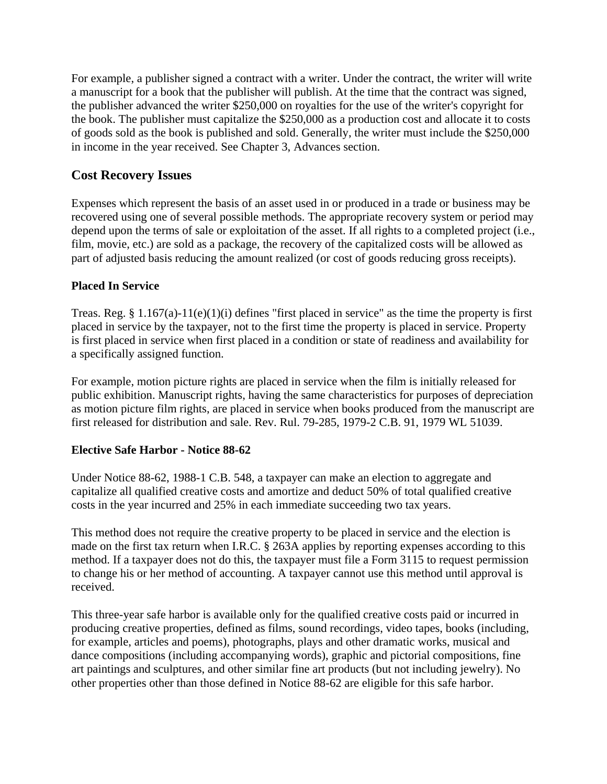For example, a publisher signed a contract with a writer. Under the contract, the writer will write a manuscript for a book that the publisher will publish. At the time that the contract was signed, the publisher advanced the writer \$250,000 on royalties for the use of the writer's copyright for the book. The publisher must capitalize the \$250,000 as a production cost and allocate it to costs of goods sold as the book is published and sold. Generally, the writer must include the \$250,000 in income in the year received. See Chapter 3, Advances section.

## <span id="page-18-0"></span>**Cost Recovery Issues**

Expenses which represent the basis of an asset used in or produced in a trade or business may be recovered using one of several possible methods. The appropriate recovery system or period may depend upon the terms of sale or exploitation of the asset. If all rights to a completed project (i.e., film, movie, etc.) are sold as a package, the recovery of the capitalized costs will be allowed as part of adjusted basis reducing the amount realized (or cost of goods reducing gross receipts).

#### **Placed In Service**

Treas. Reg. § 1.167(a)-11(e)(1)(i) defines "first placed in service" as the time the property is first placed in service by the taxpayer, not to the first time the property is placed in service. Property is first placed in service when first placed in a condition or state of readiness and availability for a specifically assigned function.

For example, motion picture rights are placed in service when the film is initially released for public exhibition. Manuscript rights, having the same characteristics for purposes of depreciation as motion picture film rights, are placed in service when books produced from the manuscript are first released for distribution and sale. Rev. Rul. 79-285, 1979-2 C.B. 91, 1979 WL 51039.

#### **Elective Safe Harbor - Notice 88-62**

Under Notice 88-62, 1988-1 C.B. 548, a taxpayer can make an election to aggregate and capitalize all qualified creative costs and amortize and deduct 50% of total qualified creative costs in the year incurred and 25% in each immediate succeeding two tax years.

This method does not require the creative property to be placed in service and the election is made on the first tax return when I.R.C. § 263A applies by reporting expenses according to this method. If a taxpayer does not do this, the taxpayer must file a Form 3115 to request permission to change his or her method of accounting. A taxpayer cannot use this method until approval is received.

This three-year safe harbor is available only for the qualified creative costs paid or incurred in producing creative properties, defined as films, sound recordings, video tapes, books (including, for example, articles and poems), photographs, plays and other dramatic works, musical and dance compositions (including accompanying words), graphic and pictorial compositions, fine art paintings and sculptures, and other similar fine art products (but not including jewelry). No other properties other than those defined in Notice 88-62 are eligible for this safe harbor.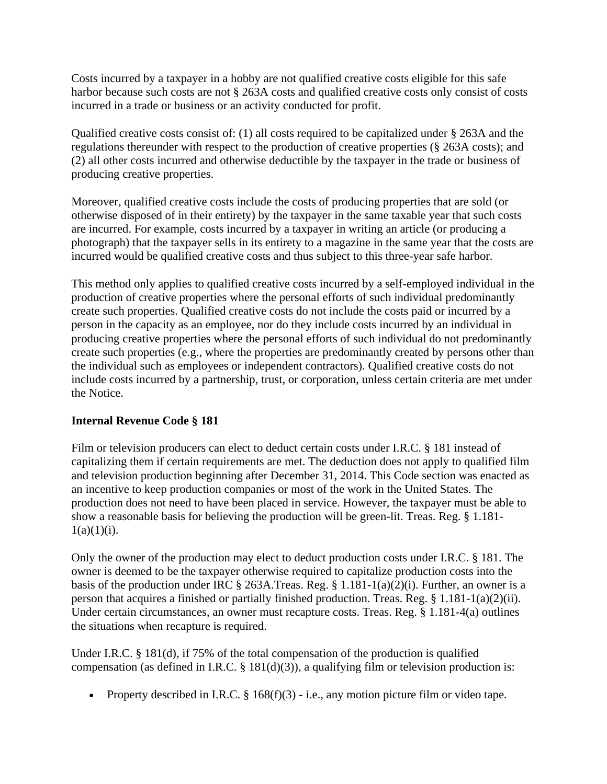Costs incurred by a taxpayer in a hobby are not qualified creative costs eligible for this safe harbor because such costs are not § 263A costs and qualified creative costs only consist of costs incurred in a trade or business or an activity conducted for profit.

Qualified creative costs consist of: (1) all costs required to be capitalized under § 263A and the regulations thereunder with respect to the production of creative properties (§ 263A costs); and (2) all other costs incurred and otherwise deductible by the taxpayer in the trade or business of producing creative properties.

Moreover, qualified creative costs include the costs of producing properties that are sold (or otherwise disposed of in their entirety) by the taxpayer in the same taxable year that such costs are incurred. For example, costs incurred by a taxpayer in writing an article (or producing a photograph) that the taxpayer sells in its entirety to a magazine in the same year that the costs are incurred would be qualified creative costs and thus subject to this three-year safe harbor.

This method only applies to qualified creative costs incurred by a self-employed individual in the production of creative properties where the personal efforts of such individual predominantly create such properties. Qualified creative costs do not include the costs paid or incurred by a person in the capacity as an employee, nor do they include costs incurred by an individual in producing creative properties where the personal efforts of such individual do not predominantly create such properties (e.g., where the properties are predominantly created by persons other than the individual such as employees or independent contractors). Qualified creative costs do not include costs incurred by a partnership, trust, or corporation, unless certain criteria are met under the Notice.

### **Internal Revenue Code § 181**

Film or television producers can elect to deduct certain costs under I.R.C. § 181 instead of capitalizing them if certain requirements are met. The deduction does not apply to qualified film and television production beginning after December 31, 2014. This Code section was enacted as an incentive to keep production companies or most of the work in the United States. The production does not need to have been placed in service. However, the taxpayer must be able to show a reasonable basis for believing the production will be green-lit. Treas. Reg. § 1.181-  $1(a)(1)(i)$ .

Only the owner of the production may elect to deduct production costs under I.R.C. § 181. The owner is deemed to be the taxpayer otherwise required to capitalize production costs into the basis of the production under IRC § 263A.Treas. Reg. § 1.181-1(a)(2)(i). Further, an owner is a person that acquires a finished or partially finished production. Treas. Reg. § 1.181-1(a)(2)(ii). Under certain circumstances, an owner must recapture costs. Treas. Reg. § 1.181-4(a) outlines the situations when recapture is required.

Under I.R.C. § 181(d), if 75% of the total compensation of the production is qualified compensation (as defined in I.R.C.  $\S$  181(d)(3)), a qualifying film or television production is:

• Property described in I.R.C.  $\S 168(f)(3)$  - i.e., any motion picture film or video tape.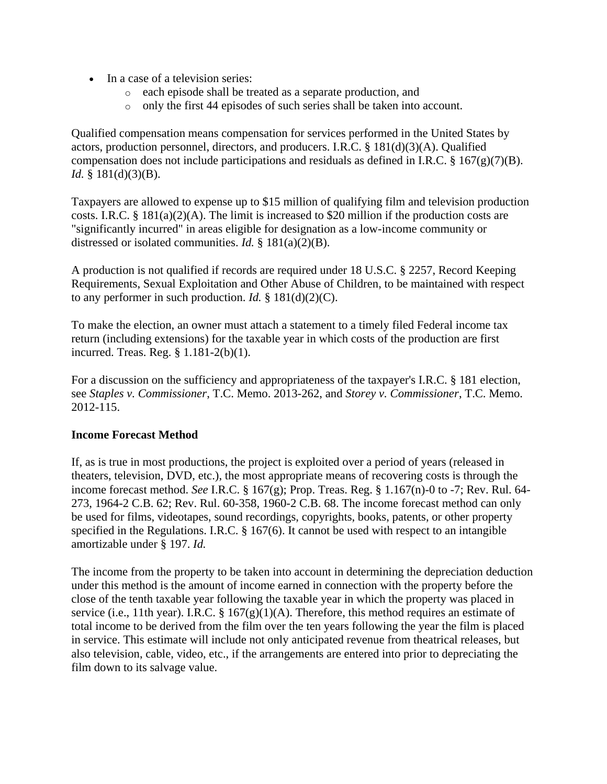- In a case of a television series:
	- o each episode shall be treated as a separate production, and
	- o only the first 44 episodes of such series shall be taken into account.

Qualified compensation means compensation for services performed in the United States by actors, production personnel, directors, and producers. I.R.C. § 181(d)(3)(A). Qualified compensation does not include participations and residuals as defined in I.R.C.  $\S$  167(g)(7)(B). *Id.* § 181(d)(3)(B).

Taxpayers are allowed to expense up to \$15 million of qualifying film and television production costs. I.R.C. § 181(a)(2)(A). The limit is increased to \$20 million if the production costs are "significantly incurred" in areas eligible for designation as a low-income community or distressed or isolated communities. *Id.* § 181(a)(2)(B).

A production is not qualified if records are required under 18 U.S.C. § 2257, Record Keeping Requirements, Sexual Exploitation and Other Abuse of Children, to be maintained with respect to any performer in such production. *Id.* § 181(d)(2)(C).

To make the election, an owner must attach a statement to a timely filed Federal income tax return (including extensions) for the taxable year in which costs of the production are first incurred. Treas. Reg. § 1.181-2(b)(1).

For a discussion on the sufficiency and appropriateness of the taxpayer's I.R.C. § 181 election, see *Staples v. Commissioner*, T.C. Memo. 2013-262, and *Storey v. Commissioner*, T.C. Memo. 2012-115.

### **Income Forecast Method**

If, as is true in most productions, the project is exploited over a period of years (released in theaters, television, DVD, etc.), the most appropriate means of recovering costs is through the income forecast method. *See* I.R.C. § 167(g); Prop. Treas. Reg. § 1.167(n)-0 to -7; Rev. Rul. 64- 273, 1964-2 C.B. 62; Rev. Rul. 60-358, 1960-2 C.B. 68. The income forecast method can only be used for films, videotapes, sound recordings, copyrights, books, patents, or other property specified in the Regulations. I.R.C. § 167(6). It cannot be used with respect to an intangible amortizable under § 197. *Id.*

The income from the property to be taken into account in determining the depreciation deduction under this method is the amount of income earned in connection with the property before the close of the tenth taxable year following the taxable year in which the property was placed in service (i.e., 11th year). I.R.C. §  $167(g)(1)(A)$ . Therefore, this method requires an estimate of total income to be derived from the film over the ten years following the year the film is placed in service. This estimate will include not only anticipated revenue from theatrical releases, but also television, cable, video, etc., if the arrangements are entered into prior to depreciating the film down to its salvage value.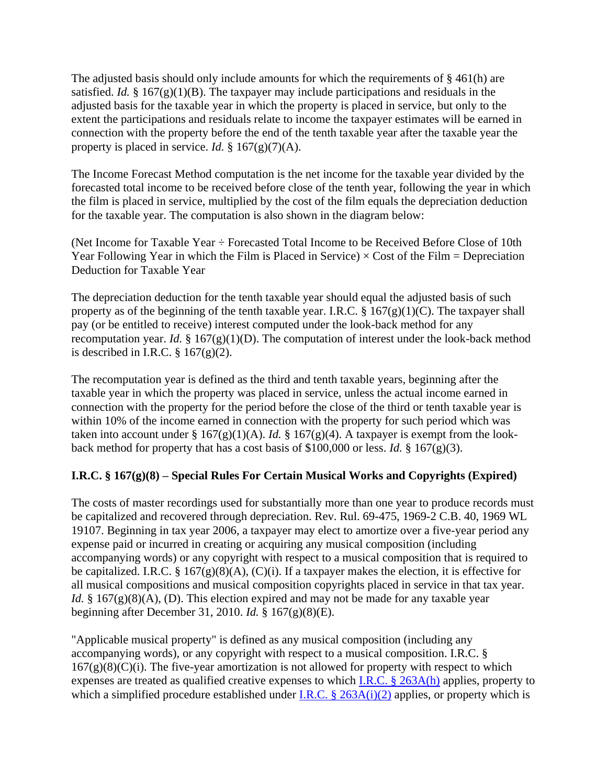The adjusted basis should only include amounts for which the requirements of § 461(h) are satisfied. *Id.* § 167 $(g)(1)(B)$ . The taxpayer may include participations and residuals in the adjusted basis for the taxable year in which the property is placed in service, but only to the extent the participations and residuals relate to income the taxpayer estimates will be earned in connection with the property before the end of the tenth taxable year after the taxable year the property is placed in service. *Id.*  $\S 167(g)(7)(A)$ .

The Income Forecast Method computation is the net income for the taxable year divided by the forecasted total income to be received before close of the tenth year, following the year in which the film is placed in service, multiplied by the cost of the film equals the depreciation deduction for the taxable year. The computation is also shown in the diagram below:

(Net Income for Taxable Year ÷ Forecasted Total Income to be Received Before Close of 10th Year Following Year in which the Film is Placed in Service)  $\times$  Cost of the Film = Depreciation Deduction for Taxable Year

The depreciation deduction for the tenth taxable year should equal the adjusted basis of such property as of the beginning of the tenth taxable year. I.R.C.  $\S$  167(g)(1)(C). The taxpayer shall pay (or be entitled to receive) interest computed under the look-back method for any recomputation year. *Id.*  $\S 167(g)(1)(D)$ . The computation of interest under the look-back method is described in I.R.C.  $\S 167(g)(2)$ .

The recomputation year is defined as the third and tenth taxable years, beginning after the taxable year in which the property was placed in service, unless the actual income earned in connection with the property for the period before the close of the third or tenth taxable year is within 10% of the income earned in connection with the property for such period which was taken into account under §  $167(g)(1)(A)$ . *Id.* §  $167(g)(4)$ . A taxpayer is exempt from the lookback method for property that has a cost basis of \$100,000 or less. *Id.* § 167(g)(3).

## **I.R.C. § 167(g)(8) – Special Rules For Certain Musical Works and Copyrights (Expired)**

The costs of master recordings used for substantially more than one year to produce records must be capitalized and recovered through depreciation. Rev. Rul. 69-475, 1969-2 C.B. 40, 1969 WL 19107. Beginning in tax year 2006, a taxpayer may elect to amortize over a five-year period any expense paid or incurred in creating or acquiring any musical composition (including accompanying words) or any copyright with respect to a musical composition that is required to be capitalized. I.R.C. § 167 $(g)(8)(A)$ ,  $(C)(i)$ . If a taxpayer makes the election, it is effective for all musical compositions and musical composition copyrights placed in service in that tax year. *Id.* § 167 $(g)(8)(A)$ , (D). This election expired and may not be made for any taxable year beginning after December 31, 2010. *Id.* § 167(g)(8)(E).

"Applicable musical property" is defined as any musical composition (including any accompanying words), or any copyright with respect to a musical composition. I.R.C. §  $167(g)(8)(C)(i)$ . The five-year amortization is not allowed for property with respect to which expenses are treated as qualified creative expenses to which [I.R.C. § 263A\(h\)](https://web2.westlaw.com/find/default.wl?mt=281&db=1000546&docname=26USCAS263A&rp=%2ffind%2fdefault.wl&findtype=L&ordoc=0303783552&tc=-1&vr=2.0&fn=_top&sv=Split&tf=-1&referencepositiontype=T&pbc=36C63EBE&referenceposition=SP%3bf383000077b35&rs=WLW14.04) applies, property to which a simplified procedure established under <u>I.R.C. § 263A(i)(2)</u> applies, or property which is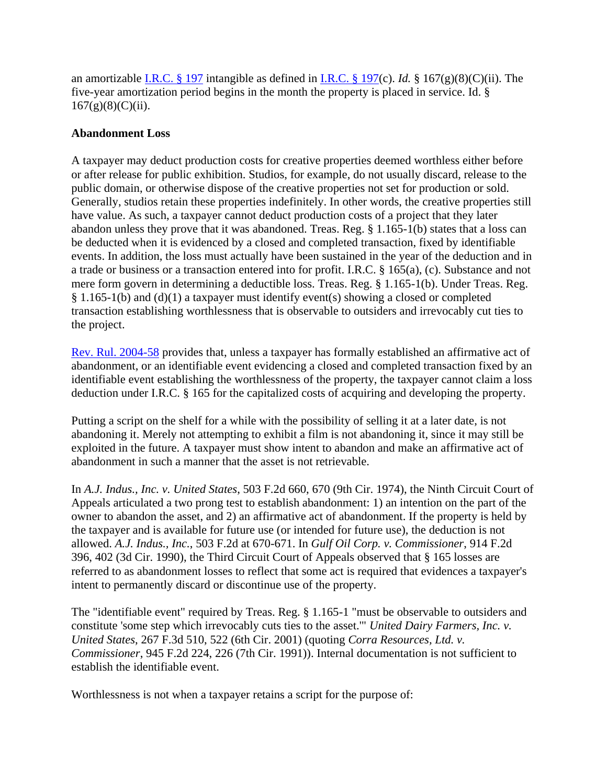an amortizable [I.R.C. § 197](https://web2.westlaw.com/find/default.wl?mt=281&db=1000546&docname=26USCAS197&rp=%2ffind%2fdefault.wl&findtype=L&ordoc=0303783552&tc=-1&vr=2.0&fn=_top&sv=Split&tf=-1&pbc=36C63EBE&rs=WLW14.04) intangible as defined in [I.R.C. § 197\(](https://web2.westlaw.com/find/default.wl?mt=281&db=1000546&docname=26USCAS197&rp=%2ffind%2fdefault.wl&findtype=L&ordoc=0303783552&tc=-1&vr=2.0&fn=_top&sv=Split&tf=-1&pbc=36C63EBE&rs=WLW14.04)c). *Id.* § 167(g)(8)(C)(ii). The five-year amortization period begins in the month the property is placed in service. Id. §  $167(g)(8)(C)(ii)$ .

#### **Abandonment Loss**

A taxpayer may deduct production costs for creative properties deemed worthless either before or after release for public exhibition. Studios, for example, do not usually discard, release to the public domain, or otherwise dispose of the creative properties not set for production or sold. Generally, studios retain these properties indefinitely. In other words, the creative properties still have value. As such, a taxpayer cannot deduct production costs of a project that they later abandon unless they prove that it was abandoned. Treas. Reg. § 1.165-1(b) states that a loss can be deducted when it is evidenced by a closed and completed transaction, fixed by identifiable events. In addition, the loss must actually have been sustained in the year of the deduction and in a trade or business or a transaction entered into for profit. I.R.C. § 165(a), (c). Substance and not mere form govern in determining a deductible loss. Treas. Reg. § 1.165-1(b). Under Treas. Reg. § 1.165-1(b) and (d)(1) a taxpayer must identify event(s) showing a closed or completed transaction establishing worthlessness that is observable to outsiders and irrevocably cut ties to the project.

[Rev. Rul. 2004-58](http://www.lexis.com/xlink?showcidslinks=on&searchtype=get&search=Revenue%20Ruling%202004-58) provides that, unless a taxpayer has formally established an affirmative act of abandonment, or an identifiable event evidencing a closed and completed transaction fixed by an identifiable event establishing the worthlessness of the property, the taxpayer cannot claim a loss deduction under I.R.C. § 165 for the capitalized costs of acquiring and developing the property.

Putting a script on the shelf for a while with the possibility of selling it at a later date, is not abandoning it. Merely not attempting to exhibit a film is not abandoning it, since it may still be exploited in the future. A taxpayer must show intent to abandon and make an affirmative act of abandonment in such a manner that the asset is not retrievable.

In *A.J. Indus., Inc. v. United States*, 503 F.2d 660, 670 (9th Cir. 1974), the Ninth Circuit Court of Appeals articulated a two prong test to establish abandonment: 1) an intention on the part of the owner to abandon the asset, and 2) an affirmative act of abandonment. If the property is held by the taxpayer and is available for future use (or intended for future use), the deduction is not allowed. *A.J. Indus., Inc.*, 503 F.2d at 670-671. In *Gulf Oil Corp. v. Commissioner*, 914 F.2d 396, 402 (3d Cir. 1990), the Third Circuit Court of Appeals observed that § 165 losses are referred to as abandonment losses to reflect that some act is required that evidences a taxpayer's intent to permanently discard or discontinue use of the property.

The "identifiable event" required by Treas. Reg. § 1.165-1 "must be observable to outsiders and constitute 'some step which irrevocably cuts ties to the asset.'" *United Dairy Farmers, Inc. v. United States*, 267 F.3d 510, 522 (6th Cir. 2001) (quoting *Corra Resources, Ltd. v. Commissioner*, 945 F.2d 224, 226 (7th Cir. 1991)). Internal documentation is not sufficient to establish the identifiable event.

Worthlessness is not when a taxpayer retains a script for the purpose of: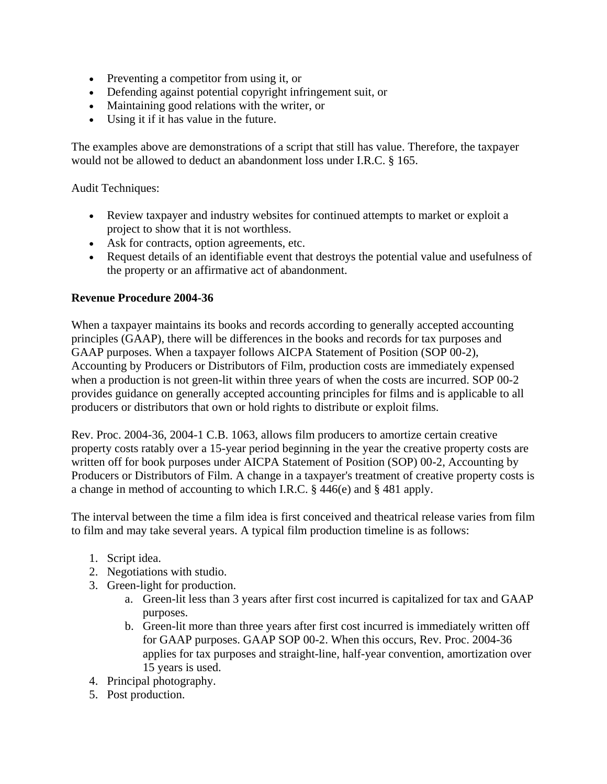- Preventing a competitor from using it, or
- Defending against potential copyright infringement suit, or
- Maintaining good relations with the writer, or
- Using it if it has value in the future.

The examples above are demonstrations of a script that still has value. Therefore, the taxpayer would not be allowed to deduct an abandonment loss under I.R.C. § 165.

Audit Techniques:

- Review taxpayer and industry websites for continued attempts to market or exploit a project to show that it is not worthless.
- Ask for contracts, option agreements, etc.
- Request details of an identifiable event that destroys the potential value and usefulness of the property or an affirmative act of abandonment.

#### **Revenue Procedure 2004-36**

When a taxpayer maintains its books and records according to generally accepted accounting principles (GAAP), there will be differences in the books and records for tax purposes and GAAP purposes. When a taxpayer follows AICPA Statement of Position (SOP 00-2), Accounting by Producers or Distributors of Film, production costs are immediately expensed when a production is not green-lit within three years of when the costs are incurred. SOP 00-2 provides guidance on generally accepted accounting principles for films and is applicable to all producers or distributors that own or hold rights to distribute or exploit films.

Rev. Proc. 2004-36, 2004-1 C.B. 1063, allows film producers to amortize certain creative property costs ratably over a 15-year period beginning in the year the creative property costs are written off for book purposes under AICPA Statement of Position (SOP) 00-2, Accounting by Producers or Distributors of Film. A change in a taxpayer's treatment of creative property costs is a change in method of accounting to which I.R.C. § 446(e) and § 481 apply.

The interval between the time a film idea is first conceived and theatrical release varies from film to film and may take several years. A typical film production timeline is as follows:

- 1. Script idea.
- 2. Negotiations with studio.
- 3. Green-light for production.
	- a. Green-lit less than 3 years after first cost incurred is capitalized for tax and GAAP purposes.
	- b. Green-lit more than three years after first cost incurred is immediately written off for GAAP purposes. GAAP SOP 00-2. When this occurs, Rev. Proc. 2004-36 applies for tax purposes and straight-line, half-year convention, amortization over 15 years is used.
- 4. Principal photography.
- 5. Post production.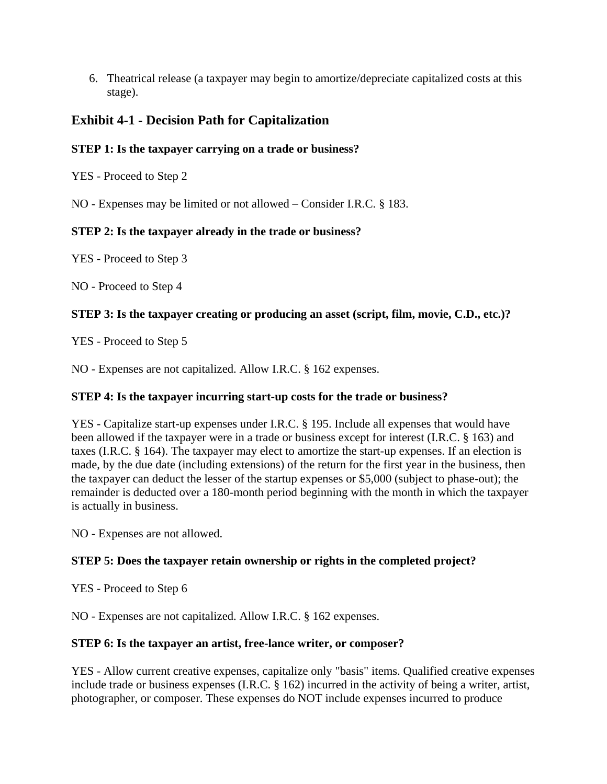6. Theatrical release (a taxpayer may begin to amortize/depreciate capitalized costs at this stage).

## <span id="page-24-0"></span>**Exhibit 4-1 - Decision Path for Capitalization**

## **STEP 1: Is the taxpayer carrying on a trade or business?**

YES - Proceed to Step 2

NO - Expenses may be limited or not allowed – Consider I.R.C. § 183.

## **STEP 2: Is the taxpayer already in the trade or business?**

YES - Proceed to Step 3

NO - Proceed to Step 4

## **STEP 3: Is the taxpayer creating or producing an asset (script, film, movie, C.D., etc.)?**

YES - Proceed to Step 5

NO - Expenses are not capitalized. Allow I.R.C. § 162 expenses.

### **STEP 4: Is the taxpayer incurring start-up costs for the trade or business?**

YES - Capitalize start-up expenses under I.R.C. § 195. Include all expenses that would have been allowed if the taxpayer were in a trade or business except for interest (I.R.C. § 163) and taxes (I.R.C. § 164). The taxpayer may elect to amortize the start-up expenses. If an election is made, by the due date (including extensions) of the return for the first year in the business, then the taxpayer can deduct the lesser of the startup expenses or \$5,000 (subject to phase-out); the remainder is deducted over a 180-month period beginning with the month in which the taxpayer is actually in business.

NO - Expenses are not allowed.

## **STEP 5: Does the taxpayer retain ownership or rights in the completed project?**

YES - Proceed to Step 6

NO - Expenses are not capitalized. Allow I.R.C. § 162 expenses.

### **STEP 6: Is the taxpayer an artist, free-lance writer, or composer?**

YES - Allow current creative expenses, capitalize only "basis" items. Qualified creative expenses include trade or business expenses (I.R.C. § 162) incurred in the activity of being a writer, artist, photographer, or composer. These expenses do NOT include expenses incurred to produce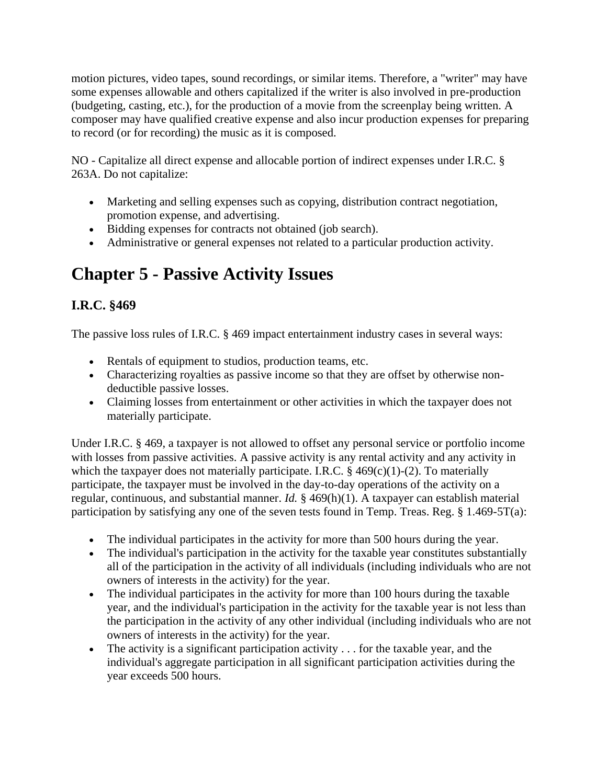motion pictures, video tapes, sound recordings, or similar items. Therefore, a "writer" may have some expenses allowable and others capitalized if the writer is also involved in pre-production (budgeting, casting, etc.), for the production of a movie from the screenplay being written. A composer may have qualified creative expense and also incur production expenses for preparing to record (or for recording) the music as it is composed.

NO - Capitalize all direct expense and allocable portion of indirect expenses under I.R.C. § 263A. Do not capitalize:

- Marketing and selling expenses such as copying, distribution contract negotiation, promotion expense, and advertising.
- Bidding expenses for contracts not obtained (job search).
- Administrative or general expenses not related to a particular production activity.

## <span id="page-25-0"></span>**Chapter 5 - Passive Activity Issues**

## <span id="page-25-1"></span>**I.R.C. §469**

The passive loss rules of I.R.C. § 469 impact entertainment industry cases in several ways:

- Rentals of equipment to studios, production teams, etc.
- Characterizing royalties as passive income so that they are offset by otherwise nondeductible passive losses.
- Claiming losses from entertainment or other activities in which the taxpayer does not materially participate.

Under I.R.C. § 469, a taxpayer is not allowed to offset any personal service or portfolio income with losses from passive activities. A passive activity is any rental activity and any activity in which the taxpayer does not materially participate. I.R.C.  $\S$  469(c)(1)-(2). To materially participate, the taxpayer must be involved in the day-to-day operations of the activity on a regular, continuous, and substantial manner. *Id.* § 469(h)(1). A taxpayer can establish material participation by satisfying any one of the seven tests found in Temp. Treas. Reg. § 1.469-5T(a):

- The individual participates in the activity for more than 500 hours during the year.
- The individual's participation in the activity for the taxable year constitutes substantially all of the participation in the activity of all individuals (including individuals who are not owners of interests in the activity) for the year.
- The individual participates in the activity for more than 100 hours during the taxable year, and the individual's participation in the activity for the taxable year is not less than the participation in the activity of any other individual (including individuals who are not owners of interests in the activity) for the year.
- $\bullet$  The activity is a significant participation activity . . . for the taxable year, and the individual's aggregate participation in all significant participation activities during the year exceeds 500 hours.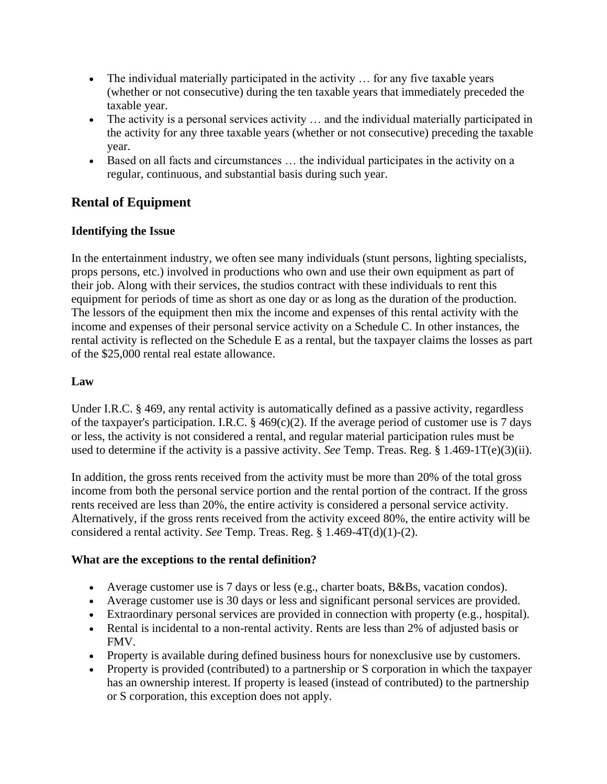- The individual materially participated in the activity ... for any five taxable years (whether or not consecutive) during the ten taxable years that immediately preceded the taxable year.
- The activity is a personal services activity … and the individual materially participated in the activity for any three taxable years (whether or not consecutive) preceding the taxable year.
- Based on all facts and circumstances … the individual participates in the activity on a regular, continuous, and substantial basis during such year.

## <span id="page-26-0"></span>**Rental of Equipment**

## **Identifying the Issue**

In the entertainment industry, we often see many individuals (stunt persons, lighting specialists, props persons, etc.) involved in productions who own and use their own equipment as part of their job. Along with their services, the studios contract with these individuals to rent this equipment for periods of time as short as one day or as long as the duration of the production. The lessors of the equipment then mix the income and expenses of this rental activity with the income and expenses of their personal service activity on a Schedule C. In other instances, the rental activity is reflected on the Schedule E as a rental, but the taxpayer claims the losses as part of the \$25,000 rental real estate allowance.

## **Law**

Under I.R.C. § 469, any rental activity is automatically defined as a passive activity, regardless of the taxpayer's participation. I.R.C.  $\S$  469(c)(2). If the average period of customer use is 7 days or less, the activity is not considered a rental, and regular material participation rules must be used to determine if the activity is a passive activity. *See* Temp. Treas. Reg. § 1.469-1T(e)(3)(ii).

In addition, the gross rents received from the activity must be more than 20% of the total gross income from both the personal service portion and the rental portion of the contract. If the gross rents received are less than 20%, the entire activity is considered a personal service activity. Alternatively, if the gross rents received from the activity exceed 80%, the entire activity will be considered a rental activity. *See* Temp. Treas. Reg. § 1.469-4T(d)(1)-(2).

### **What are the exceptions to the rental definition?**

- Average customer use is 7 days or less (e.g., charter boats, B&Bs, vacation condos).
- Average customer use is 30 days or less and significant personal services are provided.
- Extraordinary personal services are provided in connection with property (e.g., hospital).
- Rental is incidental to a non-rental activity. Rents are less than 2% of adjusted basis or FMV.
- Property is available during defined business hours for nonexclusive use by customers.
- Property is provided (contributed) to a partnership or S corporation in which the taxpayer has an ownership interest. If property is leased (instead of contributed) to the partnership or S corporation, this exception does not apply.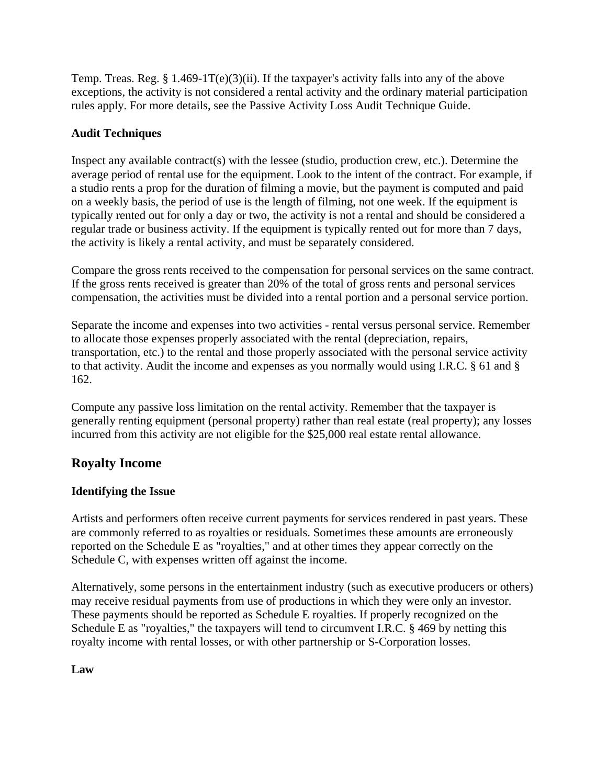Temp. Treas. Reg.  $\S 1.469-1T(e)(3)(ii)$ . If the taxpayer's activity falls into any of the above exceptions, the activity is not considered a rental activity and the ordinary material participation rules apply. For more details, see the Passive Activity Loss Audit Technique Guide.

## **Audit Techniques**

Inspect any available contract(s) with the lessee (studio, production crew, etc.). Determine the average period of rental use for the equipment. Look to the intent of the contract. For example, if a studio rents a prop for the duration of filming a movie, but the payment is computed and paid on a weekly basis, the period of use is the length of filming, not one week. If the equipment is typically rented out for only a day or two, the activity is not a rental and should be considered a regular trade or business activity. If the equipment is typically rented out for more than 7 days, the activity is likely a rental activity, and must be separately considered.

Compare the gross rents received to the compensation for personal services on the same contract. If the gross rents received is greater than 20% of the total of gross rents and personal services compensation, the activities must be divided into a rental portion and a personal service portion.

Separate the income and expenses into two activities - rental versus personal service. Remember to allocate those expenses properly associated with the rental (depreciation, repairs, transportation, etc.) to the rental and those properly associated with the personal service activity to that activity. Audit the income and expenses as you normally would using I.R.C. § 61 and § 162.

Compute any passive loss limitation on the rental activity. Remember that the taxpayer is generally renting equipment (personal property) rather than real estate (real property); any losses incurred from this activity are not eligible for the \$25,000 real estate rental allowance.

## <span id="page-27-0"></span>**Royalty Income**

### **Identifying the Issue**

Artists and performers often receive current payments for services rendered in past years. These are commonly referred to as royalties or residuals. Sometimes these amounts are erroneously reported on the Schedule E as "royalties," and at other times they appear correctly on the Schedule C, with expenses written off against the income.

Alternatively, some persons in the entertainment industry (such as executive producers or others) may receive residual payments from use of productions in which they were only an investor. These payments should be reported as Schedule E royalties. If properly recognized on the Schedule E as "royalties," the taxpayers will tend to circumvent I.R.C. § 469 by netting this royalty income with rental losses, or with other partnership or S-Corporation losses.

### **Law**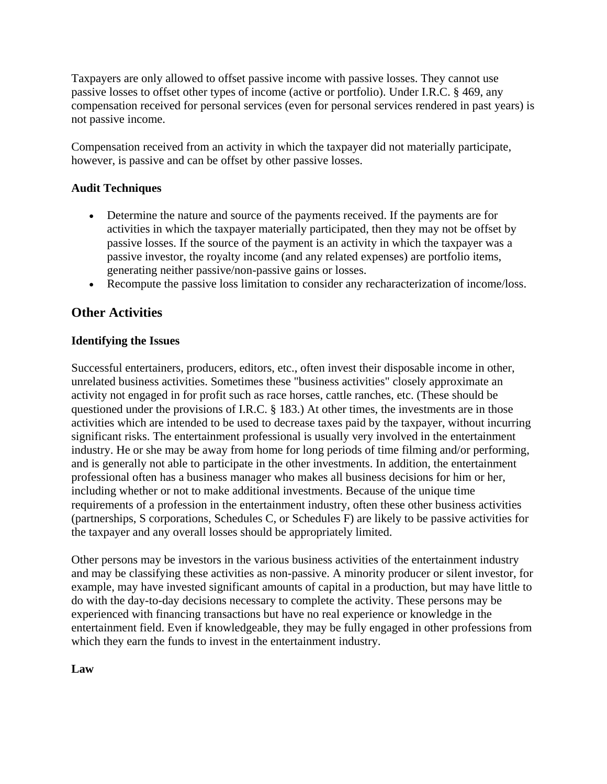Taxpayers are only allowed to offset passive income with passive losses. They cannot use passive losses to offset other types of income (active or portfolio). Under I.R.C. § 469, any compensation received for personal services (even for personal services rendered in past years) is not passive income.

Compensation received from an activity in which the taxpayer did not materially participate, however, is passive and can be offset by other passive losses.

### **Audit Techniques**

- Determine the nature and source of the payments received. If the payments are for activities in which the taxpayer materially participated, then they may not be offset by passive losses. If the source of the payment is an activity in which the taxpayer was a passive investor, the royalty income (and any related expenses) are portfolio items, generating neither passive/non-passive gains or losses.
- Recompute the passive loss limitation to consider any recharacterization of income/loss.

## <span id="page-28-0"></span>**Other Activities**

#### **Identifying the Issues**

Successful entertainers, producers, editors, etc., often invest their disposable income in other, unrelated business activities. Sometimes these "business activities" closely approximate an activity not engaged in for profit such as race horses, cattle ranches, etc. (These should be questioned under the provisions of I.R.C. § 183.) At other times, the investments are in those activities which are intended to be used to decrease taxes paid by the taxpayer, without incurring significant risks. The entertainment professional is usually very involved in the entertainment industry. He or she may be away from home for long periods of time filming and/or performing, and is generally not able to participate in the other investments. In addition, the entertainment professional often has a business manager who makes all business decisions for him or her, including whether or not to make additional investments. Because of the unique time requirements of a profession in the entertainment industry, often these other business activities (partnerships, S corporations, Schedules C, or Schedules F) are likely to be passive activities for the taxpayer and any overall losses should be appropriately limited.

Other persons may be investors in the various business activities of the entertainment industry and may be classifying these activities as non-passive. A minority producer or silent investor, for example, may have invested significant amounts of capital in a production, but may have little to do with the day-to-day decisions necessary to complete the activity. These persons may be experienced with financing transactions but have no real experience or knowledge in the entertainment field. Even if knowledgeable, they may be fully engaged in other professions from which they earn the funds to invest in the entertainment industry.

### **Law**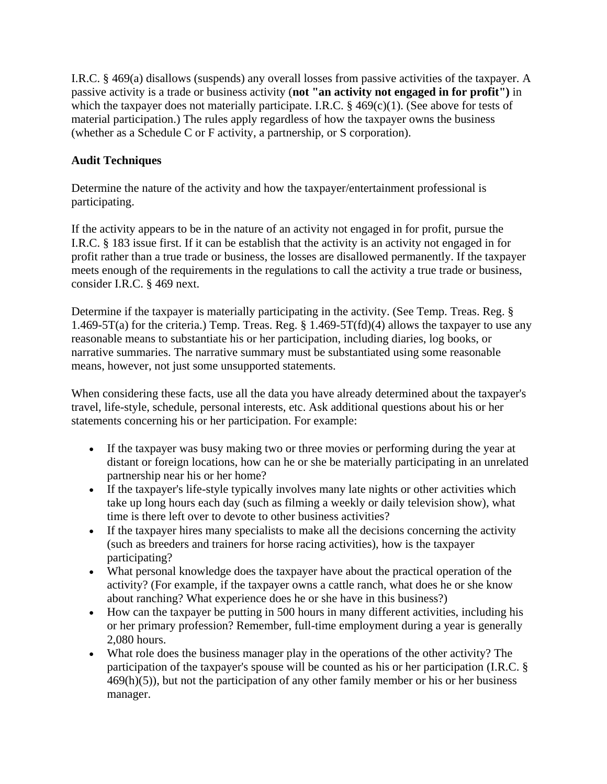I.R.C. § 469(a) disallows (suspends) any overall losses from passive activities of the taxpayer. A passive activity is a trade or business activity (**not "an activity not engaged in for profit")** in which the taxpayer does not materially participate. I.R.C.  $\S$  469(c)(1). (See above for tests of material participation.) The rules apply regardless of how the taxpayer owns the business (whether as a Schedule C or F activity, a partnership, or S corporation).

## **Audit Techniques**

Determine the nature of the activity and how the taxpayer/entertainment professional is participating.

If the activity appears to be in the nature of an activity not engaged in for profit, pursue the I.R.C. § 183 issue first. If it can be establish that the activity is an activity not engaged in for profit rather than a true trade or business, the losses are disallowed permanently. If the taxpayer meets enough of the requirements in the regulations to call the activity a true trade or business, consider I.R.C. § 469 next.

Determine if the taxpayer is materially participating in the activity. (See Temp. Treas. Reg. § 1.469-5T(a) for the criteria.) Temp. Treas. Reg. § 1.469-5T(fd)(4) allows the taxpayer to use any reasonable means to substantiate his or her participation, including diaries, log books, or narrative summaries. The narrative summary must be substantiated using some reasonable means, however, not just some unsupported statements.

When considering these facts, use all the data you have already determined about the taxpayer's travel, life-style, schedule, personal interests, etc. Ask additional questions about his or her statements concerning his or her participation. For example:

- If the taxpayer was busy making two or three movies or performing during the year at distant or foreign locations, how can he or she be materially participating in an unrelated partnership near his or her home?
- If the taxpayer's life-style typically involves many late nights or other activities which take up long hours each day (such as filming a weekly or daily television show), what time is there left over to devote to other business activities?
- If the taxpayer hires many specialists to make all the decisions concerning the activity (such as breeders and trainers for horse racing activities), how is the taxpayer participating?
- What personal knowledge does the taxpayer have about the practical operation of the activity? (For example, if the taxpayer owns a cattle ranch, what does he or she know about ranching? What experience does he or she have in this business?)
- How can the taxpayer be putting in 500 hours in many different activities, including his or her primary profession? Remember, full-time employment during a year is generally 2,080 hours.
- What role does the business manager play in the operations of the other activity? The participation of the taxpayer's spouse will be counted as his or her participation (I.R.C. §  $469(h)(5)$ , but not the participation of any other family member or his or her business manager.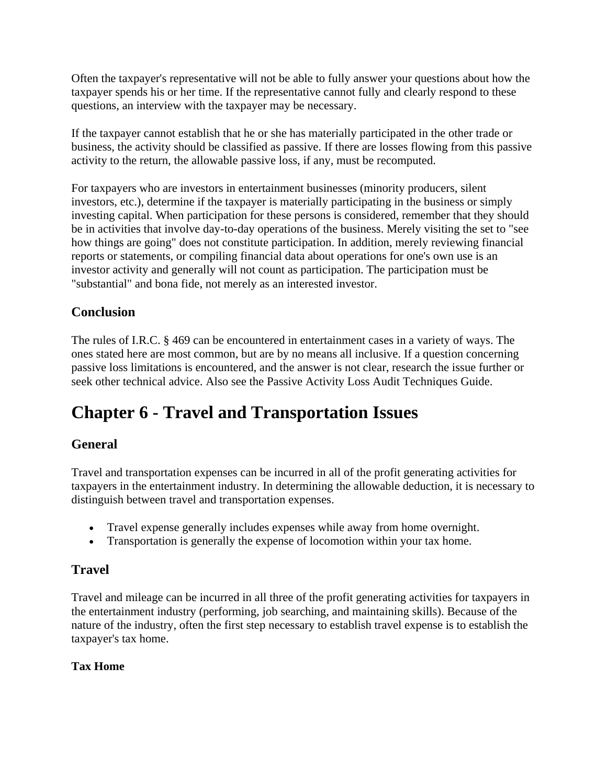Often the taxpayer's representative will not be able to fully answer your questions about how the taxpayer spends his or her time. If the representative cannot fully and clearly respond to these questions, an interview with the taxpayer may be necessary.

If the taxpayer cannot establish that he or she has materially participated in the other trade or business, the activity should be classified as passive. If there are losses flowing from this passive activity to the return, the allowable passive loss, if any, must be recomputed.

For taxpayers who are investors in entertainment businesses (minority producers, silent investors, etc.), determine if the taxpayer is materially participating in the business or simply investing capital. When participation for these persons is considered, remember that they should be in activities that involve day-to-day operations of the business. Merely visiting the set to "see how things are going" does not constitute participation. In addition, merely reviewing financial reports or statements, or compiling financial data about operations for one's own use is an investor activity and generally will not count as participation. The participation must be "substantial" and bona fide, not merely as an interested investor.

## <span id="page-30-0"></span>**Conclusion**

The rules of I.R.C. § 469 can be encountered in entertainment cases in a variety of ways. The ones stated here are most common, but are by no means all inclusive. If a question concerning passive loss limitations is encountered, and the answer is not clear, research the issue further or seek other technical advice. Also see the Passive Activity Loss Audit Techniques Guide.

## <span id="page-30-1"></span>**Chapter 6 - Travel and Transportation Issues**

## <span id="page-30-2"></span>**General**

Travel and transportation expenses can be incurred in all of the profit generating activities for taxpayers in the entertainment industry. In determining the allowable deduction, it is necessary to distinguish between travel and transportation expenses.

- Travel expense generally includes expenses while away from home overnight.
- Transportation is generally the expense of locomotion within your tax home.

## <span id="page-30-3"></span>**Travel**

Travel and mileage can be incurred in all three of the profit generating activities for taxpayers in the entertainment industry (performing, job searching, and maintaining skills). Because of the nature of the industry, often the first step necessary to establish travel expense is to establish the taxpayer's tax home.

## **Tax Home**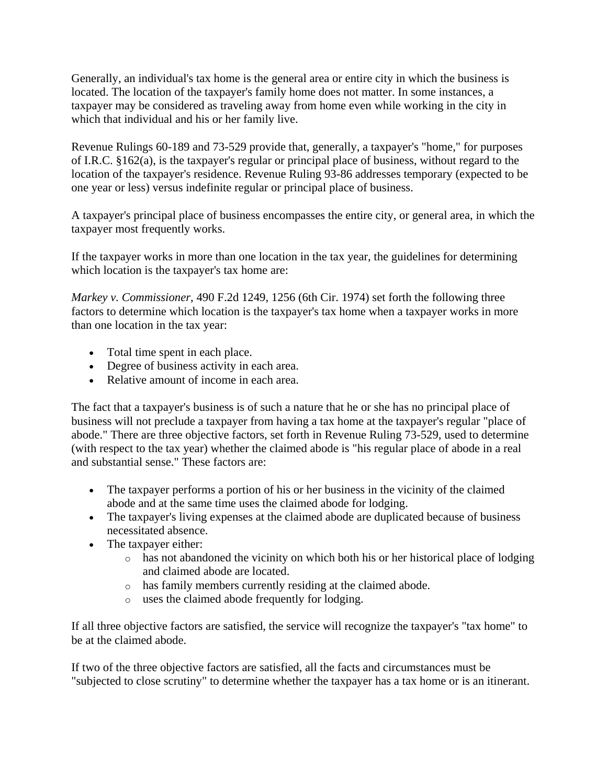Generally, an individual's tax home is the general area or entire city in which the business is located. The location of the taxpayer's family home does not matter. In some instances, a taxpayer may be considered as traveling away from home even while working in the city in which that individual and his or her family live.

Revenue Rulings 60-189 and 73-529 provide that, generally, a taxpayer's "home," for purposes of I.R.C. §162(a), is the taxpayer's regular or principal place of business, without regard to the location of the taxpayer's residence. Revenue Ruling 93-86 addresses temporary (expected to be one year or less) versus indefinite regular or principal place of business.

A taxpayer's principal place of business encompasses the entire city, or general area, in which the taxpayer most frequently works.

If the taxpayer works in more than one location in the tax year, the guidelines for determining which location is the taxpayer's tax home are:

*Markey v. Commissioner*, 490 F.2d 1249, 1256 (6th Cir. 1974) set forth the following three factors to determine which location is the taxpayer's tax home when a taxpayer works in more than one location in the tax year:

- Total time spent in each place.
- Degree of business activity in each area.
- Relative amount of income in each area.

The fact that a taxpayer's business is of such a nature that he or she has no principal place of business will not preclude a taxpayer from having a tax home at the taxpayer's regular "place of abode." There are three objective factors, set forth in Revenue Ruling 73-529, used to determine (with respect to the tax year) whether the claimed abode is "his regular place of abode in a real and substantial sense." These factors are:

- The taxpayer performs a portion of his or her business in the vicinity of the claimed abode and at the same time uses the claimed abode for lodging.
- The taxpayer's living expenses at the claimed abode are duplicated because of business necessitated absence.
- The taxpayer either:
	- o has not abandoned the vicinity on which both his or her historical place of lodging and claimed abode are located.
	- o has family members currently residing at the claimed abode.
	- o uses the claimed abode frequently for lodging.

If all three objective factors are satisfied, the service will recognize the taxpayer's "tax home" to be at the claimed abode.

If two of the three objective factors are satisfied, all the facts and circumstances must be "subjected to close scrutiny" to determine whether the taxpayer has a tax home or is an itinerant.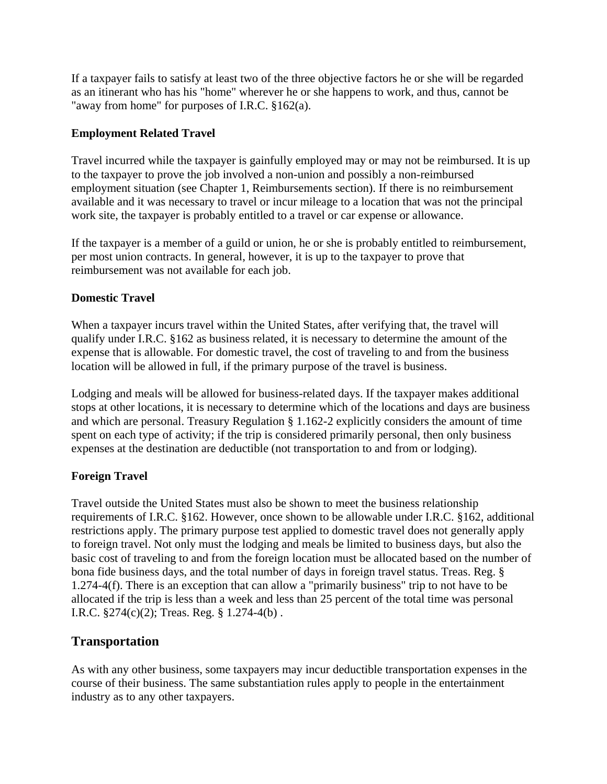If a taxpayer fails to satisfy at least two of the three objective factors he or she will be regarded as an itinerant who has his "home" wherever he or she happens to work, and thus, cannot be "away from home" for purposes of I.R.C. §162(a).

### **Employment Related Travel**

Travel incurred while the taxpayer is gainfully employed may or may not be reimbursed. It is up to the taxpayer to prove the job involved a non-union and possibly a non-reimbursed employment situation (see Chapter 1, Reimbursements section). If there is no reimbursement available and it was necessary to travel or incur mileage to a location that was not the principal work site, the taxpayer is probably entitled to a travel or car expense or allowance.

If the taxpayer is a member of a guild or union, he or she is probably entitled to reimbursement, per most union contracts. In general, however, it is up to the taxpayer to prove that reimbursement was not available for each job.

#### **Domestic Travel**

When a taxpayer incurs travel within the United States, after verifying that, the travel will qualify under I.R.C. §162 as business related, it is necessary to determine the amount of the expense that is allowable. For domestic travel, the cost of traveling to and from the business location will be allowed in full, if the primary purpose of the travel is business.

Lodging and meals will be allowed for business-related days. If the taxpayer makes additional stops at other locations, it is necessary to determine which of the locations and days are business and which are personal. Treasury Regulation § 1.162-2 explicitly considers the amount of time spent on each type of activity; if the trip is considered primarily personal, then only business expenses at the destination are deductible (not transportation to and from or lodging).

### **Foreign Travel**

Travel outside the United States must also be shown to meet the business relationship requirements of I.R.C. §162. However, once shown to be allowable under I.R.C. §162, additional restrictions apply. The primary purpose test applied to domestic travel does not generally apply to foreign travel. Not only must the lodging and meals be limited to business days, but also the basic cost of traveling to and from the foreign location must be allocated based on the number of bona fide business days, and the total number of days in foreign travel status. Treas. Reg. § 1.274-4(f). There is an exception that can allow a "primarily business" trip to not have to be allocated if the trip is less than a week and less than 25 percent of the total time was personal I.R.C. §274(c)(2); Treas. Reg. § 1.274-4(b) .

## <span id="page-32-0"></span>**Transportation**

As with any other business, some taxpayers may incur deductible transportation expenses in the course of their business. The same substantiation rules apply to people in the entertainment industry as to any other taxpayers.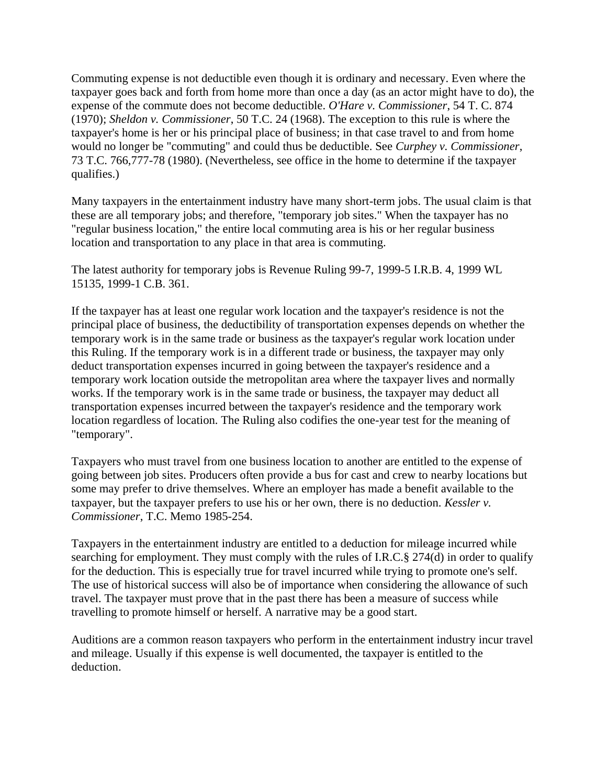Commuting expense is not deductible even though it is ordinary and necessary. Even where the taxpayer goes back and forth from home more than once a day (as an actor might have to do), the expense of the commute does not become deductible. *O'Hare v. Commissioner*, 54 T. C. 874 (1970); *Sheldon v. Commissioner*, 50 T.C. 24 (1968). The exception to this rule is where the taxpayer's home is her or his principal place of business; in that case travel to and from home would no longer be "commuting" and could thus be deductible. See *Curphey v. Commissioner*, 73 T.C. 766,777-78 (1980). (Nevertheless, see office in the home to determine if the taxpayer qualifies.)

Many taxpayers in the entertainment industry have many short-term jobs. The usual claim is that these are all temporary jobs; and therefore, "temporary job sites." When the taxpayer has no "regular business location," the entire local commuting area is his or her regular business location and transportation to any place in that area is commuting.

The latest authority for temporary jobs is Revenue Ruling 99-7, 1999-5 I.R.B. 4, 1999 WL 15135, 1999-1 C.B. 361.

If the taxpayer has at least one regular work location and the taxpayer's residence is not the principal place of business, the deductibility of transportation expenses depends on whether the temporary work is in the same trade or business as the taxpayer's regular work location under this Ruling. If the temporary work is in a different trade or business, the taxpayer may only deduct transportation expenses incurred in going between the taxpayer's residence and a temporary work location outside the metropolitan area where the taxpayer lives and normally works. If the temporary work is in the same trade or business, the taxpayer may deduct all transportation expenses incurred between the taxpayer's residence and the temporary work location regardless of location. The Ruling also codifies the one-year test for the meaning of "temporary".

Taxpayers who must travel from one business location to another are entitled to the expense of going between job sites. Producers often provide a bus for cast and crew to nearby locations but some may prefer to drive themselves. Where an employer has made a benefit available to the taxpayer, but the taxpayer prefers to use his or her own, there is no deduction. *Kessler v. Commissioner*, T.C. Memo 1985-254.

Taxpayers in the entertainment industry are entitled to a deduction for mileage incurred while searching for employment. They must comply with the rules of I.R.C.§ 274(d) in order to qualify for the deduction. This is especially true for travel incurred while trying to promote one's self. The use of historical success will also be of importance when considering the allowance of such travel. The taxpayer must prove that in the past there has been a measure of success while travelling to promote himself or herself. A narrative may be a good start.

Auditions are a common reason taxpayers who perform in the entertainment industry incur travel and mileage. Usually if this expense is well documented, the taxpayer is entitled to the deduction.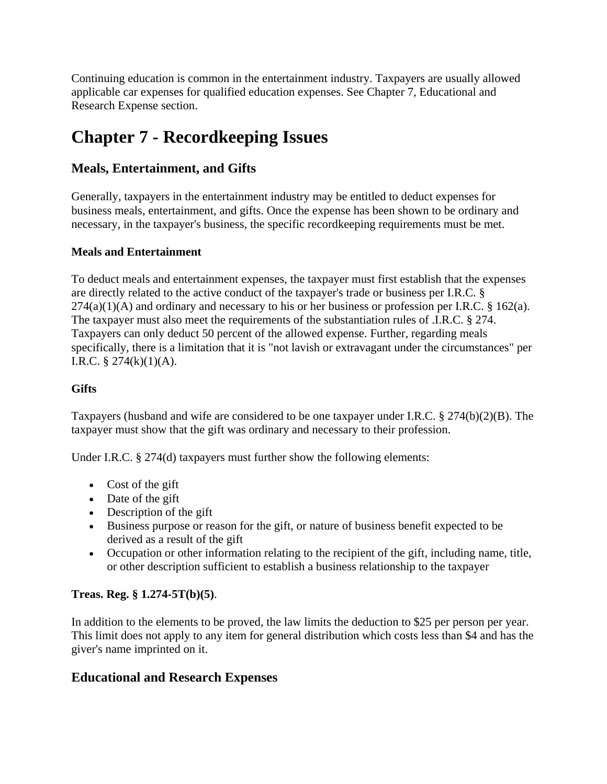Continuing education is common in the entertainment industry. Taxpayers are usually allowed applicable car expenses for qualified education expenses. See Chapter 7, Educational and Research Expense section.

## <span id="page-34-0"></span>**Chapter 7 - Recordkeeping Issues**

## <span id="page-34-1"></span>**Meals, Entertainment, and Gifts**

Generally, taxpayers in the entertainment industry may be entitled to deduct expenses for business meals, entertainment, and gifts. Once the expense has been shown to be ordinary and necessary, in the taxpayer's business, the specific recordkeeping requirements must be met.

## **Meals and Entertainment**

To deduct meals and entertainment expenses, the taxpayer must first establish that the expenses are directly related to the active conduct of the taxpayer's trade or business per I.R.C. §  $274(a)(1)(A)$  and ordinary and necessary to his or her business or profession per I.R.C. § 162(a). The taxpayer must also meet the requirements of the substantiation rules of .I.R.C. § 274. Taxpayers can only deduct 50 percent of the allowed expense. Further, regarding meals specifically, there is a limitation that it is "not lavish or extravagant under the circumstances" per I.R.C.  $\S 274(k)(1)(A)$ .

## **Gifts**

Taxpayers (husband and wife are considered to be one taxpayer under I.R.C. § 274(b)(2)(B). The taxpayer must show that the gift was ordinary and necessary to their profession.

Under I.R.C. § 274(d) taxpayers must further show the following elements:

- Cost of the gift
- Date of the gift
- Description of the gift
- Business purpose or reason for the gift, or nature of business benefit expected to be derived as a result of the gift
- Occupation or other information relating to the recipient of the gift, including name, title, or other description sufficient to establish a business relationship to the taxpayer

## **Treas. Reg. § 1.274-5T(b)(5)**.

In addition to the elements to be proved, the law limits the deduction to \$25 per person per year. This limit does not apply to any item for general distribution which costs less than \$4 and has the giver's name imprinted on it.

## <span id="page-34-2"></span>**Educational and Research Expenses**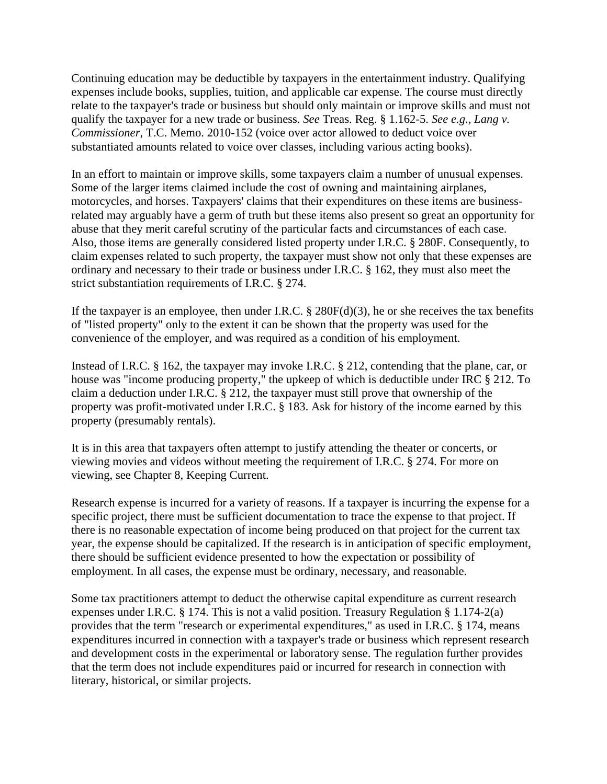Continuing education may be deductible by taxpayers in the entertainment industry. Qualifying expenses include books, supplies, tuition, and applicable car expense. The course must directly relate to the taxpayer's trade or business but should only maintain or improve skills and must not qualify the taxpayer for a new trade or business. *See* Treas. Reg. § 1.162-5. *See e.g., Lang v. Commissioner,* T.C. Memo. 2010-152 (voice over actor allowed to deduct voice over substantiated amounts related to voice over classes, including various acting books).

In an effort to maintain or improve skills, some taxpayers claim a number of unusual expenses. Some of the larger items claimed include the cost of owning and maintaining airplanes, motorcycles, and horses. Taxpayers' claims that their expenditures on these items are businessrelated may arguably have a germ of truth but these items also present so great an opportunity for abuse that they merit careful scrutiny of the particular facts and circumstances of each case. Also, those items are generally considered listed property under I.R.C. § 280F. Consequently, to claim expenses related to such property, the taxpayer must show not only that these expenses are ordinary and necessary to their trade or business under I.R.C. § 162, they must also meet the strict substantiation requirements of I.R.C. § 274.

If the taxpayer is an employee, then under I.R.C.  $\S$  280F(d)(3), he or she receives the tax benefits of "listed property" only to the extent it can be shown that the property was used for the convenience of the employer, and was required as a condition of his employment.

Instead of I.R.C. § 162, the taxpayer may invoke I.R.C. § 212, contending that the plane, car, or house was "income producing property," the upkeep of which is deductible under IRC § 212. To claim a deduction under I.R.C. § 212, the taxpayer must still prove that ownership of the property was profit-motivated under I.R.C. § 183. Ask for history of the income earned by this property (presumably rentals).

It is in this area that taxpayers often attempt to justify attending the theater or concerts, or viewing movies and videos without meeting the requirement of I.R.C. § 274. For more on viewing, see Chapter 8, Keeping Current.

Research expense is incurred for a variety of reasons. If a taxpayer is incurring the expense for a specific project, there must be sufficient documentation to trace the expense to that project. If there is no reasonable expectation of income being produced on that project for the current tax year, the expense should be capitalized. If the research is in anticipation of specific employment, there should be sufficient evidence presented to how the expectation or possibility of employment. In all cases, the expense must be ordinary, necessary, and reasonable.

Some tax practitioners attempt to deduct the otherwise capital expenditure as current research expenses under I.R.C. § 174. This is not a valid position. Treasury Regulation § 1.174-2(a) provides that the term "research or experimental expenditures," as used in I.R.C. § 174, means expenditures incurred in connection with a taxpayer's trade or business which represent research and development costs in the experimental or laboratory sense. The regulation further provides that the term does not include expenditures paid or incurred for research in connection with literary, historical, or similar projects.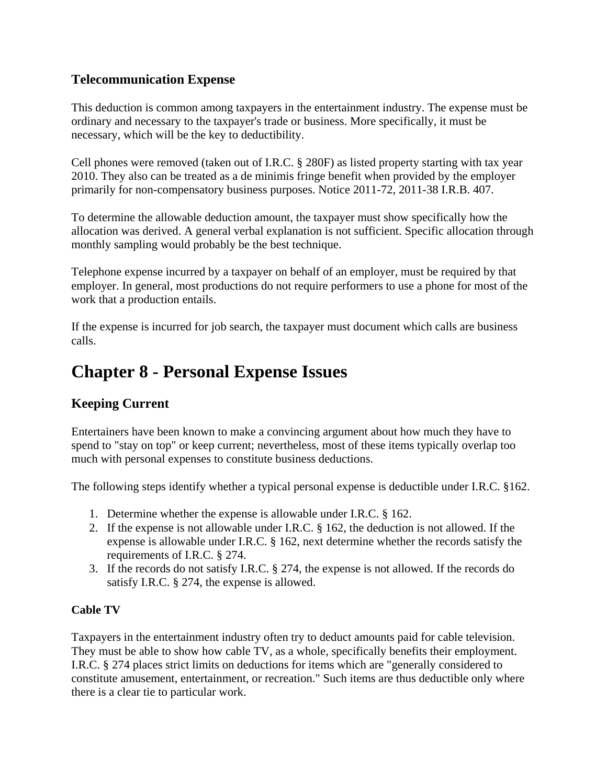# **Telecommunication Expense**

This deduction is common among taxpayers in the entertainment industry. The expense must be ordinary and necessary to the taxpayer's trade or business. More specifically, it must be necessary, which will be the key to deductibility.

Cell phones were removed (taken out of I.R.C. § 280F) as listed property starting with tax year 2010. They also can be treated as a de minimis fringe benefit when provided by the employer primarily for non-compensatory business purposes. Notice 2011-72, 2011-38 I.R.B. 407.

To determine the allowable deduction amount, the taxpayer must show specifically how the allocation was derived. A general verbal explanation is not sufficient. Specific allocation through monthly sampling would probably be the best technique.

Telephone expense incurred by a taxpayer on behalf of an employer, must be required by that employer. In general, most productions do not require performers to use a phone for most of the work that a production entails.

If the expense is incurred for job search, the taxpayer must document which calls are business calls.

# **Chapter 8 - Personal Expense Issues**

# **Keeping Current**

Entertainers have been known to make a convincing argument about how much they have to spend to "stay on top" or keep current; nevertheless, most of these items typically overlap too much with personal expenses to constitute business deductions.

The following steps identify whether a typical personal expense is deductible under I.R.C. §162.

- 1. Determine whether the expense is allowable under I.R.C. § 162.
- 2. If the expense is not allowable under I.R.C. § 162, the deduction is not allowed. If the expense is allowable under I.R.C. § 162, next determine whether the records satisfy the requirements of I.R.C. § 274.
- 3. If the records do not satisfy I.R.C. § 274, the expense is not allowed. If the records do satisfy I.R.C. § 274, the expense is allowed.

## **Cable TV**

Taxpayers in the entertainment industry often try to deduct amounts paid for cable television. They must be able to show how cable TV, as a whole, specifically benefits their employment. I.R.C. § 274 places strict limits on deductions for items which are "generally considered to constitute amusement, entertainment, or recreation." Such items are thus deductible only where there is a clear tie to particular work.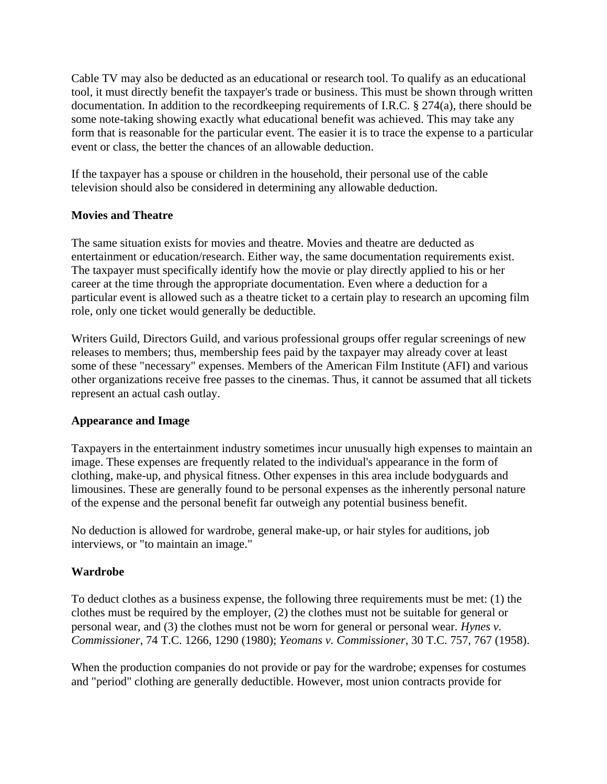Cable TV may also be deducted as an educational or research tool. To qualify as an educational tool, it must directly benefit the taxpayer's trade or business. This must be shown through written documentation. In addition to the recordkeeping requirements of I.R.C. § 274(a), there should be some note-taking showing exactly what educational benefit was achieved. This may take any form that is reasonable for the particular event. The easier it is to trace the expense to a particular event or class, the better the chances of an allowable deduction.

If the taxpayer has a spouse or children in the household, their personal use of the cable television should also be considered in determining any allowable deduction.

### **Movies and Theatre**

The same situation exists for movies and theatre. Movies and theatre are deducted as entertainment or education/research. Either way, the same documentation requirements exist. The taxpayer must specifically identify how the movie or play directly applied to his or her career at the time through the appropriate documentation. Even where a deduction for a particular event is allowed such as a theatre ticket to a certain play to research an upcoming film role, only one ticket would generally be deductible.

Writers Guild, Directors Guild, and various professional groups offer regular screenings of new releases to members; thus, membership fees paid by the taxpayer may already cover at least some of these "necessary" expenses. Members of the American Film Institute (AFI) and various other organizations receive free passes to the cinemas. Thus, it cannot be assumed that all tickets represent an actual cash outlay.

#### **Appearance and Image**

Taxpayers in the entertainment industry sometimes incur unusually high expenses to maintain an image. These expenses are frequently related to the individual's appearance in the form of clothing, make-up, and physical fitness. Other expenses in this area include bodyguards and limousines. These are generally found to be personal expenses as the inherently personal nature of the expense and the personal benefit far outweigh any potential business benefit.

No deduction is allowed for wardrobe, general make-up, or hair styles for auditions, job interviews, or "to maintain an image."

## **Wardrobe**

To deduct clothes as a business expense, the following three requirements must be met: (1) the clothes must be required by the employer, (2) the clothes must not be suitable for general or personal wear, and (3) the clothes must not be worn for general or personal wear. *Hynes v. Commissioner*, 74 T.C. 1266, 1290 (1980); *Yeomans v. Commissioner*, 30 T.C. 757, 767 (1958).

When the production companies do not provide or pay for the wardrobe; expenses for costumes and "period" clothing are generally deductible. However, most union contracts provide for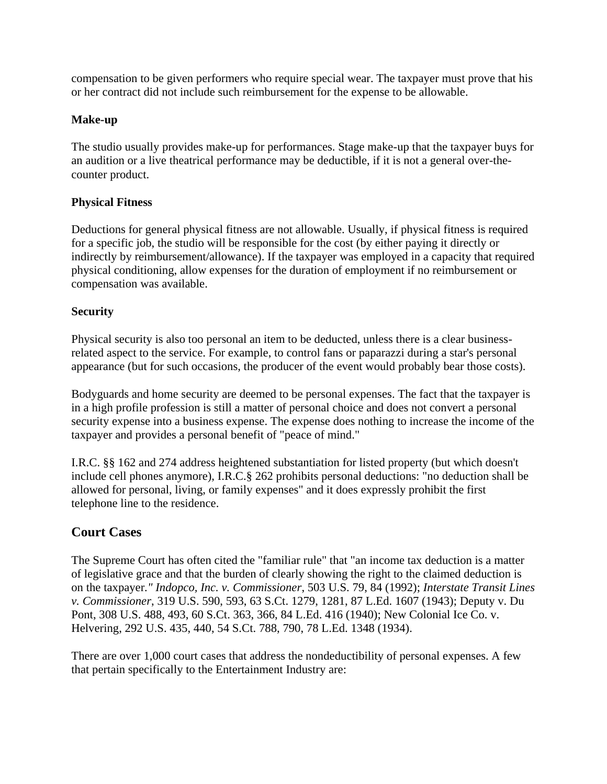compensation to be given performers who require special wear. The taxpayer must prove that his or her contract did not include such reimbursement for the expense to be allowable.

#### **Make-up**

The studio usually provides make-up for performances. Stage make-up that the taxpayer buys for an audition or a live theatrical performance may be deductible, if it is not a general over-thecounter product.

### **Physical Fitness**

Deductions for general physical fitness are not allowable. Usually, if physical fitness is required for a specific job, the studio will be responsible for the cost (by either paying it directly or indirectly by reimbursement/allowance). If the taxpayer was employed in a capacity that required physical conditioning, allow expenses for the duration of employment if no reimbursement or compensation was available.

### **Security**

Physical security is also too personal an item to be deducted, unless there is a clear businessrelated aspect to the service. For example, to control fans or paparazzi during a star's personal appearance (but for such occasions, the producer of the event would probably bear those costs).

Bodyguards and home security are deemed to be personal expenses. The fact that the taxpayer is in a high profile profession is still a matter of personal choice and does not convert a personal security expense into a business expense. The expense does nothing to increase the income of the taxpayer and provides a personal benefit of "peace of mind."

I.R.C. §§ 162 and 274 address heightened substantiation for listed property (but which doesn't include cell phones anymore), I.R.C.§ 262 prohibits personal deductions: "no deduction shall be allowed for personal, living, or family expenses" and it does expressly prohibit the first telephone line to the residence.

# **Court Cases**

The Supreme Court has often cited the "familiar rule" that "an income tax deduction is a matter of legislative grace and that the burden of clearly showing the right to the claimed deduction is on the taxpayer*." Indopco, Inc. v. Commissioner*, 503 U.S. 79, 84 (1992); *Interstate Transit Lines v. Commissioner*, 319 U.S. 590, 593, 63 S.Ct. 1279, 1281, 87 L.Ed. 1607 (1943); Deputy v. Du Pont, 308 U.S. 488, 493, 60 S.Ct. 363, 366, 84 L.Ed. 416 (1940); New Colonial Ice Co. v. Helvering, 292 U.S. 435, 440, 54 S.Ct. 788, 790, 78 L.Ed. 1348 (1934).

There are over 1,000 court cases that address the nondeductibility of personal expenses. A few that pertain specifically to the Entertainment Industry are: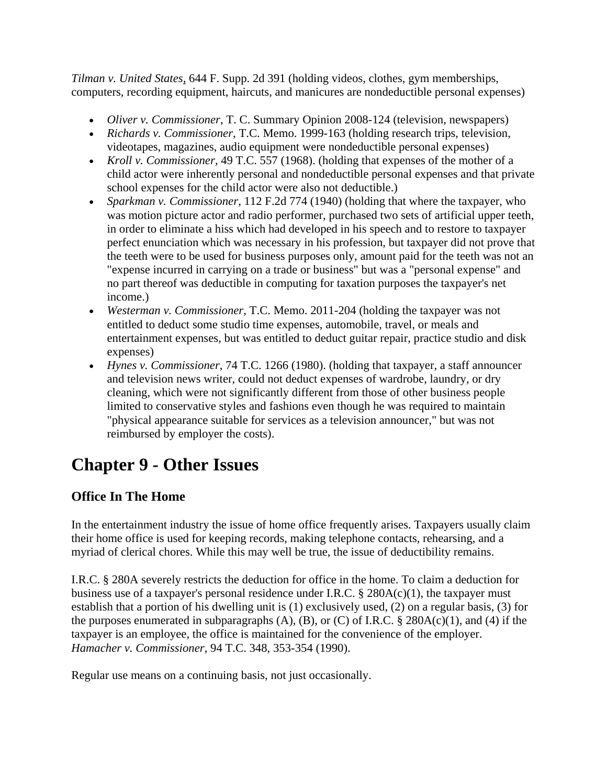*Tilman v. United States*, 644 F. Supp. 2d 391 (holding videos, clothes, gym memberships, computers, recording equipment, haircuts, and manicures are nondeductible personal expenses)

- *Oliver v. Commissioner*, T. C. Summary Opinion 2008-124 (television, newspapers)
- *Richards v. Commissioner*, T.C. Memo. 1999-163 (holding research trips, television, videotapes, magazines, audio equipment were nondeductible personal expenses)
- *Kroll v. Commissioner*, 49 T.C. 557 (1968). (holding that expenses of the mother of a child actor were inherently personal and nondeductible personal expenses and that private school expenses for the child actor were also not deductible.)
- *Sparkman v. Commissioner*, 112 F.2d 774 (1940) (holding that where the taxpayer, who was motion picture actor and radio performer, purchased two sets of artificial upper teeth, in order to eliminate a hiss which had developed in his speech and to restore to taxpayer perfect enunciation which was necessary in his profession, but taxpayer did not prove that the teeth were to be used for business purposes only, amount paid for the teeth was not an "expense incurred in carrying on a trade or business" but was a "personal expense" and no part thereof was deductible in computing for taxation purposes the taxpayer's net income.)
- *Westerman v. Commissioner*, T.C. Memo. 2011-204 (holding the taxpayer was not entitled to deduct some studio time expenses, automobile, travel, or meals and entertainment expenses, but was entitled to deduct guitar repair, practice studio and disk expenses)
- *Hynes v. Commissioner*, 74 T.C. 1266 (1980). (holding that taxpayer, a staff announcer and television news writer, could not deduct expenses of wardrobe, laundry, or dry cleaning, which were not significantly different from those of other business people limited to conservative styles and fashions even though he was required to maintain "physical appearance suitable for services as a television announcer," but was not reimbursed by employer the costs).

# **Chapter 9 - Other Issues**

# **Office In The Home**

In the entertainment industry the issue of home office frequently arises. Taxpayers usually claim their home office is used for keeping records, making telephone contacts, rehearsing, and a myriad of clerical chores. While this may well be true, the issue of deductibility remains.

I.R.C. § 280A severely restricts the deduction for office in the home. To claim a deduction for business use of a taxpayer's personal residence under I.R.C.  $\S$  280A(c)(1), the taxpayer must establish that a portion of his dwelling unit is (1) exclusively used, (2) on a regular basis, (3) for the purposes enumerated in subparagraphs  $(A)$ ,  $(B)$ , or  $(C)$  of I.R.C. § 280A(c)(1), and (4) if the taxpayer is an employee, the office is maintained for the convenience of the employer. *Hamacher v. Commissioner*, 94 T.C. 348, 353-354 (1990).

Regular use means on a continuing basis, not just occasionally.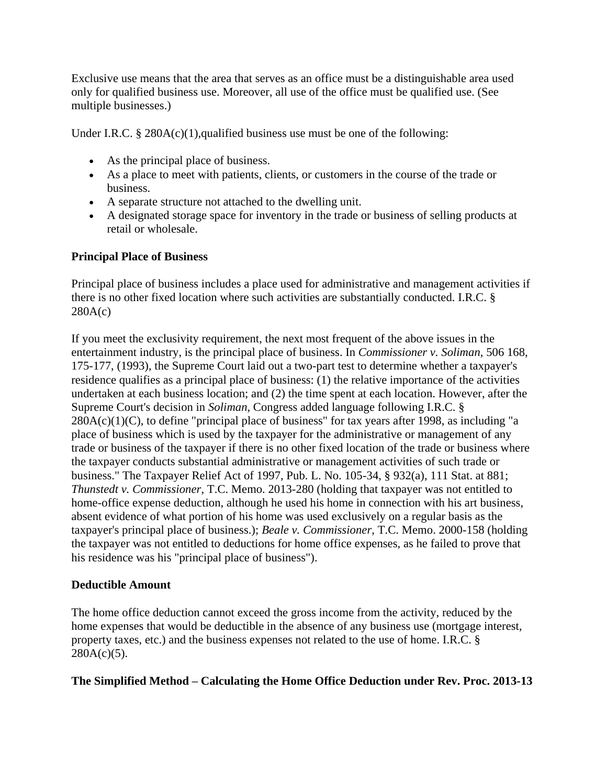Exclusive use means that the area that serves as an office must be a distinguishable area used only for qualified business use. Moreover, all use of the office must be qualified use. (See multiple businesses.)

Under I.R.C. § 280A(c)(1),qualified business use must be one of the following:

- As the principal place of business.
- As a place to meet with patients, clients, or customers in the course of the trade or business.
- A separate structure not attached to the dwelling unit.
- A designated storage space for inventory in the trade or business of selling products at retail or wholesale.

#### **Principal Place of Business**

Principal place of business includes a place used for administrative and management activities if there is no other fixed location where such activities are substantially conducted. I.R.C. § 280A(c)

If you meet the exclusivity requirement, the next most frequent of the above issues in the entertainment industry, is the principal place of business. In *Commissioner v. Soliman*, 506 168, 175-177, (1993), the Supreme Court laid out a two-part test to determine whether a taxpayer's residence qualifies as a principal place of business: (1) the relative importance of the activities undertaken at each business location; and (2) the time spent at each location. However, after the Supreme Court's decision in *Soliman,* Congress added language following I.R.C. §  $280A(c)(1)(C)$ , to define "principal place of business" for tax years after 1998, as including "a place of business which is used by the taxpayer for the administrative or management of any trade or business of the taxpayer if there is no other fixed location of the trade or business where the taxpayer conducts substantial administrative or management activities of such trade or business." The Taxpayer Relief Act of 1997, Pub. L. No. 105-34, § 932(a), 111 Stat. at 881; *Thunstedt v. Commissioner*, T.C. Memo. 2013-280 (holding that taxpayer was not entitled to home-office expense deduction, although he used his home in connection with his art business, absent evidence of what portion of his home was used exclusively on a regular basis as the taxpayer's principal place of business.); *Beale v. Commissioner*, T.C. Memo. 2000-158 (holding the taxpayer was not entitled to deductions for home office expenses, as he failed to prove that his residence was his "principal place of business").

#### **Deductible Amount**

The home office deduction cannot exceed the gross income from the activity, reduced by the home expenses that would be deductible in the absence of any business use (mortgage interest, property taxes, etc.) and the business expenses not related to the use of home. I.R.C. §  $280A(c)(5)$ .

**The Simplified Method – Calculating the Home Office Deduction under Rev. Proc. 2013-13**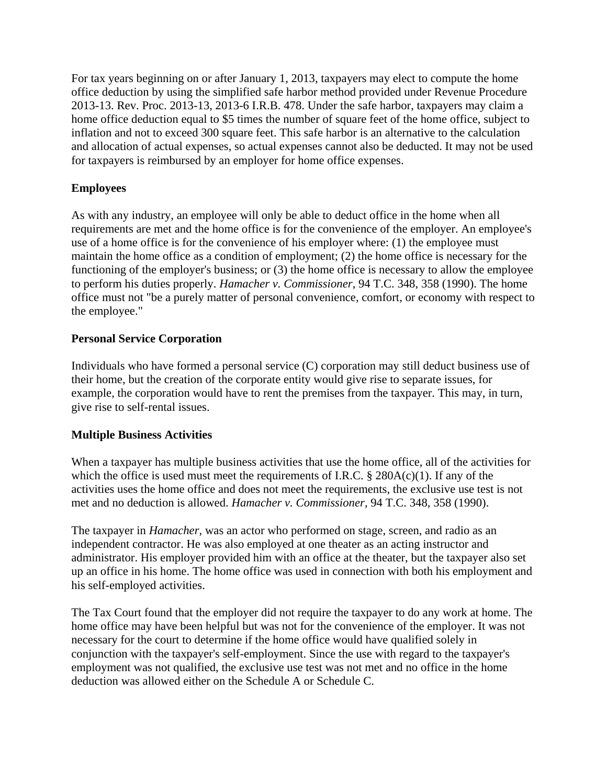For tax years beginning on or after January 1, 2013, taxpayers may elect to compute the home office deduction by using the simplified safe harbor method provided under Revenue Procedure 2013-13. Rev. Proc. 2013-13, 2013-6 I.R.B. 478. Under the safe harbor, taxpayers may claim a home office deduction equal to \$5 times the number of square feet of the home office, subject to inflation and not to exceed 300 square feet. This safe harbor is an alternative to the calculation and allocation of actual expenses, so actual expenses cannot also be deducted. It may not be used for taxpayers is reimbursed by an employer for home office expenses.

### **Employees**

As with any industry, an employee will only be able to deduct office in the home when all requirements are met and the home office is for the convenience of the employer. An employee's use of a home office is for the convenience of his employer where: (1) the employee must maintain the home office as a condition of employment; (2) the home office is necessary for the functioning of the employer's business; or (3) the home office is necessary to allow the employee to perform his duties properly. *Hamacher v. Commissioner*, 94 T.C. 348, 358 (1990). The home office must not "be a purely matter of personal convenience, comfort, or economy with respect to the employee."

### **Personal Service Corporation**

Individuals who have formed a personal service (C) corporation may still deduct business use of their home, but the creation of the corporate entity would give rise to separate issues, for example, the corporation would have to rent the premises from the taxpayer. This may, in turn, give rise to self-rental issues.

#### **Multiple Business Activities**

When a taxpayer has multiple business activities that use the home office, all of the activities for which the office is used must meet the requirements of I.R.C.  $\S$  280A(c)(1). If any of the activities uses the home office and does not meet the requirements, the exclusive use test is not met and no deduction is allowed. *Hamacher v. Commissioner*, 94 T.C. 348, 358 (1990).

The taxpayer in *Hamacher,* was an actor who performed on stage, screen, and radio as an independent contractor. He was also employed at one theater as an acting instructor and administrator. His employer provided him with an office at the theater, but the taxpayer also set up an office in his home. The home office was used in connection with both his employment and his self-employed activities.

The Tax Court found that the employer did not require the taxpayer to do any work at home. The home office may have been helpful but was not for the convenience of the employer. It was not necessary for the court to determine if the home office would have qualified solely in conjunction with the taxpayer's self-employment. Since the use with regard to the taxpayer's employment was not qualified, the exclusive use test was not met and no office in the home deduction was allowed either on the Schedule A or Schedule C.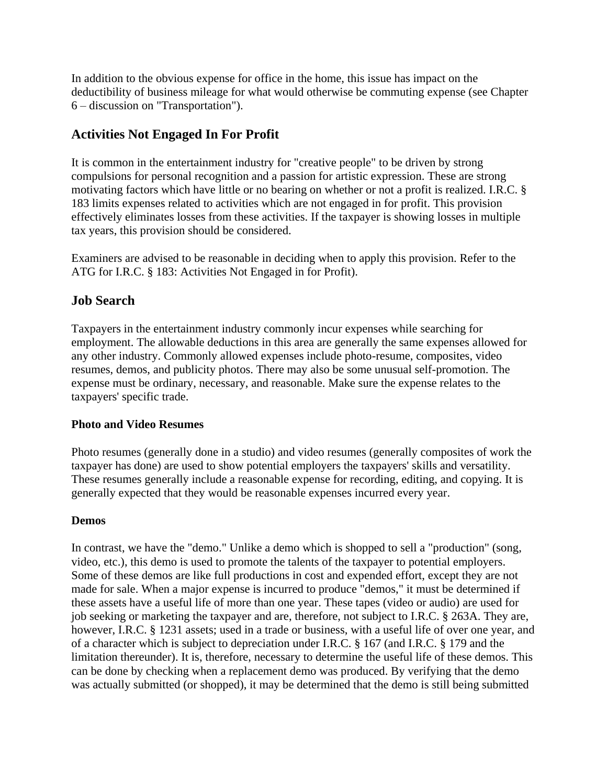In addition to the obvious expense for office in the home, this issue has impact on the deductibility of business mileage for what would otherwise be commuting expense (see Chapter 6 – discussion on "Transportation").

## **Activities Not Engaged In For Profit**

It is common in the entertainment industry for "creative people" to be driven by strong compulsions for personal recognition and a passion for artistic expression. These are strong motivating factors which have little or no bearing on whether or not a profit is realized. I.R.C. § 183 limits expenses related to activities which are not engaged in for profit. This provision effectively eliminates losses from these activities. If the taxpayer is showing losses in multiple tax years, this provision should be considered.

Examiners are advised to be reasonable in deciding when to apply this provision. Refer to the ATG for I.R.C. § 183: Activities Not Engaged in for Profit).

## **Job Search**

Taxpayers in the entertainment industry commonly incur expenses while searching for employment. The allowable deductions in this area are generally the same expenses allowed for any other industry. Commonly allowed expenses include photo-resume, composites, video resumes, demos, and publicity photos. There may also be some unusual self-promotion. The expense must be ordinary, necessary, and reasonable. Make sure the expense relates to the taxpayers' specific trade.

#### **Photo and Video Resumes**

Photo resumes (generally done in a studio) and video resumes (generally composites of work the taxpayer has done) are used to show potential employers the taxpayers' skills and versatility. These resumes generally include a reasonable expense for recording, editing, and copying. It is generally expected that they would be reasonable expenses incurred every year.

#### **Demos**

In contrast, we have the "demo." Unlike a demo which is shopped to sell a "production" (song, video, etc.), this demo is used to promote the talents of the taxpayer to potential employers. Some of these demos are like full productions in cost and expended effort, except they are not made for sale. When a major expense is incurred to produce "demos," it must be determined if these assets have a useful life of more than one year. These tapes (video or audio) are used for job seeking or marketing the taxpayer and are, therefore, not subject to I.R.C. § 263A. They are, however, I.R.C. § 1231 assets; used in a trade or business, with a useful life of over one year, and of a character which is subject to depreciation under I.R.C. § 167 (and I.R.C. § 179 and the limitation thereunder). It is, therefore, necessary to determine the useful life of these demos. This can be done by checking when a replacement demo was produced. By verifying that the demo was actually submitted (or shopped), it may be determined that the demo is still being submitted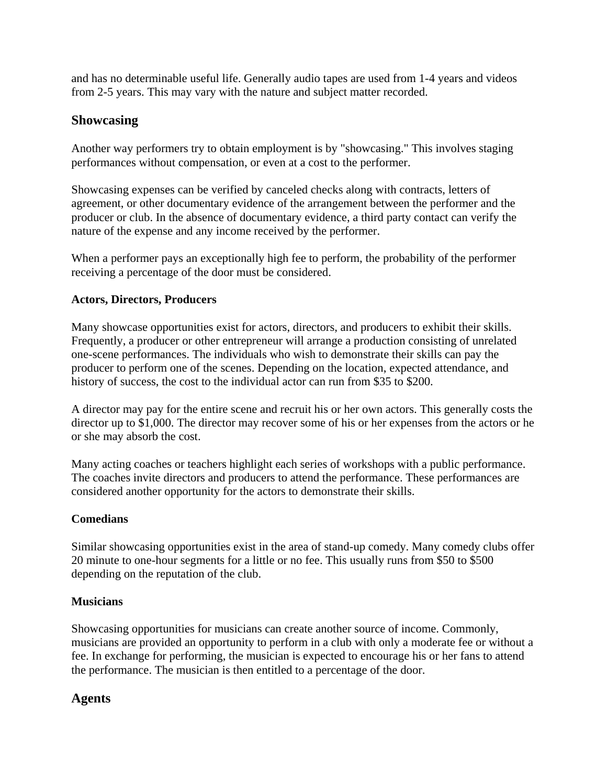and has no determinable useful life. Generally audio tapes are used from 1-4 years and videos from 2-5 years. This may vary with the nature and subject matter recorded.

## **Showcasing**

Another way performers try to obtain employment is by "showcasing." This involves staging performances without compensation, or even at a cost to the performer.

Showcasing expenses can be verified by canceled checks along with contracts, letters of agreement, or other documentary evidence of the arrangement between the performer and the producer or club. In the absence of documentary evidence, a third party contact can verify the nature of the expense and any income received by the performer.

When a performer pays an exceptionally high fee to perform, the probability of the performer receiving a percentage of the door must be considered.

#### **Actors, Directors, Producers**

Many showcase opportunities exist for actors, directors, and producers to exhibit their skills. Frequently, a producer or other entrepreneur will arrange a production consisting of unrelated one-scene performances. The individuals who wish to demonstrate their skills can pay the producer to perform one of the scenes. Depending on the location, expected attendance, and history of success, the cost to the individual actor can run from \$35 to \$200.

A director may pay for the entire scene and recruit his or her own actors. This generally costs the director up to \$1,000. The director may recover some of his or her expenses from the actors or he or she may absorb the cost.

Many acting coaches or teachers highlight each series of workshops with a public performance. The coaches invite directors and producers to attend the performance. These performances are considered another opportunity for the actors to demonstrate their skills.

#### **Comedians**

Similar showcasing opportunities exist in the area of stand-up comedy. Many comedy clubs offer 20 minute to one-hour segments for a little or no fee. This usually runs from \$50 to \$500 depending on the reputation of the club.

#### **Musicians**

Showcasing opportunities for musicians can create another source of income. Commonly, musicians are provided an opportunity to perform in a club with only a moderate fee or without a fee. In exchange for performing, the musician is expected to encourage his or her fans to attend the performance. The musician is then entitled to a percentage of the door.

## **Agents**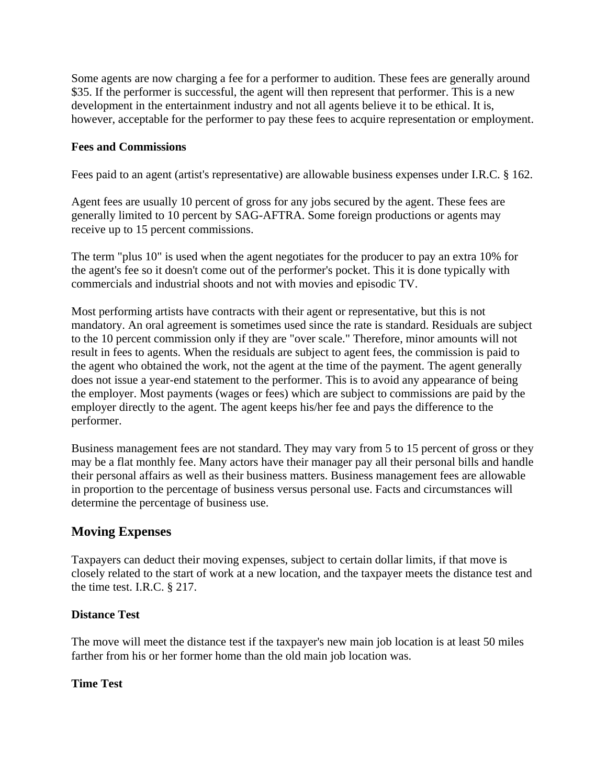Some agents are now charging a fee for a performer to audition. These fees are generally around \$35. If the performer is successful, the agent will then represent that performer. This is a new development in the entertainment industry and not all agents believe it to be ethical. It is, however, acceptable for the performer to pay these fees to acquire representation or employment.

#### **Fees and Commissions**

Fees paid to an agent (artist's representative) are allowable business expenses under I.R.C. § 162.

Agent fees are usually 10 percent of gross for any jobs secured by the agent. These fees are generally limited to 10 percent by SAG-AFTRA. Some foreign productions or agents may receive up to 15 percent commissions.

The term "plus 10" is used when the agent negotiates for the producer to pay an extra 10% for the agent's fee so it doesn't come out of the performer's pocket. This it is done typically with commercials and industrial shoots and not with movies and episodic TV.

Most performing artists have contracts with their agent or representative, but this is not mandatory. An oral agreement is sometimes used since the rate is standard. Residuals are subject to the 10 percent commission only if they are "over scale." Therefore, minor amounts will not result in fees to agents. When the residuals are subject to agent fees, the commission is paid to the agent who obtained the work, not the agent at the time of the payment. The agent generally does not issue a year-end statement to the performer. This is to avoid any appearance of being the employer. Most payments (wages or fees) which are subject to commissions are paid by the employer directly to the agent. The agent keeps his/her fee and pays the difference to the performer.

Business management fees are not standard. They may vary from 5 to 15 percent of gross or they may be a flat monthly fee. Many actors have their manager pay all their personal bills and handle their personal affairs as well as their business matters. Business management fees are allowable in proportion to the percentage of business versus personal use. Facts and circumstances will determine the percentage of business use.

#### **Moving Expenses**

Taxpayers can deduct their moving expenses, subject to certain dollar limits, if that move is closely related to the start of work at a new location, and the taxpayer meets the distance test and the time test. I.R.C. § 217.

#### **Distance Test**

The move will meet the distance test if the taxpayer's new main job location is at least 50 miles farther from his or her former home than the old main job location was.

#### **Time Test**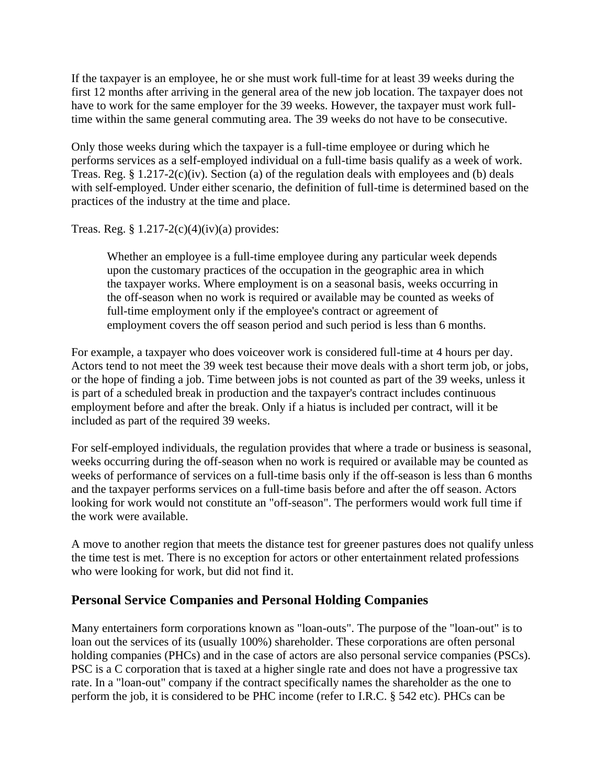If the taxpayer is an employee, he or she must work full-time for at least 39 weeks during the first 12 months after arriving in the general area of the new job location. The taxpayer does not have to work for the same employer for the 39 weeks. However, the taxpayer must work fulltime within the same general commuting area. The 39 weeks do not have to be consecutive.

Only those weeks during which the taxpayer is a full-time employee or during which he performs services as a self-employed individual on a full-time basis qualify as a week of work. Treas. Reg. § 1.217-2(c)(iv). Section (a) of the regulation deals with employees and (b) deals with self-employed. Under either scenario, the definition of full-time is determined based on the practices of the industry at the time and place.

Treas. Reg.  $\S 1.217-2(c)(4)(iv)(a)$  provides:

Whether an employee is a full-time employee during any particular week depends upon the customary practices of the occupation in the geographic area in which the taxpayer works. Where employment is on a seasonal basis, weeks occurring in the off-season when no work is required or available may be counted as weeks of full-time employment only if the employee's contract or agreement of employment covers the off season period and such period is less than 6 months.

For example, a taxpayer who does voiceover work is considered full-time at 4 hours per day. Actors tend to not meet the 39 week test because their move deals with a short term job, or jobs, or the hope of finding a job. Time between jobs is not counted as part of the 39 weeks, unless it is part of a scheduled break in production and the taxpayer's contract includes continuous employment before and after the break. Only if a hiatus is included per contract, will it be included as part of the required 39 weeks.

For self-employed individuals, the regulation provides that where a trade or business is seasonal, weeks occurring during the off-season when no work is required or available may be counted as weeks of performance of services on a full-time basis only if the off-season is less than 6 months and the taxpayer performs services on a full-time basis before and after the off season. Actors looking for work would not constitute an "off-season". The performers would work full time if the work were available.

A move to another region that meets the distance test for greener pastures does not qualify unless the time test is met. There is no exception for actors or other entertainment related professions who were looking for work, but did not find it.

## **Personal Service Companies and Personal Holding Companies**

Many entertainers form corporations known as "loan-outs". The purpose of the "loan-out" is to loan out the services of its (usually 100%) shareholder. These corporations are often personal holding companies (PHCs) and in the case of actors are also personal service companies (PSCs). PSC is a C corporation that is taxed at a higher single rate and does not have a progressive tax rate. In a "loan-out" company if the contract specifically names the shareholder as the one to perform the job, it is considered to be PHC income (refer to I.R.C. § 542 etc). PHCs can be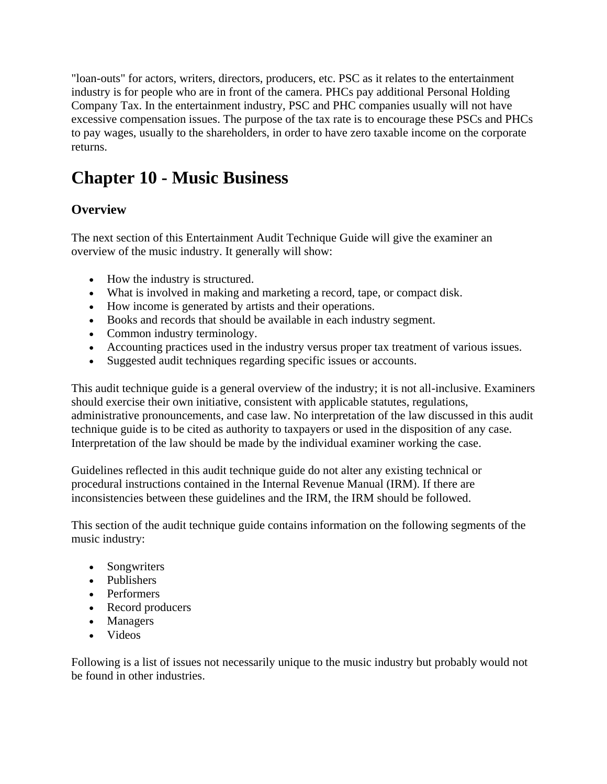"loan-outs" for actors, writers, directors, producers, etc. PSC as it relates to the entertainment industry is for people who are in front of the camera. PHCs pay additional Personal Holding Company Tax. In the entertainment industry, PSC and PHC companies usually will not have excessive compensation issues. The purpose of the tax rate is to encourage these PSCs and PHCs to pay wages, usually to the shareholders, in order to have zero taxable income on the corporate returns.

# **Chapter 10 - Music Business**

# **Overview**

The next section of this Entertainment Audit Technique Guide will give the examiner an overview of the music industry. It generally will show:

- How the industry is structured.
- What is involved in making and marketing a record, tape, or compact disk.
- How income is generated by artists and their operations.
- Books and records that should be available in each industry segment.
- Common industry terminology.
- Accounting practices used in the industry versus proper tax treatment of various issues.
- Suggested audit techniques regarding specific issues or accounts.

This audit technique guide is a general overview of the industry; it is not all-inclusive. Examiners should exercise their own initiative, consistent with applicable statutes, regulations, administrative pronouncements, and case law. No interpretation of the law discussed in this audit technique guide is to be cited as authority to taxpayers or used in the disposition of any case. Interpretation of the law should be made by the individual examiner working the case.

Guidelines reflected in this audit technique guide do not alter any existing technical or procedural instructions contained in the Internal Revenue Manual (IRM). If there are inconsistencies between these guidelines and the IRM, the IRM should be followed.

This section of the audit technique guide contains information on the following segments of the music industry:

- Songwriters
- Publishers
- Performers
- Record producers
- Managers
- Videos

Following is a list of issues not necessarily unique to the music industry but probably would not be found in other industries.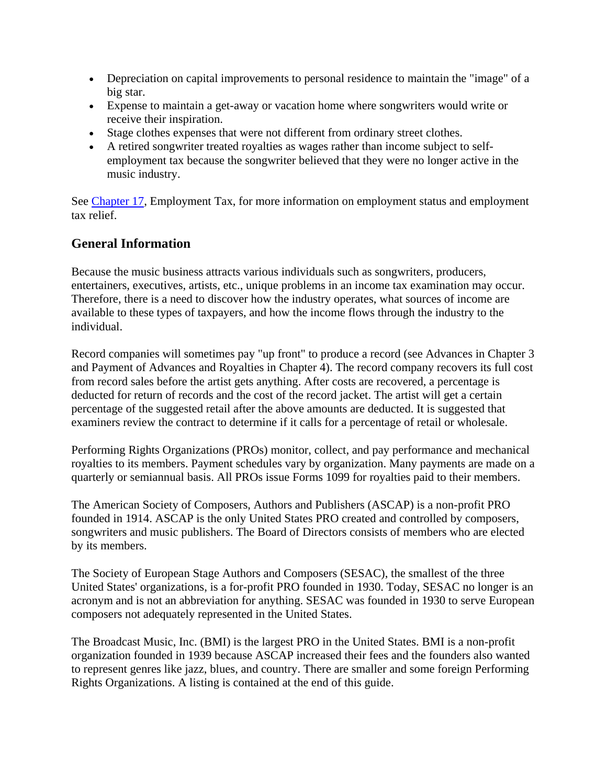- Depreciation on capital improvements to personal residence to maintain the "image" of a big star.
- Expense to maintain a get-away or vacation home where songwriters would write or receive their inspiration.
- Stage clothes expenses that were not different from ordinary street clothes.
- A retired songwriter treated royalties as wages rather than income subject to selfemployment tax because the songwriter believed that they were no longer active in the music industry.

See Chapter 17, Employment Tax, for more information on employment status and employment tax relief.

## **General Information**

Because the music business attracts various individuals such as songwriters, producers, entertainers, executives, artists, etc., unique problems in an income tax examination may occur. Therefore, there is a need to discover how the industry operates, what sources of income are available to these types of taxpayers, and how the income flows through the industry to the individual.

Record companies will sometimes pay "up front" to produce a record (see Advances in Chapter 3 and Payment of Advances and Royalties in Chapter 4). The record company recovers its full cost from record sales before the artist gets anything. After costs are recovered, a percentage is deducted for return of records and the cost of the record jacket. The artist will get a certain percentage of the suggested retail after the above amounts are deducted. It is suggested that examiners review the contract to determine if it calls for a percentage of retail or wholesale.

Performing Rights Organizations (PROs) monitor, collect, and pay performance and mechanical royalties to its members. Payment schedules vary by organization. Many payments are made on a quarterly or semiannual basis. All PROs issue Forms 1099 for royalties paid to their members.

The American Society of Composers, Authors and Publishers (ASCAP) is a non-profit PRO founded in 1914. ASCAP is the only United States PRO created and controlled by composers, songwriters and music publishers. The Board of Directors consists of members who are elected by its members.

The Society of European Stage Authors and Composers (SESAC), the smallest of the three United States' organizations, is a for-profit PRO founded in 1930. Today, SESAC no longer is an acronym and is not an abbreviation for anything. SESAC was founded in 1930 to serve European composers not adequately represented in the United States.

The Broadcast Music, Inc. (BMI) is the largest PRO in the United States. BMI is a non-profit organization founded in 1939 because ASCAP increased their fees and the founders also wanted to represent genres like jazz, blues, and country. There are smaller and some foreign Performing Rights Organizations. A listing is contained at the end of this guide.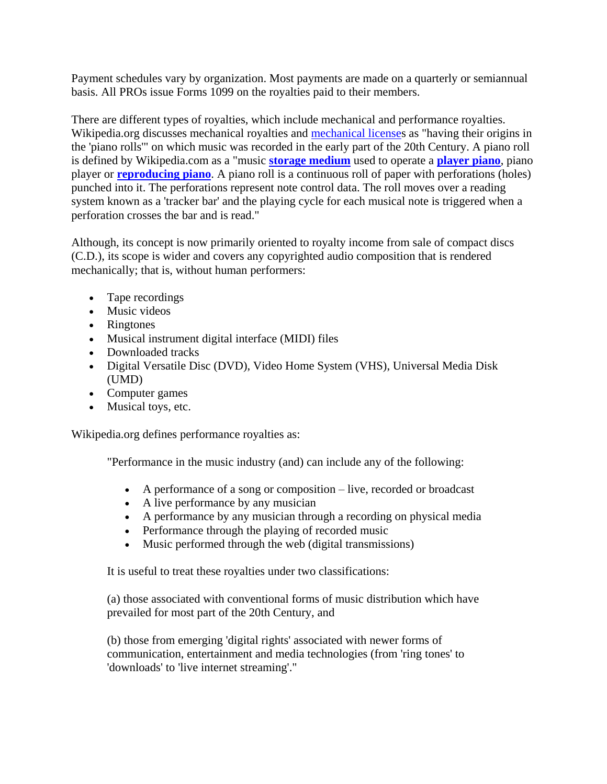Payment schedules vary by organization. Most payments are made on a quarterly or semiannual basis. All PROs issue Forms 1099 on the royalties paid to their members.

There are different types of royalties, which include mechanical and performance royalties. Wikipedia.org discusses mechanical royalties and [mechanical licenses](http://en.wikipedia.org/wiki/Mechanical_license) as "having their origins in the 'piano rolls'" on which music was recorded in the early part of the 20th Century. A piano roll is defined by Wikipedia.com as a "music **[storage medium](http://en.wikipedia.org/wiki/Storage_medium)** used to operate a **[player piano](http://en.wikipedia.org/wiki/Player_piano)**, piano player or **[reproducing piano](http://en.wikipedia.org/wiki/Reproducing_piano)**. A piano roll is a continuous roll of paper with perforations (holes) punched into it. The perforations represent note control data. The roll moves over a reading system known as a 'tracker bar' and the playing cycle for each musical note is triggered when a perforation crosses the bar and is read."

Although, its concept is now primarily oriented to royalty income from sale of compact discs (C.D.), its scope is wider and covers any copyrighted audio composition that is rendered mechanically; that is, without human performers:

- Tape recordings
- Music videos
- Ringtones
- Musical instrument digital interface (MIDI) files
- Downloaded tracks
- Digital Versatile Disc (DVD), Video Home System (VHS), Universal Media Disk (UMD)
- Computer games
- Musical toys, etc.

Wikipedia.org defines performance royalties as:

"Performance in the music industry (and) can include any of the following:

- A performance of a song or composition live, recorded or broadcast
- A live performance by any musician
- A performance by any musician through a recording on physical media
- Performance through the playing of recorded music
- Music performed through the web (digital transmissions)

It is useful to treat these royalties under two classifications:

(a) those associated with conventional forms of music distribution which have prevailed for most part of the 20th Century, and

(b) those from emerging 'digital rights' associated with newer forms of communication, entertainment and media technologies (from 'ring tones' to 'downloads' to 'live internet streaming'."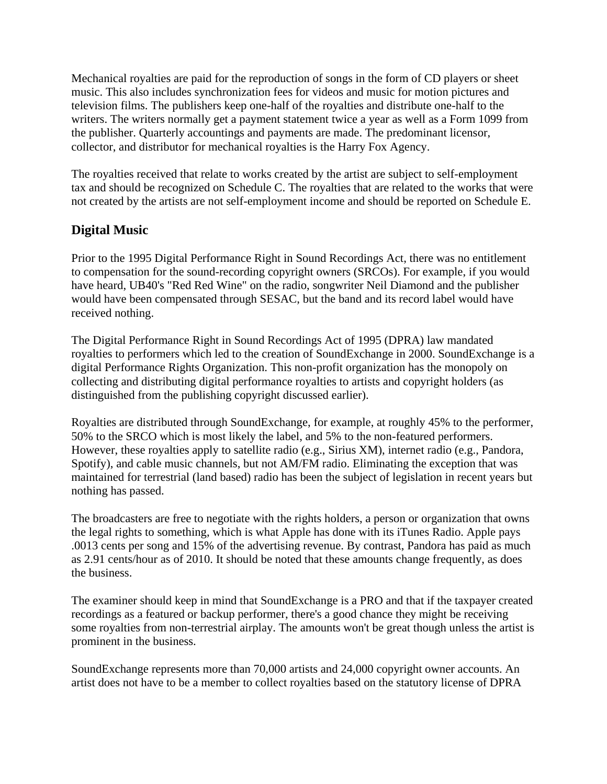Mechanical royalties are paid for the reproduction of songs in the form of CD players or sheet music. This also includes synchronization fees for videos and music for motion pictures and television films. The publishers keep one-half of the royalties and distribute one-half to the writers. The writers normally get a payment statement twice a year as well as a Form 1099 from the publisher. Quarterly accountings and payments are made. The predominant licensor, collector, and distributor for mechanical royalties is the Harry Fox Agency.

The royalties received that relate to works created by the artist are subject to self-employment tax and should be recognized on Schedule C. The royalties that are related to the works that were not created by the artists are not self-employment income and should be reported on Schedule E.

# **Digital Music**

Prior to the 1995 Digital Performance Right in Sound Recordings Act, there was no entitlement to compensation for the sound-recording copyright owners (SRCOs). For example, if you would have heard, UB40's "Red Red Wine" on the radio, songwriter Neil Diamond and the publisher would have been compensated through SESAC, but the band and its record label would have received nothing.

The Digital Performance Right in Sound Recordings Act of 1995 (DPRA) law mandated royalties to performers which led to the creation of SoundExchange in 2000. SoundExchange is a digital Performance Rights Organization. This non-profit organization has the monopoly on collecting and distributing digital performance royalties to artists and copyright holders (as distinguished from the publishing copyright discussed earlier).

Royalties are distributed through SoundExchange, for example, at roughly 45% to the performer, 50% to the SRCO which is most likely the label, and 5% to the non-featured performers. However, these royalties apply to satellite radio (e.g., Sirius XM), internet radio (e.g., Pandora, Spotify), and cable music channels, but not AM/FM radio. Eliminating the exception that was maintained for terrestrial (land based) radio has been the subject of legislation in recent years but nothing has passed.

The broadcasters are free to negotiate with the rights holders, a person or organization that owns the legal rights to something, which is what Apple has done with its iTunes Radio. Apple pays .0013 cents per song and 15% of the advertising revenue. By contrast, Pandora has paid as much as 2.91 cents/hour as of 2010. It should be noted that these amounts change frequently, as does the business.

The examiner should keep in mind that SoundExchange is a PRO and that if the taxpayer created recordings as a featured or backup performer, there's a good chance they might be receiving some royalties from non-terrestrial airplay. The amounts won't be great though unless the artist is prominent in the business.

SoundExchange represents more than 70,000 artists and 24,000 copyright owner accounts. An artist does not have to be a member to collect royalties based on the statutory license of DPRA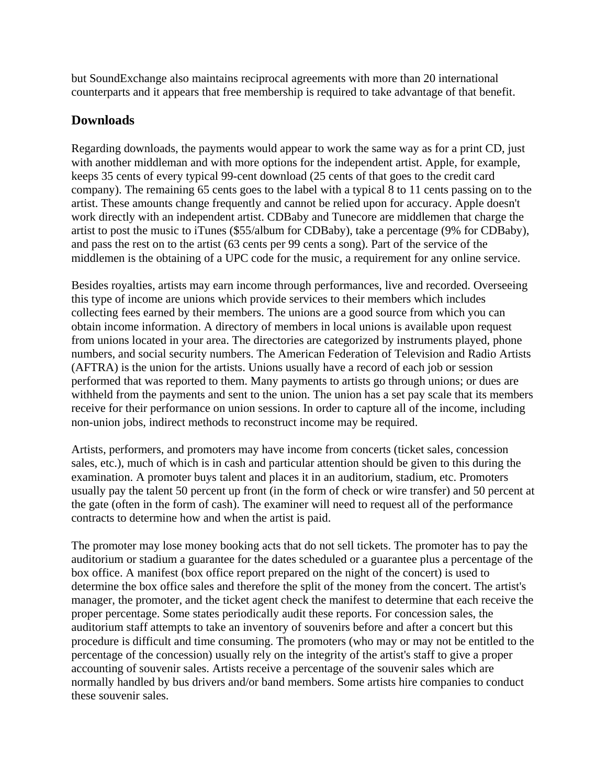but SoundExchange also maintains reciprocal agreements with more than 20 international counterparts and it appears that free membership is required to take advantage of that benefit.

## **Downloads**

Regarding downloads, the payments would appear to work the same way as for a print CD, just with another middleman and with more options for the independent artist. Apple, for example, keeps 35 cents of every typical 99-cent download (25 cents of that goes to the credit card company). The remaining 65 cents goes to the label with a typical 8 to 11 cents passing on to the artist. These amounts change frequently and cannot be relied upon for accuracy. Apple doesn't work directly with an independent artist. CDBaby and Tunecore are middlemen that charge the artist to post the music to iTunes (\$55/album for CDBaby), take a percentage (9% for CDBaby), and pass the rest on to the artist (63 cents per 99 cents a song). Part of the service of the middlemen is the obtaining of a UPC code for the music, a requirement for any online service.

Besides royalties, artists may earn income through performances, live and recorded. Overseeing this type of income are unions which provide services to their members which includes collecting fees earned by their members. The unions are a good source from which you can obtain income information. A directory of members in local unions is available upon request from unions located in your area. The directories are categorized by instruments played, phone numbers, and social security numbers. The American Federation of Television and Radio Artists (AFTRA) is the union for the artists. Unions usually have a record of each job or session performed that was reported to them. Many payments to artists go through unions; or dues are withheld from the payments and sent to the union. The union has a set pay scale that its members receive for their performance on union sessions. In order to capture all of the income, including non-union jobs, indirect methods to reconstruct income may be required.

Artists, performers, and promoters may have income from concerts (ticket sales, concession sales, etc.), much of which is in cash and particular attention should be given to this during the examination. A promoter buys talent and places it in an auditorium, stadium, etc. Promoters usually pay the talent 50 percent up front (in the form of check or wire transfer) and 50 percent at the gate (often in the form of cash). The examiner will need to request all of the performance contracts to determine how and when the artist is paid.

The promoter may lose money booking acts that do not sell tickets. The promoter has to pay the auditorium or stadium a guarantee for the dates scheduled or a guarantee plus a percentage of the box office. A manifest (box office report prepared on the night of the concert) is used to determine the box office sales and therefore the split of the money from the concert. The artist's manager, the promoter, and the ticket agent check the manifest to determine that each receive the proper percentage. Some states periodically audit these reports. For concession sales, the auditorium staff attempts to take an inventory of souvenirs before and after a concert but this procedure is difficult and time consuming. The promoters (who may or may not be entitled to the percentage of the concession) usually rely on the integrity of the artist's staff to give a proper accounting of souvenir sales. Artists receive a percentage of the souvenir sales which are normally handled by bus drivers and/or band members. Some artists hire companies to conduct these souvenir sales.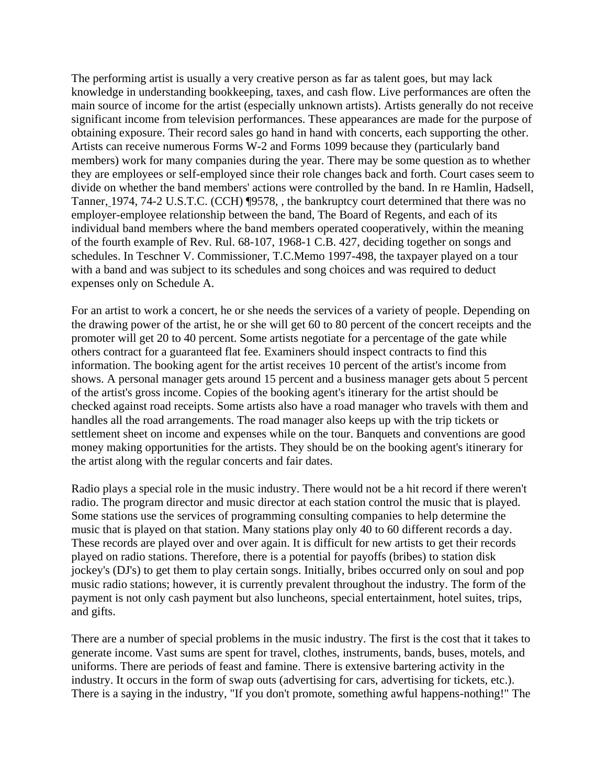The performing artist is usually a very creative person as far as talent goes, but may lack knowledge in understanding bookkeeping, taxes, and cash flow. Live performances are often the main source of income for the artist (especially unknown artists). Artists generally do not receive significant income from television performances. These appearances are made for the purpose of obtaining exposure. Their record sales go hand in hand with concerts, each supporting the other. Artists can receive numerous Forms W-2 and Forms 1099 because they (particularly band members) work for many companies during the year. There may be some question as to whether they are employees or self-employed since their role changes back and forth. Court cases seem to divide on whether the band members' actions were controlled by the band. In re Hamlin, Hadsell, Tanner, 1974, 74-2 U.S.T.C. (CCH) ¶9578, , the bankruptcy court determined that there was no employer-employee relationship between the band, The Board of Regents, and each of its individual band members where the band members operated cooperatively, within the meaning of the fourth example of Rev. Rul. 68-107, 1968-1 C.B. 427, deciding together on songs and schedules. In Teschner V. Commissioner, T.C.Memo 1997-498, the taxpayer played on a tour with a band and was subject to its schedules and song choices and was required to deduct expenses only on Schedule A.

For an artist to work a concert, he or she needs the services of a variety of people. Depending on the drawing power of the artist, he or she will get 60 to 80 percent of the concert receipts and the promoter will get 20 to 40 percent. Some artists negotiate for a percentage of the gate while others contract for a guaranteed flat fee. Examiners should inspect contracts to find this information. The booking agent for the artist receives 10 percent of the artist's income from shows. A personal manager gets around 15 percent and a business manager gets about 5 percent of the artist's gross income. Copies of the booking agent's itinerary for the artist should be checked against road receipts. Some artists also have a road manager who travels with them and handles all the road arrangements. The road manager also keeps up with the trip tickets or settlement sheet on income and expenses while on the tour. Banquets and conventions are good money making opportunities for the artists. They should be on the booking agent's itinerary for the artist along with the regular concerts and fair dates.

Radio plays a special role in the music industry. There would not be a hit record if there weren't radio. The program director and music director at each station control the music that is played. Some stations use the services of programming consulting companies to help determine the music that is played on that station. Many stations play only 40 to 60 different records a day. These records are played over and over again. It is difficult for new artists to get their records played on radio stations. Therefore, there is a potential for payoffs (bribes) to station disk jockey's (DJ's) to get them to play certain songs. Initially, bribes occurred only on soul and pop music radio stations; however, it is currently prevalent throughout the industry. The form of the payment is not only cash payment but also luncheons, special entertainment, hotel suites, trips, and gifts.

There are a number of special problems in the music industry. The first is the cost that it takes to generate income. Vast sums are spent for travel, clothes, instruments, bands, buses, motels, and uniforms. There are periods of feast and famine. There is extensive bartering activity in the industry. It occurs in the form of swap outs (advertising for cars, advertising for tickets, etc.). There is a saying in the industry, "If you don't promote, something awful happens-nothing!" The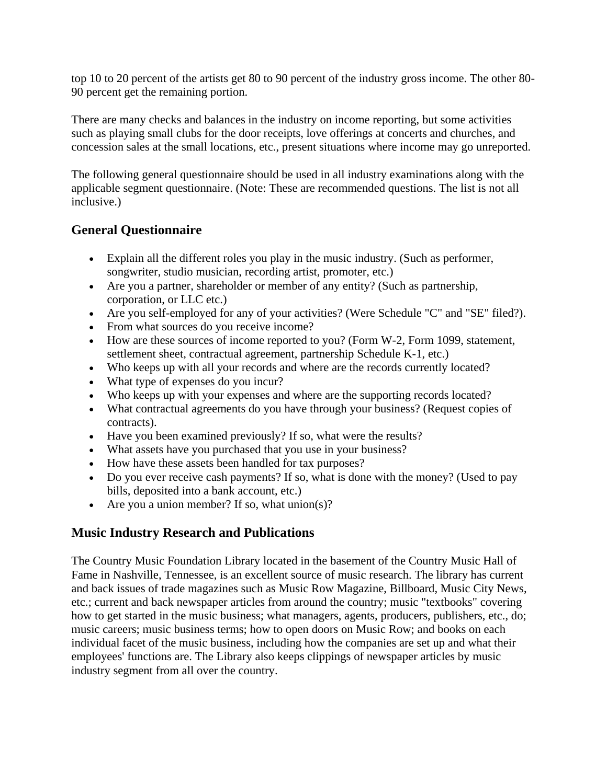top 10 to 20 percent of the artists get 80 to 90 percent of the industry gross income. The other 80- 90 percent get the remaining portion.

There are many checks and balances in the industry on income reporting, but some activities such as playing small clubs for the door receipts, love offerings at concerts and churches, and concession sales at the small locations, etc., present situations where income may go unreported.

The following general questionnaire should be used in all industry examinations along with the applicable segment questionnaire. (Note: These are recommended questions. The list is not all inclusive.)

## **General Questionnaire**

- Explain all the different roles you play in the music industry. (Such as performer, songwriter, studio musician, recording artist, promoter, etc.)
- Are you a partner, shareholder or member of any entity? (Such as partnership, corporation, or LLC etc.)
- Are you self-employed for any of your activities? (Were Schedule "C" and "SE" filed?).
- From what sources do you receive income?
- How are these sources of income reported to you? (Form W-2, Form 1099, statement, settlement sheet, contractual agreement, partnership Schedule K-1, etc.)
- Who keeps up with all your records and where are the records currently located?
- What type of expenses do you incur?
- Who keeps up with your expenses and where are the supporting records located?
- What contractual agreements do you have through your business? (Request copies of contracts).
- Have you been examined previously? If so, what were the results?
- What assets have you purchased that you use in your business?
- How have these assets been handled for tax purposes?
- Do you ever receive cash payments? If so, what is done with the money? (Used to pay bills, deposited into a bank account, etc.)
- Are you a union member? If so, what union(s)?

# **Music Industry Research and Publications**

The Country Music Foundation Library located in the basement of the Country Music Hall of Fame in Nashville, Tennessee, is an excellent source of music research. The library has current and back issues of trade magazines such as Music Row Magazine, Billboard, Music City News, etc.; current and back newspaper articles from around the country; music "textbooks" covering how to get started in the music business; what managers, agents, producers, publishers, etc., do; music careers; music business terms; how to open doors on Music Row; and books on each individual facet of the music business, including how the companies are set up and what their employees' functions are. The Library also keeps clippings of newspaper articles by music industry segment from all over the country.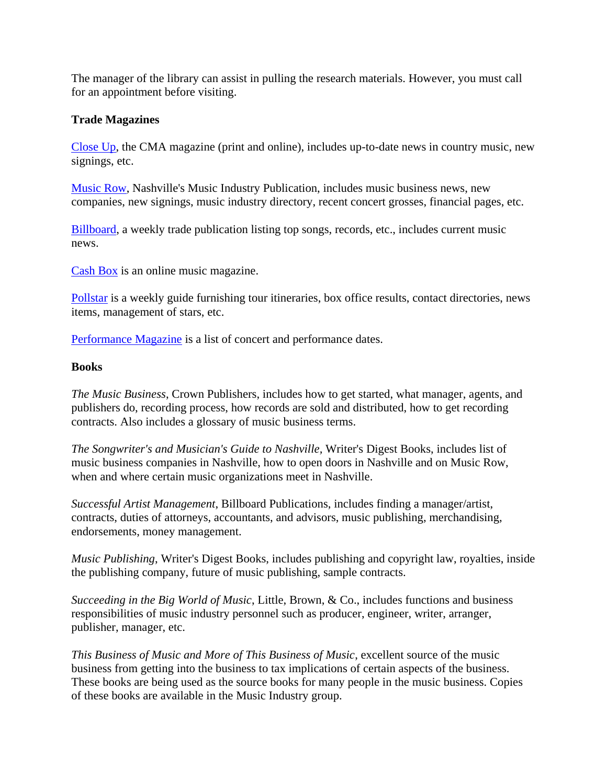The manager of the library can assist in pulling the research materials. However, you must call for an appointment before visiting.

#### **Trade Magazines**

[Close Up,](http://www.cmacloseup.com/) the CMA magazine (print and online), includes up-to-date news in country music, new signings, etc.

[Music Row,](http://www.musicrow.com/) Nashville's Music Industry Publication, includes music business news, new companies, new signings, music industry directory, recent concert grosses, financial pages, etc.

[Billboard,](http://www.billboard.com/) a weekly trade publication listing top songs, records, etc., includes current music news.

[Cash Box](http://cashboxmagazine.com/) is an online music magazine.

[Pollstar](http://www.pollstar.com/) is a weekly guide furnishing tour itineraries, box office results, contact directories, news items, management of stars, etc.

[Performance Magazine](http://performermag.com/) is a list of concert and performance dates.

#### **Books**

*The Music Business*, Crown Publishers, includes how to get started, what manager, agents, and publishers do, recording process, how records are sold and distributed, how to get recording contracts. Also includes a glossary of music business terms.

*The Songwriter's and Musician's Guide to Nashville,* Writer's Digest Books, includes list of music business companies in Nashville, how to open doors in Nashville and on Music Row, when and where certain music organizations meet in Nashville.

*Successful Artist Management*, Billboard Publications, includes finding a manager/artist, contracts, duties of attorneys, accountants, and advisors, music publishing, merchandising, endorsements, money management.

*Music Publishing*, Writer's Digest Books, includes publishing and copyright law, royalties, inside the publishing company, future of music publishing, sample contracts.

*Succeeding in the Big World of Music*, Little, Brown, & Co., includes functions and business responsibilities of music industry personnel such as producer, engineer, writer, arranger, publisher, manager, etc.

*This Business of Music and More of This Business of Music*, excellent source of the music business from getting into the business to tax implications of certain aspects of the business. These books are being used as the source books for many people in the music business. Copies of these books are available in the Music Industry group.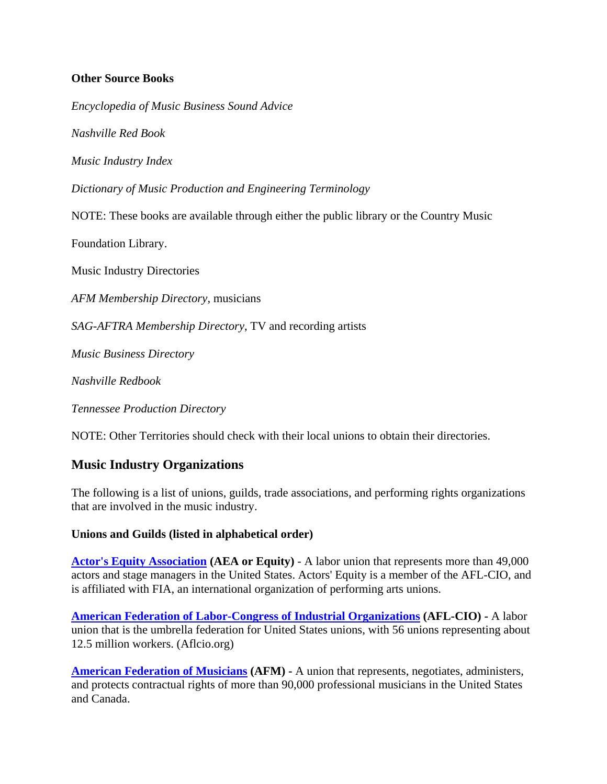#### **Other Source Books**

*Encyclopedia of Music Business Sound Advice*

*Nashville Red Book*

*Music Industry Index*

*Dictionary of Music Production and Engineering Terminology*

NOTE: These books are available through either the public library or the Country Music

Foundation Library.

Music Industry Directories

*AFM Membership Directory*, musicians

*SAG-AFTRA Membership Directory*, TV and recording artists

*Music Business Directory*

*Nashville Redbook*

*Tennessee Production Directory*

NOTE: Other Territories should check with their local unions to obtain their directories.

#### **Music Industry Organizations**

The following is a list of unions, guilds, trade associations, and performing rights organizations that are involved in the music industry.

#### **Unions and Guilds (listed in alphabetical order)**

**[Actor's Equity Association](http://www.actorsequity.org/) (AEA or Equity)** - A labor union that represents more than 49,000 actors and stage managers in the United States. Actors' Equity is a member of the AFL-CIO, and is affiliated with FIA, an international organization of performing arts unions.

**[American Federation of Labor-Congress of Industrial Organizations](http://www.aflcio.org/) (AFL-CIO) -** A labor union that is the umbrella federation for United States unions, with 56 unions representing about 12.5 million workers. (Aflcio.org)

**[American Federation of Musicians](http://www.afm.org/) (AFM) -** A union that represents, negotiates, administers, and protects contractual rights of more than 90,000 professional musicians in the United States and Canada.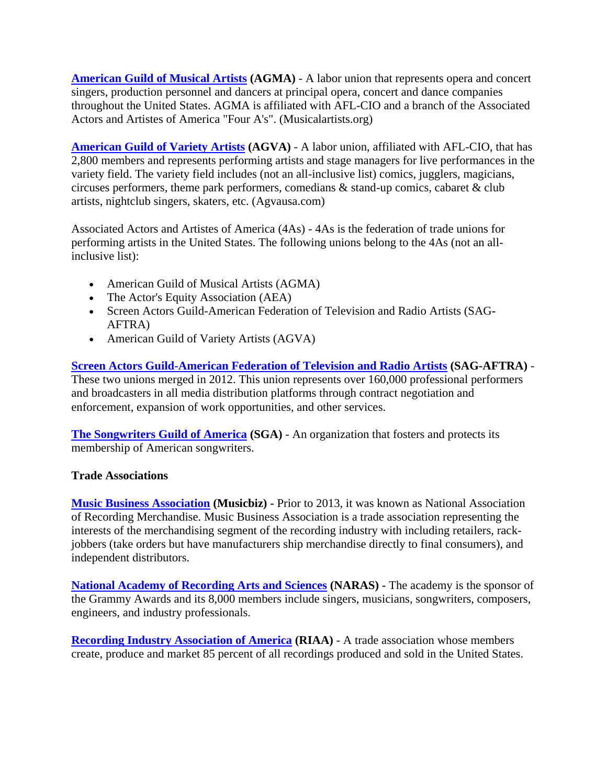**[American Guild of Musical Artists](http://www.musicalartists.org/) (AGMA)** - A labor union that represents opera and concert singers, production personnel and dancers at principal opera, concert and dance companies throughout the United States. AGMA is affiliated with AFL-CIO and a branch of the Associated Actors and Artistes of America "Four A's". (Musicalartists.org)

**[American Guild of Variety Artists](http://www.agvausa.com/) (AGVA)** - A labor union, affiliated with AFL-CIO, that has 2,800 members and represents performing artists and stage managers for live performances in the variety field. The variety field includes (not an all-inclusive list) comics, jugglers, magicians, circuses performers, theme park performers, comedians & stand-up comics, cabaret & club artists, nightclub singers, skaters, etc. (Agvausa.com)

Associated Actors and Artistes of America (4As) - 4As is the federation of trade unions for performing artists in the United States. The following unions belong to the 4As (not an allinclusive list):

- American Guild of Musical Artists (AGMA)
- The Actor's Equity Association (AEA)
- Screen Actors Guild-American Federation of Television and Radio Artists (SAG**-**AFTRA)
- American Guild of Variety Artists (AGVA)

**[Screen Actors Guild-American Federation of Television and Radio Artists](http://www.sagaftra.org/) (SAG-AFTRA)** - These two unions merged in 2012. This union represents over 160,000 professional performers and broadcasters in all media distribution platforms through contract negotiation and enforcement, expansion of work opportunities, and other services.

**[The Songwriters Guild of America](http://www.songwritersguild.com/) (SGA)** - An organization that fosters and protects its membership of American songwriters.

#### **Trade Associations**

**[Music Business Association](http://www.musicbiz.org/) (Musicbiz) -** Prior to 2013, it was known as National Association of Recording Merchandise. Music Business Association is a trade association representing the interests of the merchandising segment of the recording industry with including retailers, rackjobbers (take orders but have manufacturers ship merchandise directly to final consumers), and independent distributors.

**[National Academy of Recording Arts and Sciences](http://www.grammy.org/) (NARAS) -** The academy is the sponsor of the Grammy Awards and its 8,000 members include singers, musicians, songwriters, composers, engineers, and industry professionals.

**[Recording Industry Association of America](http://www.riaa.com/) (RIAA)** - A trade association whose members create, produce and market 85 percent of all recordings produced and sold in the United States.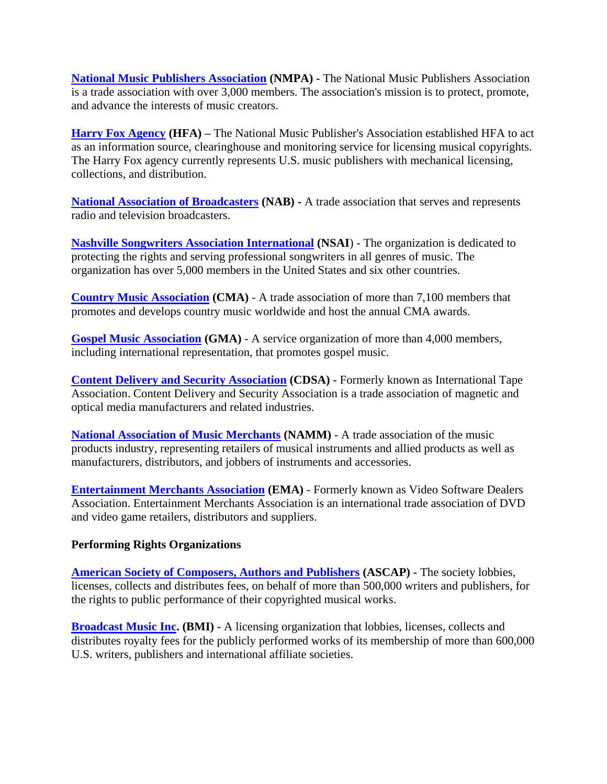**[National Music Publishers Association](http://www.nmpa.org/)** (NMPA) - The National Music Publishers Association is a trade association with over 3,000 members. The association's mission is to protect, promote, and advance the interests of music creators.

**[Harry Fox Agency](http://www.harryfox.org/) (HFA) –** The National Music Publisher's Association established HFA to act as an information source, clearinghouse and monitoring service for licensing musical copyrights. The Harry Fox agency currently represents U.S. music publishers with mechanical licensing, collections, and distribution.

**[National Association of Broadcasters](http://www.nab.org/) (NAB) -** A trade association that serves and represents radio and television broadcasters.

**[Nashville Songwriters Association International](http://nashvillesongwriters.com/) (NSAI**) - The organization is dedicated to protecting the rights and serving professional songwriters in all genres of music. The organization has over 5,000 members in the United States and six other countries.

**[Country Music Association](http://www.cmaworld.com/) (CMA)** - A trade association of more than 7,100 members that promotes and develops country music worldwide and host the annual CMA awards.

**[Gospel Music Association](http://www.gospelmusic.org/) (GMA)** - A service organization of more than 4,000 members, including international representation, that promotes gospel music.

**[Content Delivery and Security Association](http://www.cdsaonline.org/)** (CDSA) - Formerly known as International Tape Association. Content Delivery and Security Association is a trade association of magnetic and optical media manufacturers and related industries.

**[National Association of Music Merchants](http://www.namm.org/)** (NAMM) - A trade association of the music products industry, representing retailers of musical instruments and allied products as well as manufacturers, distributors, and jobbers of instruments and accessories.

**[Entertainment Merchants Association](http://www.entmerch.org/) (EMA)** - Formerly known as Video Software Dealers Association. Entertainment Merchants Association is an international trade association of DVD and video game retailers, distributors and suppliers.

#### **Performing Rights Organizations**

**[American Society of Composers, Authors and Publishers](http://www.ascap.com/) (ASCAP) -** The society lobbies, licenses, collects and distributes fees, on behalf of more than 500,000 writers and publishers, for the rights to public performance of their copyrighted musical works.

**[Broadcast Music Inc.](http://www.bmi.com/) (BMI) -** A licensing organization that lobbies, licenses, collects and distributes royalty fees for the publicly performed works of its membership of more than 600,000 U.S. writers, publishers and international affiliate societies.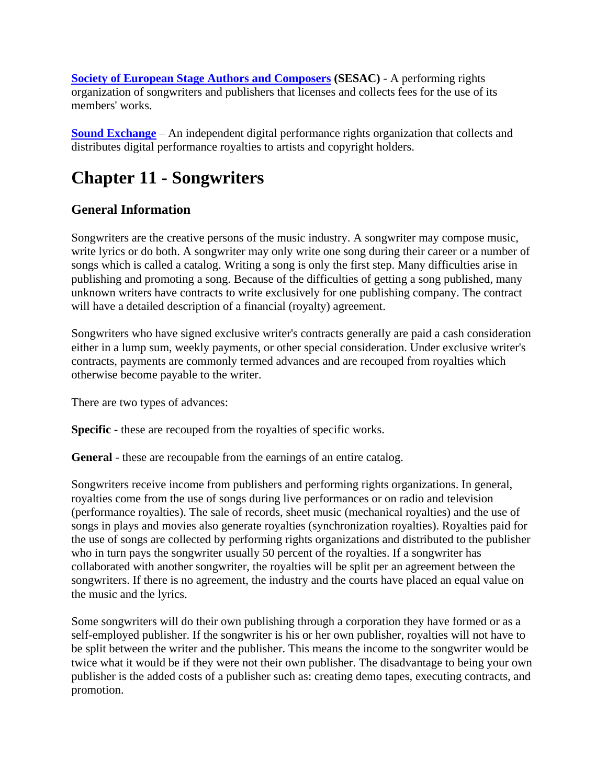**<u>[Society of European Stage Authors and Composers](http://www.sesac.com/)</u> (SESAC) - A performing rights** organization of songwriters and publishers that licenses and collects fees for the use of its members' works.

**[Sound Exchange](http://www.soundexchange.com/)** – An independent digital performance rights organization that collects and distributes digital performance royalties to artists and copyright holders.

# **Chapter 11 - Songwriters**

# **General Information**

Songwriters are the creative persons of the music industry. A songwriter may compose music, write lyrics or do both. A songwriter may only write one song during their career or a number of songs which is called a catalog. Writing a song is only the first step. Many difficulties arise in publishing and promoting a song. Because of the difficulties of getting a song published, many unknown writers have contracts to write exclusively for one publishing company. The contract will have a detailed description of a financial (royalty) agreement.

Songwriters who have signed exclusive writer's contracts generally are paid a cash consideration either in a lump sum, weekly payments, or other special consideration. Under exclusive writer's contracts, payments are commonly termed advances and are recouped from royalties which otherwise become payable to the writer.

There are two types of advances:

**Specific** - these are recouped from the royalties of specific works.

**General** - these are recoupable from the earnings of an entire catalog.

Songwriters receive income from publishers and performing rights organizations. In general, royalties come from the use of songs during live performances or on radio and television (performance royalties). The sale of records, sheet music (mechanical royalties) and the use of songs in plays and movies also generate royalties (synchronization royalties). Royalties paid for the use of songs are collected by performing rights organizations and distributed to the publisher who in turn pays the songwriter usually 50 percent of the royalties. If a songwriter has collaborated with another songwriter, the royalties will be split per an agreement between the songwriters. If there is no agreement, the industry and the courts have placed an equal value on the music and the lyrics.

Some songwriters will do their own publishing through a corporation they have formed or as a self-employed publisher. If the songwriter is his or her own publisher, royalties will not have to be split between the writer and the publisher. This means the income to the songwriter would be twice what it would be if they were not their own publisher. The disadvantage to being your own publisher is the added costs of a publisher such as: creating demo tapes, executing contracts, and promotion.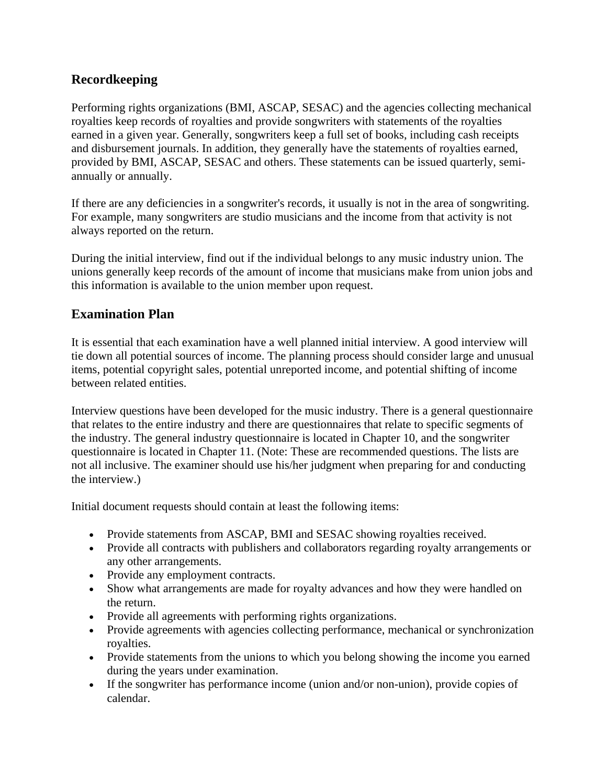## **Recordkeeping**

Performing rights organizations (BMI, ASCAP, SESAC) and the agencies collecting mechanical royalties keep records of royalties and provide songwriters with statements of the royalties earned in a given year. Generally, songwriters keep a full set of books, including cash receipts and disbursement journals. In addition, they generally have the statements of royalties earned, provided by BMI, ASCAP, SESAC and others. These statements can be issued quarterly, semiannually or annually.

If there are any deficiencies in a songwriter's records, it usually is not in the area of songwriting. For example, many songwriters are studio musicians and the income from that activity is not always reported on the return.

During the initial interview, find out if the individual belongs to any music industry union. The unions generally keep records of the amount of income that musicians make from union jobs and this information is available to the union member upon request.

### **Examination Plan**

It is essential that each examination have a well planned initial interview. A good interview will tie down all potential sources of income. The planning process should consider large and unusual items, potential copyright sales, potential unreported income, and potential shifting of income between related entities.

Interview questions have been developed for the music industry. There is a general questionnaire that relates to the entire industry and there are questionnaires that relate to specific segments of the industry. The general industry questionnaire is located in Chapter 10, and the songwriter questionnaire is located in Chapter 11. (Note: These are recommended questions. The lists are not all inclusive. The examiner should use his/her judgment when preparing for and conducting the interview.)

Initial document requests should contain at least the following items:

- Provide statements from ASCAP, BMI and SESAC showing royalties received.
- Provide all contracts with publishers and collaborators regarding royalty arrangements or any other arrangements.
- Provide any employment contracts.
- Show what arrangements are made for royalty advances and how they were handled on the return.
- Provide all agreements with performing rights organizations.
- Provide agreements with agencies collecting performance, mechanical or synchronization royalties.
- Provide statements from the unions to which you belong showing the income you earned during the years under examination.
- If the songwriter has performance income (union and/or non-union), provide copies of calendar.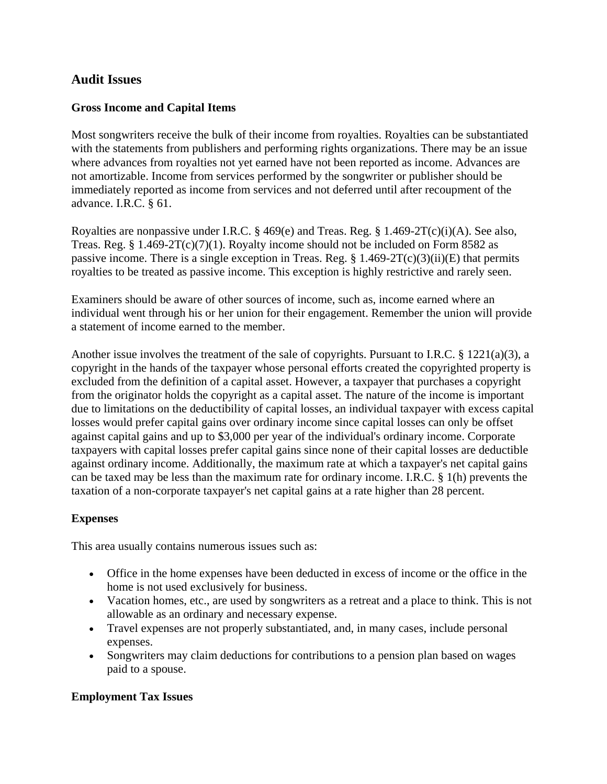## **Audit Issues**

#### **Gross Income and Capital Items**

Most songwriters receive the bulk of their income from royalties. Royalties can be substantiated with the statements from publishers and performing rights organizations. There may be an issue where advances from royalties not yet earned have not been reported as income. Advances are not amortizable. Income from services performed by the songwriter or publisher should be immediately reported as income from services and not deferred until after recoupment of the advance. I.R.C. § 61.

Royalties are nonpassive under I.R.C.  $\S$  469(e) and Treas. Reg.  $\S$  1.469-2T(c)(i)(A). See also, Treas. Reg.  $§ 1.469-2T(c)(7)(1)$ . Royalty income should not be included on Form 8582 as passive income. There is a single exception in Treas. Reg.  $\S 1.469-2T(c)(3)(ii)(E)$  that permits royalties to be treated as passive income. This exception is highly restrictive and rarely seen.

Examiners should be aware of other sources of income, such as, income earned where an individual went through his or her union for their engagement. Remember the union will provide a statement of income earned to the member.

Another issue involves the treatment of the sale of copyrights. Pursuant to I.R.C. § 1221(a)(3), a copyright in the hands of the taxpayer whose personal efforts created the copyrighted property is excluded from the definition of a capital asset. However, a taxpayer that purchases a copyright from the originator holds the copyright as a capital asset. The nature of the income is important due to limitations on the deductibility of capital losses, an individual taxpayer with excess capital losses would prefer capital gains over ordinary income since capital losses can only be offset against capital gains and up to \$3,000 per year of the individual's ordinary income. Corporate taxpayers with capital losses prefer capital gains since none of their capital losses are deductible against ordinary income. Additionally, the maximum rate at which a taxpayer's net capital gains can be taxed may be less than the maximum rate for ordinary income. I.R.C. § 1(h) prevents the taxation of a non-corporate taxpayer's net capital gains at a rate higher than 28 percent.

#### **Expenses**

This area usually contains numerous issues such as:

- Office in the home expenses have been deducted in excess of income or the office in the home is not used exclusively for business.
- Vacation homes, etc., are used by songwriters as a retreat and a place to think. This is not allowable as an ordinary and necessary expense.
- Travel expenses are not properly substantiated, and, in many cases, include personal expenses.
- Songwriters may claim deductions for contributions to a pension plan based on wages paid to a spouse.

#### **Employment Tax Issues**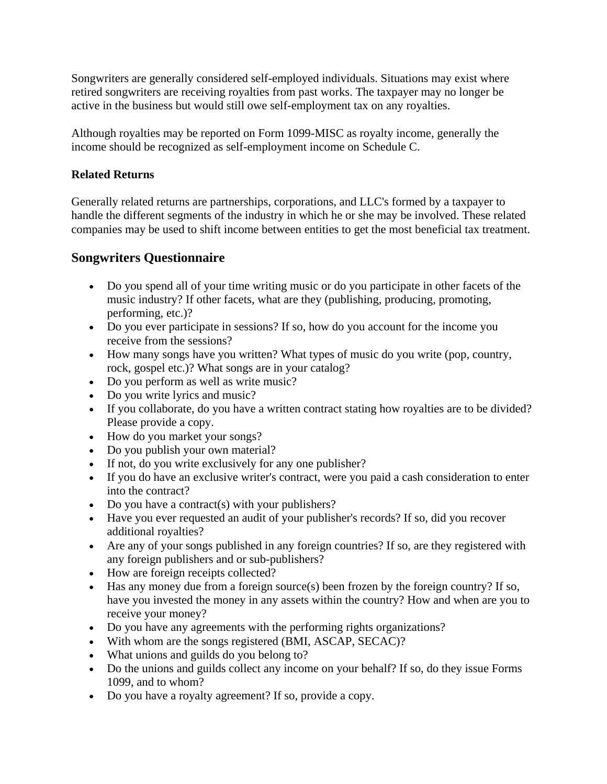Songwriters are generally considered self-employed individuals. Situations may exist where retired songwriters are receiving royalties from past works. The taxpayer may no longer be active in the business but would still owe self-employment tax on any royalties.

Although royalties may be reported on Form 1099-MISC as royalty income, generally the income should be recognized as self-employment income on Schedule C.

#### **Related Returns**

Generally related returns are partnerships, corporations, and LLC's formed by a taxpayer to handle the different segments of the industry in which he or she may be involved. These related companies may be used to shift income between entities to get the most beneficial tax treatment.

# **Songwriters Questionnaire**

- Do you spend all of your time writing music or do you participate in other facets of the music industry? If other facets, what are they (publishing, producing, promoting, performing, etc.)?
- Do you ever participate in sessions? If so, how do you account for the income you receive from the sessions?
- How many songs have you written? What types of music do you write (pop, country, rock, gospel etc.)? What songs are in your catalog?
- Do you perform as well as write music?
- Do you write lyrics and music?
- If you collaborate, do you have a written contract stating how royalties are to be divided? Please provide a copy.
- How do you market your songs?
- Do you publish your own material?
- If not, do you write exclusively for any one publisher?
- If you do have an exclusive writer's contract, were you paid a cash consideration to enter into the contract?
- Do you have a contract(s) with your publishers?
- Have you ever requested an audit of your publisher's records? If so, did you recover additional royalties?
- Are any of your songs published in any foreign countries? If so, are they registered with any foreign publishers and or sub-publishers?
- How are foreign receipts collected?
- Has any money due from a foreign source(s) been frozen by the foreign country? If so, have you invested the money in any assets within the country? How and when are you to receive your money?
- Do you have any agreements with the performing rights organizations?
- With whom are the songs registered (BMI, ASCAP, SECAC)?
- What unions and guilds do you belong to?
- Do the unions and guilds collect any income on your behalf? If so, do they issue Forms 1099, and to whom?
- Do you have a royalty agreement? If so, provide a copy.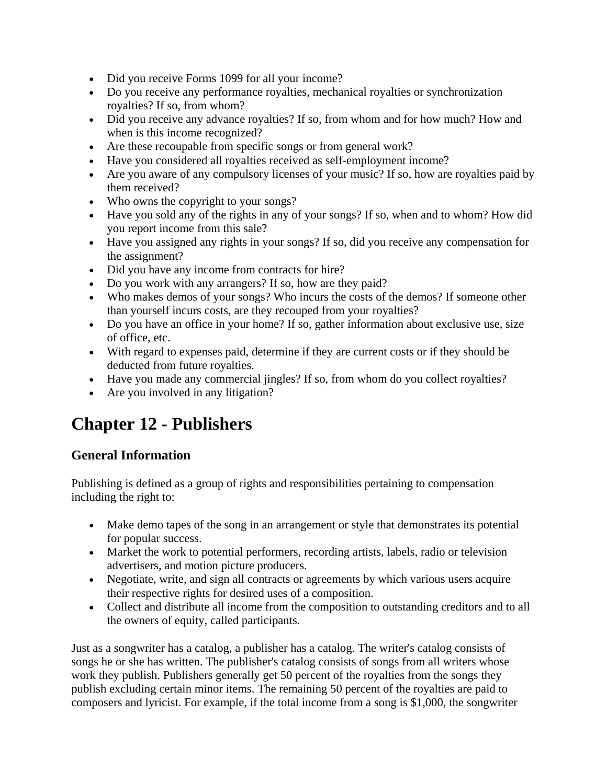- Did you receive Forms 1099 for all your income?
- Do you receive any performance royalties, mechanical royalties or synchronization royalties? If so, from whom?
- Did you receive any advance royalties? If so, from whom and for how much? How and when is this income recognized?
- Are these recoupable from specific songs or from general work?
- Have you considered all royalties received as self-employment income?
- Are you aware of any compulsory licenses of your music? If so, how are royalties paid by them received?
- Who owns the copyright to your songs?
- Have you sold any of the rights in any of your songs? If so, when and to whom? How did you report income from this sale?
- Have you assigned any rights in your songs? If so, did you receive any compensation for the assignment?
- Did you have any income from contracts for hire?
- Do you work with any arrangers? If so, how are they paid?
- Who makes demos of your songs? Who incurs the costs of the demos? If someone other than yourself incurs costs, are they recouped from your royalties?
- Do you have an office in your home? If so, gather information about exclusive use, size of office, etc.
- With regard to expenses paid, determine if they are current costs or if they should be deducted from future royalties.
- Have you made any commercial jingles? If so, from whom do you collect royalties?
- Are you involved in any litigation?

# **Chapter 12 - Publishers**

# **General Information**

Publishing is defined as a group of rights and responsibilities pertaining to compensation including the right to:

- Make demo tapes of the song in an arrangement or style that demonstrates its potential for popular success.
- Market the work to potential performers, recording artists, labels, radio or television advertisers, and motion picture producers.
- Negotiate, write, and sign all contracts or agreements by which various users acquire their respective rights for desired uses of a composition.
- Collect and distribute all income from the composition to outstanding creditors and to all the owners of equity, called participants.

Just as a songwriter has a catalog, a publisher has a catalog. The writer's catalog consists of songs he or she has written. The publisher's catalog consists of songs from all writers whose work they publish. Publishers generally get 50 percent of the royalties from the songs they publish excluding certain minor items. The remaining 50 percent of the royalties are paid to composers and lyricist. For example, if the total income from a song is \$1,000, the songwriter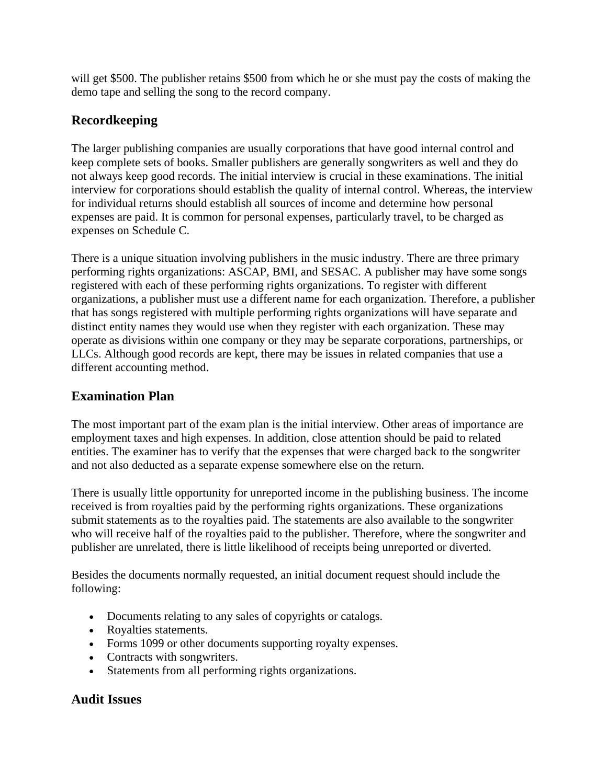will get \$500. The publisher retains \$500 from which he or she must pay the costs of making the demo tape and selling the song to the record company.

# **Recordkeeping**

The larger publishing companies are usually corporations that have good internal control and keep complete sets of books. Smaller publishers are generally songwriters as well and they do not always keep good records. The initial interview is crucial in these examinations. The initial interview for corporations should establish the quality of internal control. Whereas, the interview for individual returns should establish all sources of income and determine how personal expenses are paid. It is common for personal expenses, particularly travel, to be charged as expenses on Schedule C.

There is a unique situation involving publishers in the music industry. There are three primary performing rights organizations: ASCAP, BMI, and SESAC. A publisher may have some songs registered with each of these performing rights organizations. To register with different organizations, a publisher must use a different name for each organization. Therefore, a publisher that has songs registered with multiple performing rights organizations will have separate and distinct entity names they would use when they register with each organization. These may operate as divisions within one company or they may be separate corporations, partnerships, or LLCs. Although good records are kept, there may be issues in related companies that use a different accounting method.

# **Examination Plan**

The most important part of the exam plan is the initial interview. Other areas of importance are employment taxes and high expenses. In addition, close attention should be paid to related entities. The examiner has to verify that the expenses that were charged back to the songwriter and not also deducted as a separate expense somewhere else on the return.

There is usually little opportunity for unreported income in the publishing business. The income received is from royalties paid by the performing rights organizations. These organizations submit statements as to the royalties paid. The statements are also available to the songwriter who will receive half of the royalties paid to the publisher. Therefore, where the songwriter and publisher are unrelated, there is little likelihood of receipts being unreported or diverted.

Besides the documents normally requested, an initial document request should include the following:

- Documents relating to any sales of copyrights or catalogs.
- Royalties statements.
- Forms 1099 or other documents supporting royalty expenses.
- Contracts with songwriters.
- Statements from all performing rights organizations.

# **Audit Issues**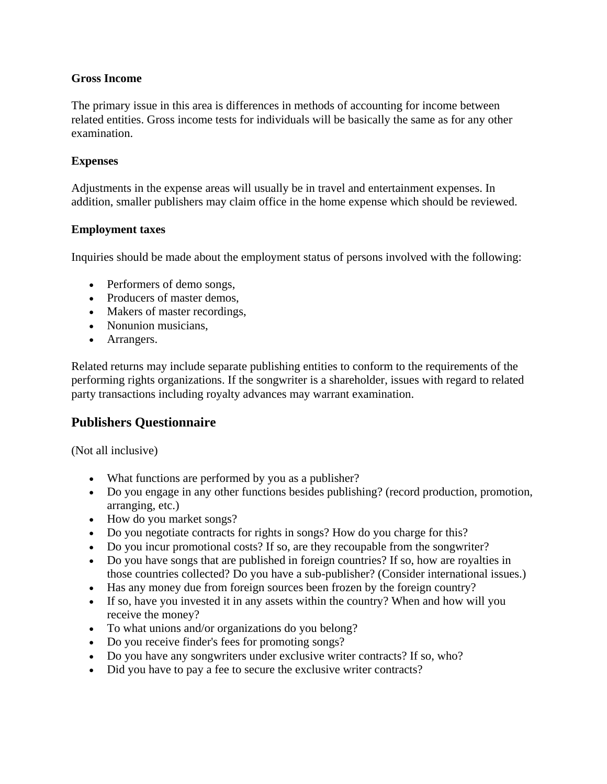#### **Gross Income**

The primary issue in this area is differences in methods of accounting for income between related entities. Gross income tests for individuals will be basically the same as for any other examination.

#### **Expenses**

Adjustments in the expense areas will usually be in travel and entertainment expenses. In addition, smaller publishers may claim office in the home expense which should be reviewed.

#### **Employment taxes**

Inquiries should be made about the employment status of persons involved with the following:

- Performers of demo songs,
- Producers of master demos,
- Makers of master recordings,
- Nonunion musicians,
- Arrangers.

Related returns may include separate publishing entities to conform to the requirements of the performing rights organizations. If the songwriter is a shareholder, issues with regard to related party transactions including royalty advances may warrant examination.

## **Publishers Questionnaire**

(Not all inclusive)

- What functions are performed by you as a publisher?
- Do you engage in any other functions besides publishing? (record production, promotion, arranging, etc.)
- How do you market songs?
- Do you negotiate contracts for rights in songs? How do you charge for this?
- Do you incur promotional costs? If so, are they recoupable from the songwriter?
- Do you have songs that are published in foreign countries? If so, how are royalties in those countries collected? Do you have a sub-publisher? (Consider international issues.)
- Has any money due from foreign sources been frozen by the foreign country?
- If so, have you invested it in any assets within the country? When and how will you receive the money?
- To what unions and/or organizations do you belong?
- Do you receive finder's fees for promoting songs?
- Do you have any songwriters under exclusive writer contracts? If so, who?
- Did you have to pay a fee to secure the exclusive writer contracts?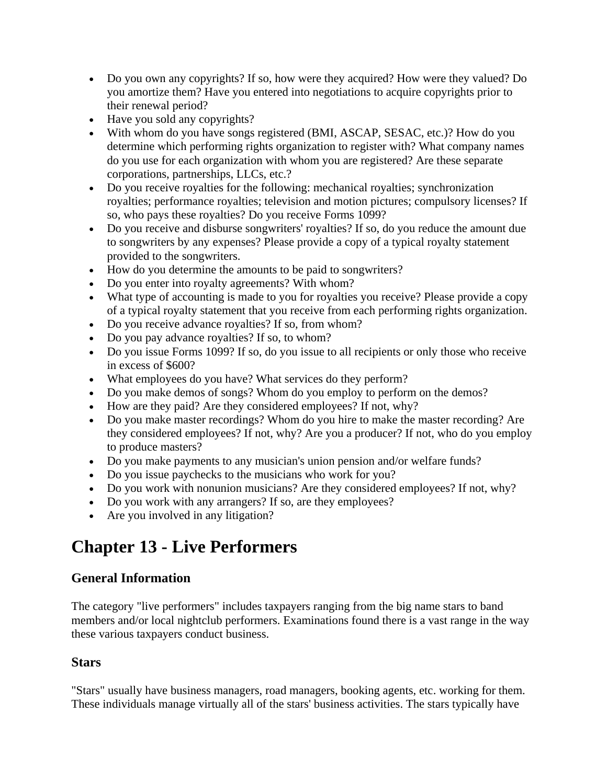- Do you own any copyrights? If so, how were they acquired? How were they valued? Do you amortize them? Have you entered into negotiations to acquire copyrights prior to their renewal period?
- Have you sold any copyrights?
- With whom do you have songs registered (BMI, ASCAP, SESAC, etc.)? How do you determine which performing rights organization to register with? What company names do you use for each organization with whom you are registered? Are these separate corporations, partnerships, LLCs, etc.?
- Do you receive royalties for the following: mechanical royalties; synchronization royalties; performance royalties; television and motion pictures; compulsory licenses? If so, who pays these royalties? Do you receive Forms 1099?
- Do you receive and disburse songwriters' royalties? If so, do you reduce the amount due to songwriters by any expenses? Please provide a copy of a typical royalty statement provided to the songwriters.
- How do you determine the amounts to be paid to songwriters?
- Do you enter into royalty agreements? With whom?
- What type of accounting is made to you for royalties you receive? Please provide a copy of a typical royalty statement that you receive from each performing rights organization.
- Do you receive advance royalties? If so, from whom?
- Do you pay advance royalties? If so, to whom?
- Do you issue Forms 1099? If so, do you issue to all recipients or only those who receive in excess of \$600?
- What employees do you have? What services do they perform?
- Do you make demos of songs? Whom do you employ to perform on the demos?
- How are they paid? Are they considered employees? If not, why?
- Do you make master recordings? Whom do you hire to make the master recording? Are they considered employees? If not, why? Are you a producer? If not, who do you employ to produce masters?
- Do you make payments to any musician's union pension and/or welfare funds?
- Do you issue paychecks to the musicians who work for you?
- Do you work with nonunion musicians? Are they considered employees? If not, why?
- Do you work with any arrangers? If so, are they employees?
- Are you involved in any litigation?

# **Chapter 13 - Live Performers**

# **General Information**

The category "live performers" includes taxpayers ranging from the big name stars to band members and/or local nightclub performers. Examinations found there is a vast range in the way these various taxpayers conduct business.

## **Stars**

"Stars" usually have business managers, road managers, booking agents, etc. working for them. These individuals manage virtually all of the stars' business activities. The stars typically have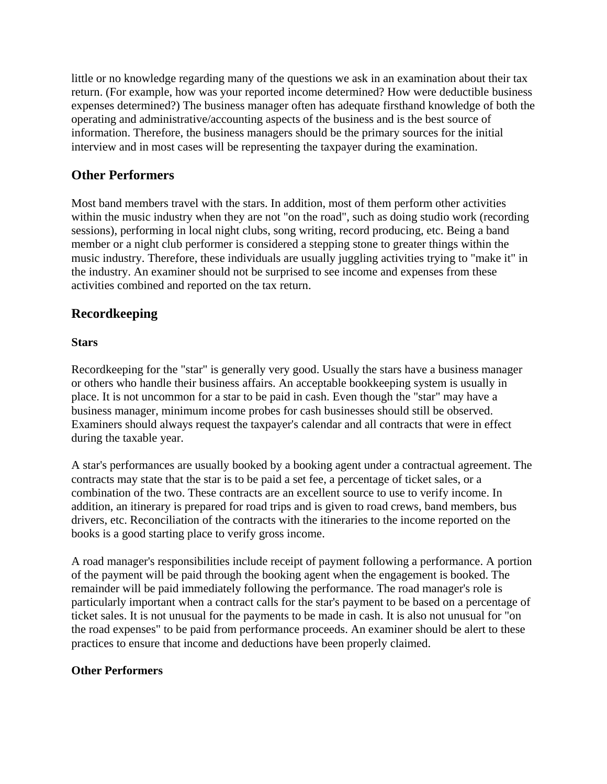little or no knowledge regarding many of the questions we ask in an examination about their tax return. (For example, how was your reported income determined? How were deductible business expenses determined?) The business manager often has adequate firsthand knowledge of both the operating and administrative/accounting aspects of the business and is the best source of information. Therefore, the business managers should be the primary sources for the initial interview and in most cases will be representing the taxpayer during the examination.

## **Other Performers**

Most band members travel with the stars. In addition, most of them perform other activities within the music industry when they are not "on the road", such as doing studio work (recording sessions), performing in local night clubs, song writing, record producing, etc. Being a band member or a night club performer is considered a stepping stone to greater things within the music industry. Therefore, these individuals are usually juggling activities trying to "make it" in the industry. An examiner should not be surprised to see income and expenses from these activities combined and reported on the tax return.

# **Recordkeeping**

#### **Stars**

Recordkeeping for the "star" is generally very good. Usually the stars have a business manager or others who handle their business affairs. An acceptable bookkeeping system is usually in place. It is not uncommon for a star to be paid in cash. Even though the "star" may have a business manager, minimum income probes for cash businesses should still be observed. Examiners should always request the taxpayer's calendar and all contracts that were in effect during the taxable year.

A star's performances are usually booked by a booking agent under a contractual agreement. The contracts may state that the star is to be paid a set fee, a percentage of ticket sales, or a combination of the two. These contracts are an excellent source to use to verify income. In addition, an itinerary is prepared for road trips and is given to road crews, band members, bus drivers, etc. Reconciliation of the contracts with the itineraries to the income reported on the books is a good starting place to verify gross income.

A road manager's responsibilities include receipt of payment following a performance. A portion of the payment will be paid through the booking agent when the engagement is booked. The remainder will be paid immediately following the performance. The road manager's role is particularly important when a contract calls for the star's payment to be based on a percentage of ticket sales. It is not unusual for the payments to be made in cash. It is also not unusual for "on the road expenses" to be paid from performance proceeds. An examiner should be alert to these practices to ensure that income and deductions have been properly claimed.

#### **Other Performers**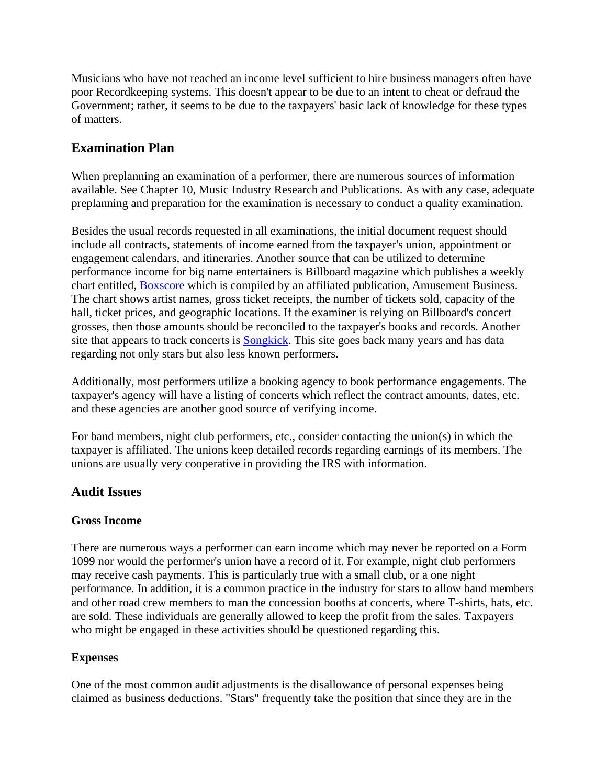Musicians who have not reached an income level sufficient to hire business managers often have poor Recordkeeping systems. This doesn't appear to be due to an intent to cheat or defraud the Government; rather, it seems to be due to the taxpayers' basic lack of knowledge for these types of matters.

## **Examination Plan**

When preplanning an examination of a performer, there are numerous sources of information available. See Chapter 10, Music Industry Research and Publications. As with any case, adequate preplanning and preparation for the examination is necessary to conduct a quality examination.

Besides the usual records requested in all examinations, the initial document request should include all contracts, statements of income earned from the taxpayer's union, appointment or engagement calendars, and itineraries. Another source that can be utilized to determine performance income for big name entertainers is Billboard magazine which publishes a weekly chart entitled, [Boxscore](http://www.billboard.com/biz/current-boxscore) which is compiled by an affiliated publication, Amusement Business. The chart shows artist names, gross ticket receipts, the number of tickets sold, capacity of the hall, ticket prices, and geographic locations. If the examiner is relying on Billboard's concert grosses, then those amounts should be reconciled to the taxpayer's books and records. Another site that appears to track concerts is [Songkick.](http://www.songkick.com/) This site goes back many years and has data regarding not only stars but also less known performers.

Additionally, most performers utilize a booking agency to book performance engagements. The taxpayer's agency will have a listing of concerts which reflect the contract amounts, dates, etc. and these agencies are another good source of verifying income.

For band members, night club performers, etc., consider contacting the union(s) in which the taxpayer is affiliated. The unions keep detailed records regarding earnings of its members. The unions are usually very cooperative in providing the IRS with information.

#### **Audit Issues**

#### **Gross Income**

There are numerous ways a performer can earn income which may never be reported on a Form 1099 nor would the performer's union have a record of it. For example, night club performers may receive cash payments. This is particularly true with a small club, or a one night performance. In addition, it is a common practice in the industry for stars to allow band members and other road crew members to man the concession booths at concerts, where T-shirts, hats, etc. are sold. These individuals are generally allowed to keep the profit from the sales. Taxpayers who might be engaged in these activities should be questioned regarding this.

#### **Expenses**

One of the most common audit adjustments is the disallowance of personal expenses being claimed as business deductions. "Stars" frequently take the position that since they are in the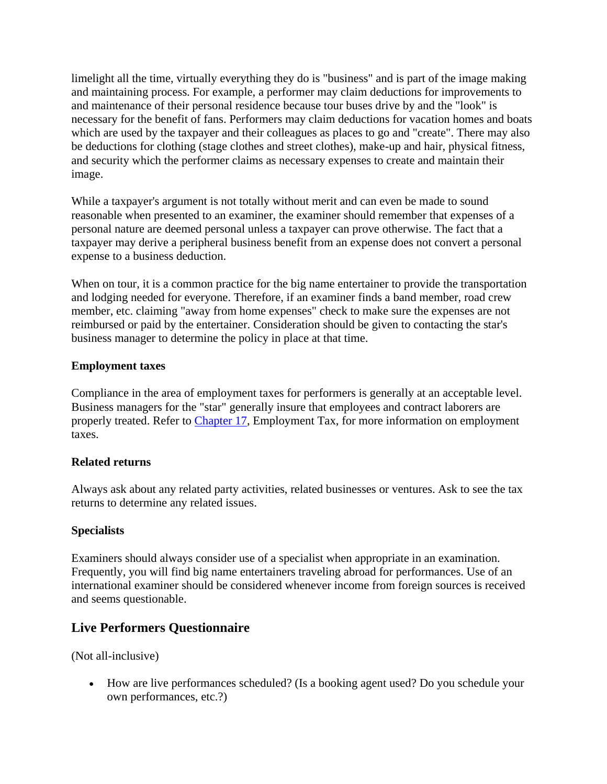limelight all the time, virtually everything they do is "business" and is part of the image making and maintaining process. For example, a performer may claim deductions for improvements to and maintenance of their personal residence because tour buses drive by and the "look" is necessary for the benefit of fans. Performers may claim deductions for vacation homes and boats which are used by the taxpayer and their colleagues as places to go and "create". There may also be deductions for clothing (stage clothes and street clothes), make-up and hair, physical fitness, and security which the performer claims as necessary expenses to create and maintain their image.

While a taxpayer's argument is not totally without merit and can even be made to sound reasonable when presented to an examiner, the examiner should remember that expenses of a personal nature are deemed personal unless a taxpayer can prove otherwise. The fact that a taxpayer may derive a peripheral business benefit from an expense does not convert a personal expense to a business deduction.

When on tour, it is a common practice for the big name entertainer to provide the transportation and lodging needed for everyone. Therefore, if an examiner finds a band member, road crew member, etc. claiming "away from home expenses" check to make sure the expenses are not reimbursed or paid by the entertainer. Consideration should be given to contacting the star's business manager to determine the policy in place at that time.

#### **Employment taxes**

Compliance in the area of employment taxes for performers is generally at an acceptable level. Business managers for the "star" generally insure that employees and contract laborers are properly treated. Refer to Chapter 17, Employment Tax, for more information on employment taxes.

#### **Related returns**

Always ask about any related party activities, related businesses or ventures. Ask to see the tax returns to determine any related issues.

#### **Specialists**

Examiners should always consider use of a specialist when appropriate in an examination. Frequently, you will find big name entertainers traveling abroad for performances. Use of an international examiner should be considered whenever income from foreign sources is received and seems questionable.

## **Live Performers Questionnaire**

(Not all-inclusive)

 How are live performances scheduled? (Is a booking agent used? Do you schedule your own performances, etc.?)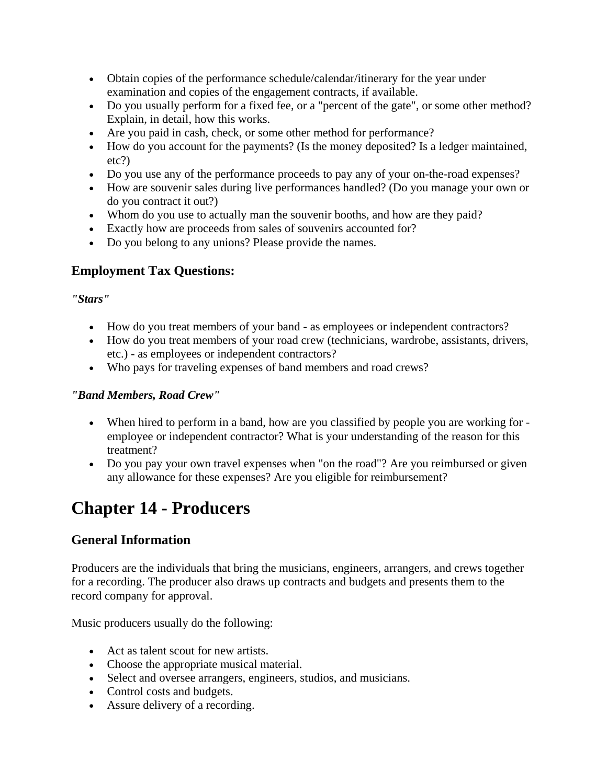- Obtain copies of the performance schedule/calendar/itinerary for the year under examination and copies of the engagement contracts, if available.
- Do you usually perform for a fixed fee, or a "percent of the gate", or some other method? Explain, in detail, how this works.
- Are you paid in cash, check, or some other method for performance?
- How do you account for the payments? (Is the money deposited? Is a ledger maintained, etc?)
- Do you use any of the performance proceeds to pay any of your on-the-road expenses?
- How are souvenir sales during live performances handled? (Do you manage your own or do you contract it out?)
- Whom do you use to actually man the souvenir booths, and how are they paid?
- Exactly how are proceeds from sales of souvenirs accounted for?
- Do you belong to any unions? Please provide the names.

## **Employment Tax Questions:**

#### *"Stars"*

- How do you treat members of your band as employees or independent contractors?
- How do you treat members of your road crew (technicians, wardrobe, assistants, drivers, etc.) - as employees or independent contractors?
- Who pays for traveling expenses of band members and road crews?

#### *"Band Members, Road Crew"*

- When hired to perform in a band, how are you classified by people you are working for employee or independent contractor? What is your understanding of the reason for this treatment?
- Do you pay your own travel expenses when "on the road"? Are you reimbursed or given any allowance for these expenses? Are you eligible for reimbursement?

# **Chapter 14 - Producers**

## **General Information**

Producers are the individuals that bring the musicians, engineers, arrangers, and crews together for a recording. The producer also draws up contracts and budgets and presents them to the record company for approval.

Music producers usually do the following:

- Act as talent scout for new artists.
- Choose the appropriate musical material.
- Select and oversee arrangers, engineers, studios, and musicians.
- Control costs and budgets.
- Assure delivery of a recording.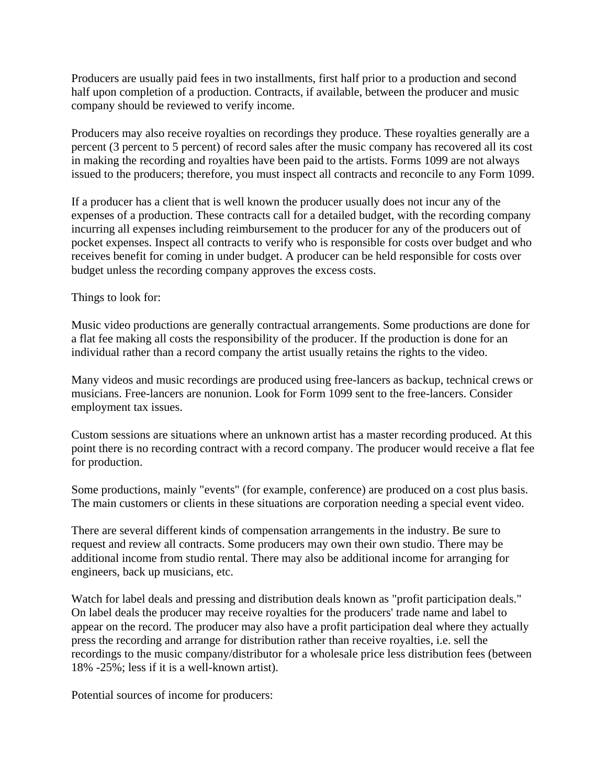Producers are usually paid fees in two installments, first half prior to a production and second half upon completion of a production. Contracts, if available, between the producer and music company should be reviewed to verify income.

Producers may also receive royalties on recordings they produce. These royalties generally are a percent (3 percent to 5 percent) of record sales after the music company has recovered all its cost in making the recording and royalties have been paid to the artists. Forms 1099 are not always issued to the producers; therefore, you must inspect all contracts and reconcile to any Form 1099.

If a producer has a client that is well known the producer usually does not incur any of the expenses of a production. These contracts call for a detailed budget, with the recording company incurring all expenses including reimbursement to the producer for any of the producers out of pocket expenses. Inspect all contracts to verify who is responsible for costs over budget and who receives benefit for coming in under budget. A producer can be held responsible for costs over budget unless the recording company approves the excess costs.

Things to look for:

Music video productions are generally contractual arrangements. Some productions are done for a flat fee making all costs the responsibility of the producer. If the production is done for an individual rather than a record company the artist usually retains the rights to the video.

Many videos and music recordings are produced using free-lancers as backup, technical crews or musicians. Free-lancers are nonunion. Look for Form 1099 sent to the free-lancers. Consider employment tax issues.

Custom sessions are situations where an unknown artist has a master recording produced. At this point there is no recording contract with a record company. The producer would receive a flat fee for production.

Some productions, mainly "events" (for example, conference) are produced on a cost plus basis. The main customers or clients in these situations are corporation needing a special event video.

There are several different kinds of compensation arrangements in the industry. Be sure to request and review all contracts. Some producers may own their own studio. There may be additional income from studio rental. There may also be additional income for arranging for engineers, back up musicians, etc.

Watch for label deals and pressing and distribution deals known as "profit participation deals." On label deals the producer may receive royalties for the producers' trade name and label to appear on the record. The producer may also have a profit participation deal where they actually press the recording and arrange for distribution rather than receive royalties, i.e. sell the recordings to the music company/distributor for a wholesale price less distribution fees (between 18% -25%; less if it is a well-known artist).

Potential sources of income for producers: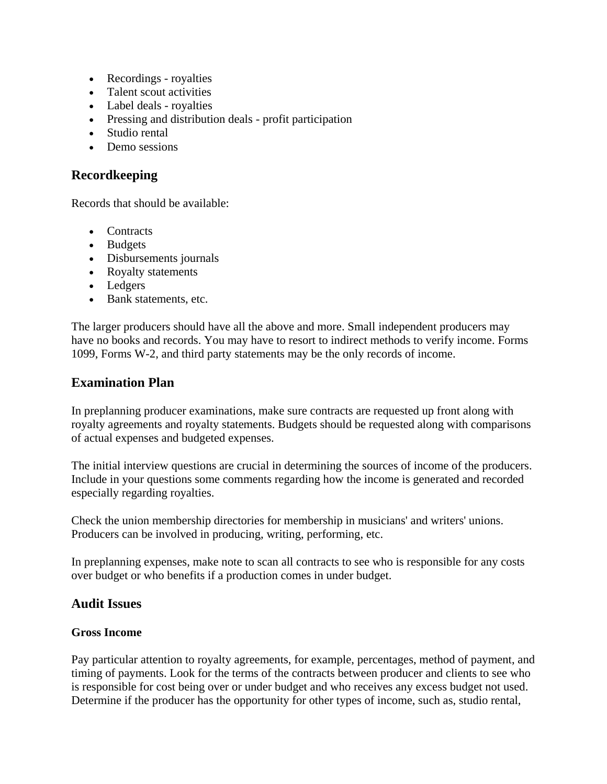- Recordings royalties
- Talent scout activities
- Label deals royalties
- Pressing and distribution deals profit participation
- Studio rental
- Demo sessions

## **Recordkeeping**

Records that should be available:

- Contracts
- Budgets
- Disbursements journals
- Royalty statements
- Ledgers
- Bank statements, etc.

The larger producers should have all the above and more. Small independent producers may have no books and records. You may have to resort to indirect methods to verify income. Forms 1099, Forms W-2, and third party statements may be the only records of income.

## **Examination Plan**

In preplanning producer examinations, make sure contracts are requested up front along with royalty agreements and royalty statements. Budgets should be requested along with comparisons of actual expenses and budgeted expenses.

The initial interview questions are crucial in determining the sources of income of the producers. Include in your questions some comments regarding how the income is generated and recorded especially regarding royalties.

Check the union membership directories for membership in musicians' and writers' unions. Producers can be involved in producing, writing, performing, etc.

In preplanning expenses, make note to scan all contracts to see who is responsible for any costs over budget or who benefits if a production comes in under budget.

## **Audit Issues**

#### **Gross Income**

Pay particular attention to royalty agreements, for example, percentages, method of payment, and timing of payments. Look for the terms of the contracts between producer and clients to see who is responsible for cost being over or under budget and who receives any excess budget not used. Determine if the producer has the opportunity for other types of income, such as, studio rental,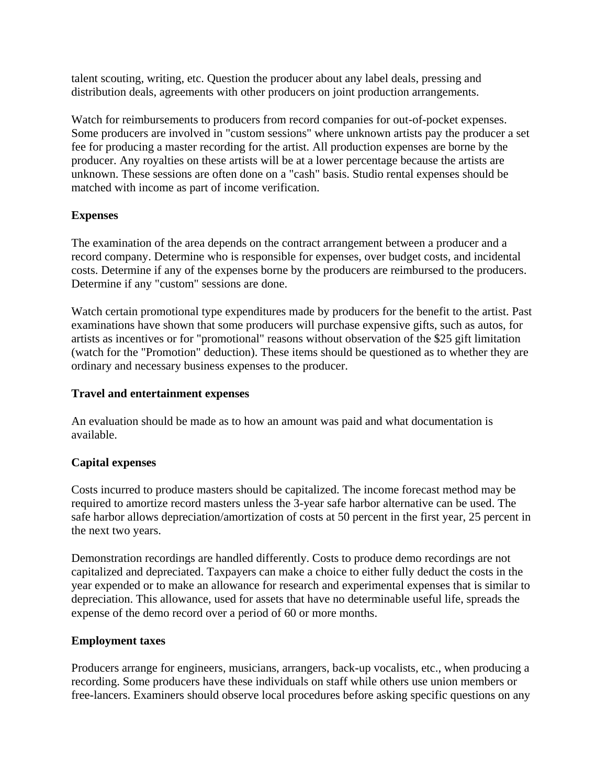talent scouting, writing, etc. Question the producer about any label deals, pressing and distribution deals, agreements with other producers on joint production arrangements.

Watch for reimbursements to producers from record companies for out-of-pocket expenses. Some producers are involved in "custom sessions" where unknown artists pay the producer a set fee for producing a master recording for the artist. All production expenses are borne by the producer. Any royalties on these artists will be at a lower percentage because the artists are unknown. These sessions are often done on a "cash" basis. Studio rental expenses should be matched with income as part of income verification.

#### **Expenses**

The examination of the area depends on the contract arrangement between a producer and a record company. Determine who is responsible for expenses, over budget costs, and incidental costs. Determine if any of the expenses borne by the producers are reimbursed to the producers. Determine if any "custom" sessions are done.

Watch certain promotional type expenditures made by producers for the benefit to the artist. Past examinations have shown that some producers will purchase expensive gifts, such as autos, for artists as incentives or for "promotional" reasons without observation of the \$25 gift limitation (watch for the "Promotion" deduction). These items should be questioned as to whether they are ordinary and necessary business expenses to the producer.

#### **Travel and entertainment expenses**

An evaluation should be made as to how an amount was paid and what documentation is available.

#### **Capital expenses**

Costs incurred to produce masters should be capitalized. The income forecast method may be required to amortize record masters unless the 3-year safe harbor alternative can be used. The safe harbor allows depreciation/amortization of costs at 50 percent in the first year, 25 percent in the next two years.

Demonstration recordings are handled differently. Costs to produce demo recordings are not capitalized and depreciated. Taxpayers can make a choice to either fully deduct the costs in the year expended or to make an allowance for research and experimental expenses that is similar to depreciation. This allowance, used for assets that have no determinable useful life, spreads the expense of the demo record over a period of 60 or more months.

#### **Employment taxes**

Producers arrange for engineers, musicians, arrangers, back-up vocalists, etc., when producing a recording. Some producers have these individuals on staff while others use union members or free-lancers. Examiners should observe local procedures before asking specific questions on any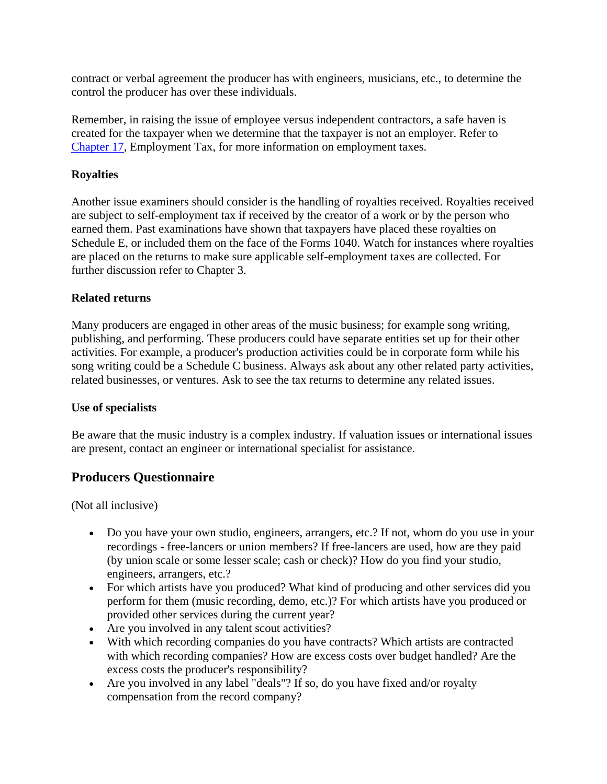contract or verbal agreement the producer has with engineers, musicians, etc., to determine the control the producer has over these individuals.

Remember, in raising the issue of employee versus independent contractors, a safe haven is created for the taxpayer when we determine that the taxpayer is not an employer. Refer to Chapter 17, Employment Tax, for more information on employment taxes.

### **Royalties**

Another issue examiners should consider is the handling of royalties received. Royalties received are subject to self-employment tax if received by the creator of a work or by the person who earned them. Past examinations have shown that taxpayers have placed these royalties on Schedule E, or included them on the face of the Forms 1040. Watch for instances where royalties are placed on the returns to make sure applicable self-employment taxes are collected. For further discussion refer to Chapter 3.

#### **Related returns**

Many producers are engaged in other areas of the music business; for example song writing, publishing, and performing. These producers could have separate entities set up for their other activities. For example, a producer's production activities could be in corporate form while his song writing could be a Schedule C business. Always ask about any other related party activities, related businesses, or ventures. Ask to see the tax returns to determine any related issues.

#### **Use of specialists**

Be aware that the music industry is a complex industry. If valuation issues or international issues are present, contact an engineer or international specialist for assistance.

## **Producers Questionnaire**

(Not all inclusive)

- Do you have your own studio, engineers, arrangers, etc.? If not, whom do you use in your recordings - free-lancers or union members? If free-lancers are used, how are they paid (by union scale or some lesser scale; cash or check)? How do you find your studio, engineers, arrangers, etc.?
- For which artists have you produced? What kind of producing and other services did you perform for them (music recording, demo, etc.)? For which artists have you produced or provided other services during the current year?
- Are you involved in any talent scout activities?
- With which recording companies do you have contracts? Which artists are contracted with which recording companies? How are excess costs over budget handled? Are the excess costs the producer's responsibility?
- Are you involved in any label "deals"? If so, do you have fixed and/or royalty compensation from the record company?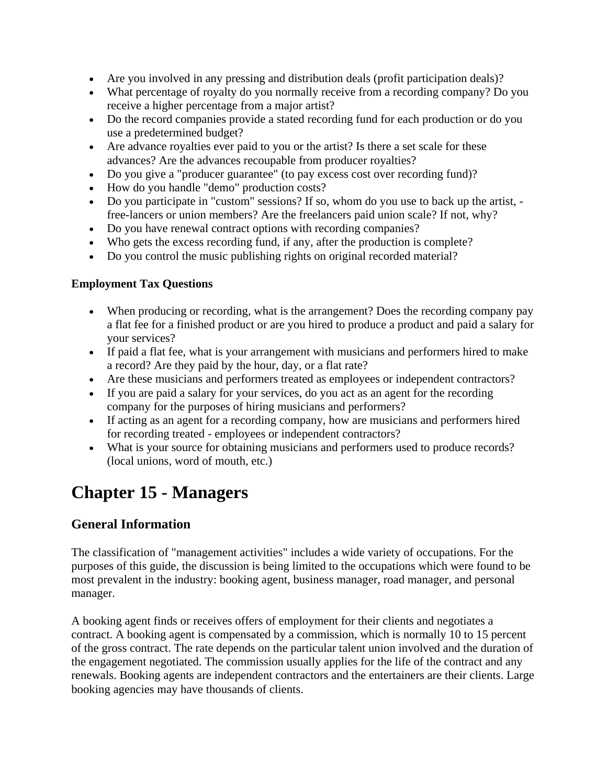- Are you involved in any pressing and distribution deals (profit participation deals)?
- What percentage of royalty do you normally receive from a recording company? Do you receive a higher percentage from a major artist?
- Do the record companies provide a stated recording fund for each production or do you use a predetermined budget?
- Are advance royalties ever paid to you or the artist? Is there a set scale for these advances? Are the advances recoupable from producer royalties?
- Do you give a "producer guarantee" (to pay excess cost over recording fund)?
- How do you handle "demo" production costs?
- Do you participate in "custom" sessions? If so, whom do you use to back up the artist, free-lancers or union members? Are the freelancers paid union scale? If not, why?
- Do you have renewal contract options with recording companies?
- Who gets the excess recording fund, if any, after the production is complete?
- Do you control the music publishing rights on original recorded material?

#### **Employment Tax Questions**

- When producing or recording, what is the arrangement? Does the recording company pay a flat fee for a finished product or are you hired to produce a product and paid a salary for your services?
- If paid a flat fee, what is your arrangement with musicians and performers hired to make a record? Are they paid by the hour, day, or a flat rate?
- Are these musicians and performers treated as employees or independent contractors?
- If you are paid a salary for your services, do you act as an agent for the recording company for the purposes of hiring musicians and performers?
- If acting as an agent for a recording company, how are musicians and performers hired for recording treated - employees or independent contractors?
- What is your source for obtaining musicians and performers used to produce records? (local unions, word of mouth, etc.)

# **Chapter 15 - Managers**

## **General Information**

The classification of "management activities" includes a wide variety of occupations. For the purposes of this guide, the discussion is being limited to the occupations which were found to be most prevalent in the industry: booking agent, business manager, road manager, and personal manager.

A booking agent finds or receives offers of employment for their clients and negotiates a contract. A booking agent is compensated by a commission, which is normally 10 to 15 percent of the gross contract. The rate depends on the particular talent union involved and the duration of the engagement negotiated. The commission usually applies for the life of the contract and any renewals. Booking agents are independent contractors and the entertainers are their clients. Large booking agencies may have thousands of clients.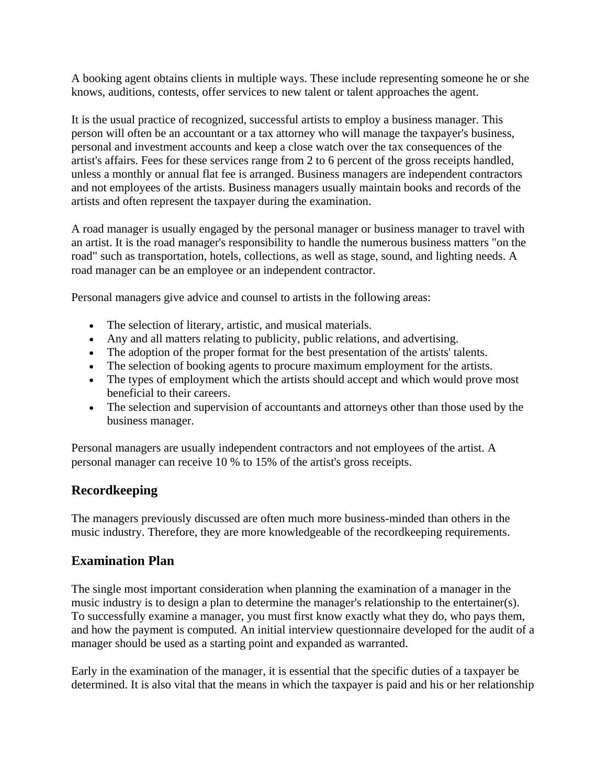A booking agent obtains clients in multiple ways. These include representing someone he or she knows, auditions, contests, offer services to new talent or talent approaches the agent.

It is the usual practice of recognized, successful artists to employ a business manager. This person will often be an accountant or a tax attorney who will manage the taxpayer's business, personal and investment accounts and keep a close watch over the tax consequences of the artist's affairs. Fees for these services range from 2 to 6 percent of the gross receipts handled, unless a monthly or annual flat fee is arranged. Business managers are independent contractors and not employees of the artists. Business managers usually maintain books and records of the artists and often represent the taxpayer during the examination.

A road manager is usually engaged by the personal manager or business manager to travel with an artist. It is the road manager's responsibility to handle the numerous business matters "on the road" such as transportation, hotels, collections, as well as stage, sound, and lighting needs. A road manager can be an employee or an independent contractor.

Personal managers give advice and counsel to artists in the following areas:

- The selection of literary, artistic, and musical materials.
- Any and all matters relating to publicity, public relations, and advertising.
- The adoption of the proper format for the best presentation of the artists' talents.
- The selection of booking agents to procure maximum employment for the artists.
- The types of employment which the artists should accept and which would prove most beneficial to their careers.
- The selection and supervision of accountants and attorneys other than those used by the business manager.

Personal managers are usually independent contractors and not employees of the artist. A personal manager can receive 10 % to 15% of the artist's gross receipts.

## **Recordkeeping**

The managers previously discussed are often much more business-minded than others in the music industry. Therefore, they are more knowledgeable of the recordkeeping requirements.

## **Examination Plan**

The single most important consideration when planning the examination of a manager in the music industry is to design a plan to determine the manager's relationship to the entertainer(s). To successfully examine a manager, you must first know exactly what they do, who pays them, and how the payment is computed. An initial interview questionnaire developed for the audit of a manager should be used as a starting point and expanded as warranted.

Early in the examination of the manager, it is essential that the specific duties of a taxpayer be determined. It is also vital that the means in which the taxpayer is paid and his or her relationship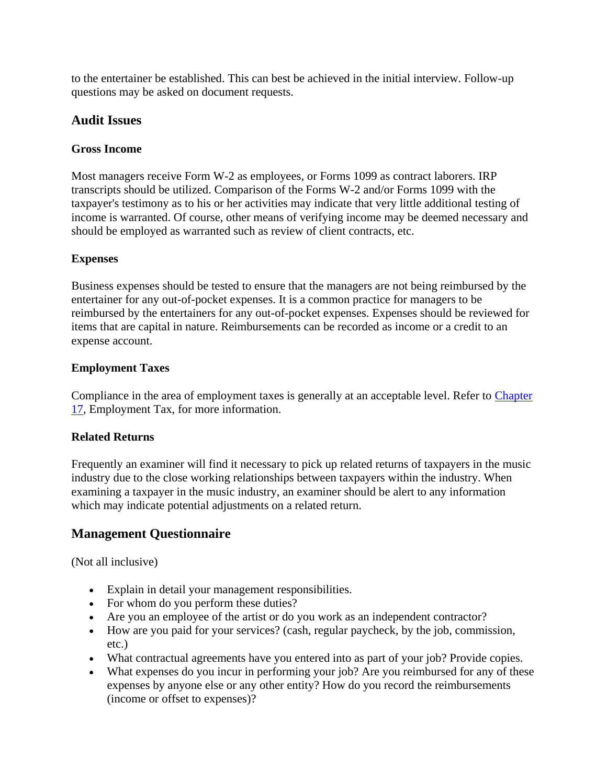to the entertainer be established. This can best be achieved in the initial interview. Follow-up questions may be asked on document requests.

## **Audit Issues**

## **Gross Income**

Most managers receive Form W-2 as employees, or Forms 1099 as contract laborers. IRP transcripts should be utilized. Comparison of the Forms W-2 and/or Forms 1099 with the taxpayer's testimony as to his or her activities may indicate that very little additional testing of income is warranted. Of course, other means of verifying income may be deemed necessary and should be employed as warranted such as review of client contracts, etc.

## **Expenses**

Business expenses should be tested to ensure that the managers are not being reimbursed by the entertainer for any out-of-pocket expenses. It is a common practice for managers to be reimbursed by the entertainers for any out-of-pocket expenses. Expenses should be reviewed for items that are capital in nature. Reimbursements can be recorded as income or a credit to an expense account.

## **Employment Taxes**

Compliance in the area of employment taxes is generally at an acceptable level. Refer to Chapter 17, Employment Tax, for more information.

## **Related Returns**

Frequently an examiner will find it necessary to pick up related returns of taxpayers in the music industry due to the close working relationships between taxpayers within the industry. When examining a taxpayer in the music industry, an examiner should be alert to any information which may indicate potential adjustments on a related return.

# **Management Questionnaire**

(Not all inclusive)

- Explain in detail your management responsibilities.
- For whom do you perform these duties?
- Are you an employee of the artist or do you work as an independent contractor?
- How are you paid for your services? (cash, regular paycheck, by the job, commission, etc.)
- What contractual agreements have you entered into as part of your job? Provide copies.
- What expenses do you incur in performing your job? Are you reimbursed for any of these expenses by anyone else or any other entity? How do you record the reimbursements (income or offset to expenses)?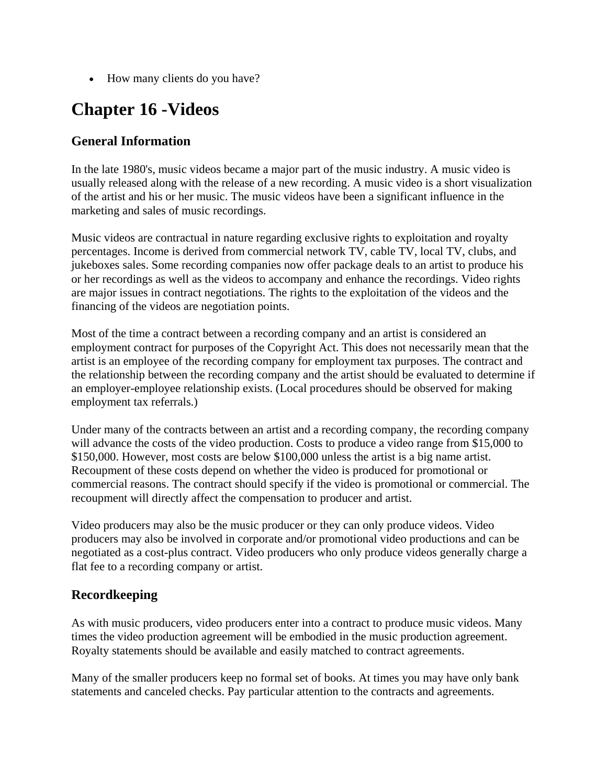• How many clients do you have?

# **Chapter 16 -Videos**

# **General Information**

In the late 1980's, music videos became a major part of the music industry. A music video is usually released along with the release of a new recording. A music video is a short visualization of the artist and his or her music. The music videos have been a significant influence in the marketing and sales of music recordings.

Music videos are contractual in nature regarding exclusive rights to exploitation and royalty percentages. Income is derived from commercial network TV, cable TV, local TV, clubs, and jukeboxes sales. Some recording companies now offer package deals to an artist to produce his or her recordings as well as the videos to accompany and enhance the recordings. Video rights are major issues in contract negotiations. The rights to the exploitation of the videos and the financing of the videos are negotiation points.

Most of the time a contract between a recording company and an artist is considered an employment contract for purposes of the Copyright Act. This does not necessarily mean that the artist is an employee of the recording company for employment tax purposes. The contract and the relationship between the recording company and the artist should be evaluated to determine if an employer-employee relationship exists. (Local procedures should be observed for making employment tax referrals.)

Under many of the contracts between an artist and a recording company, the recording company will advance the costs of the video production. Costs to produce a video range from \$15,000 to \$150,000. However, most costs are below \$100,000 unless the artist is a big name artist. Recoupment of these costs depend on whether the video is produced for promotional or commercial reasons. The contract should specify if the video is promotional or commercial. The recoupment will directly affect the compensation to producer and artist.

Video producers may also be the music producer or they can only produce videos. Video producers may also be involved in corporate and/or promotional video productions and can be negotiated as a cost-plus contract. Video producers who only produce videos generally charge a flat fee to a recording company or artist.

# **Recordkeeping**

As with music producers, video producers enter into a contract to produce music videos. Many times the video production agreement will be embodied in the music production agreement. Royalty statements should be available and easily matched to contract agreements.

Many of the smaller producers keep no formal set of books. At times you may have only bank statements and canceled checks. Pay particular attention to the contracts and agreements.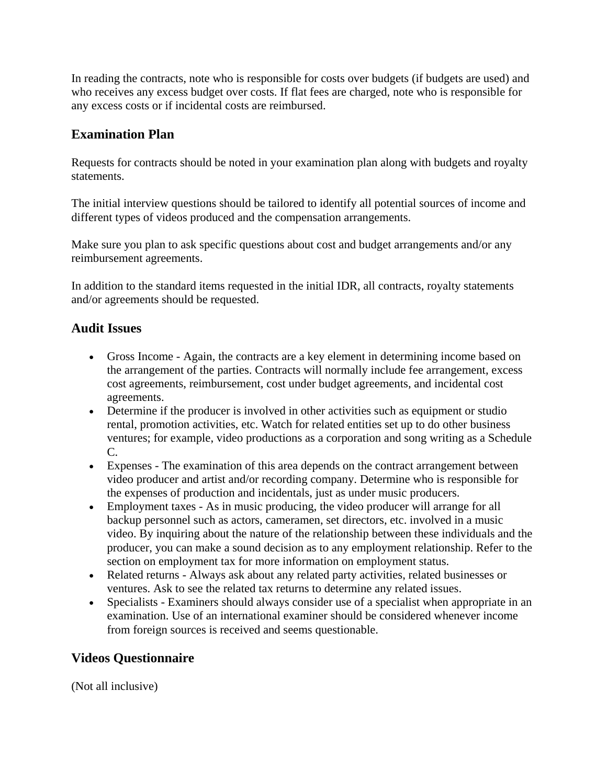In reading the contracts, note who is responsible for costs over budgets (if budgets are used) and who receives any excess budget over costs. If flat fees are charged, note who is responsible for any excess costs or if incidental costs are reimbursed.

## **Examination Plan**

Requests for contracts should be noted in your examination plan along with budgets and royalty statements.

The initial interview questions should be tailored to identify all potential sources of income and different types of videos produced and the compensation arrangements.

Make sure you plan to ask specific questions about cost and budget arrangements and/or any reimbursement agreements.

In addition to the standard items requested in the initial IDR, all contracts, royalty statements and/or agreements should be requested.

## **Audit Issues**

- Gross Income Again, the contracts are a key element in determining income based on the arrangement of the parties. Contracts will normally include fee arrangement, excess cost agreements, reimbursement, cost under budget agreements, and incidental cost agreements.
- Determine if the producer is involved in other activities such as equipment or studio rental, promotion activities, etc. Watch for related entities set up to do other business ventures; for example, video productions as a corporation and song writing as a Schedule C.
- Expenses The examination of this area depends on the contract arrangement between video producer and artist and/or recording company. Determine who is responsible for the expenses of production and incidentals, just as under music producers.
- Employment taxes As in music producing, the video producer will arrange for all backup personnel such as actors, cameramen, set directors, etc. involved in a music video. By inquiring about the nature of the relationship between these individuals and the producer, you can make a sound decision as to any employment relationship. Refer to the section on employment tax for more information on employment status.
- Related returns Always ask about any related party activities, related businesses or ventures. Ask to see the related tax returns to determine any related issues.
- Specialists Examiners should always consider use of a specialist when appropriate in an examination. Use of an international examiner should be considered whenever income from foreign sources is received and seems questionable.

# **Videos Questionnaire**

(Not all inclusive)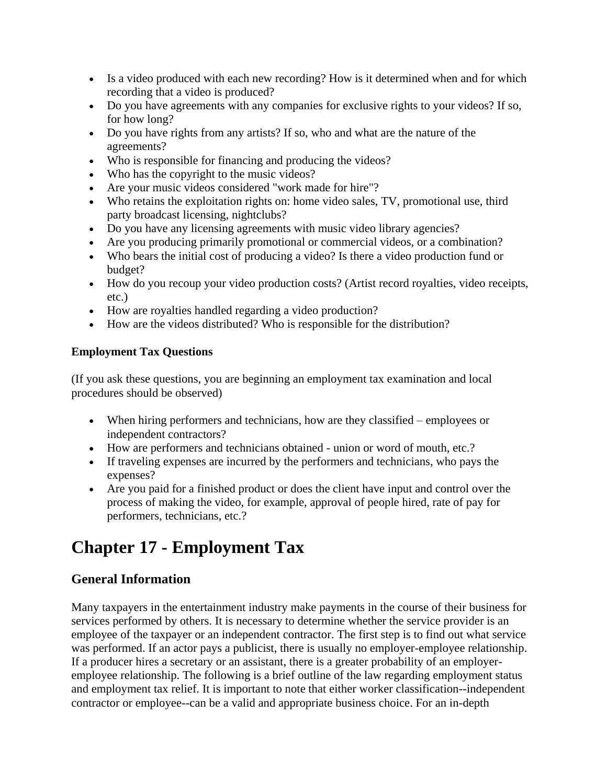- Is a video produced with each new recording? How is it determined when and for which recording that a video is produced?
- Do you have agreements with any companies for exclusive rights to your videos? If so, for how long?
- Do you have rights from any artists? If so, who and what are the nature of the agreements?
- Who is responsible for financing and producing the videos?
- Who has the copyright to the music videos?
- Are your music videos considered "work made for hire"?
- Who retains the exploitation rights on: home video sales, TV, promotional use, third party broadcast licensing, nightclubs?
- Do you have any licensing agreements with music video library agencies?
- Are you producing primarily promotional or commercial videos, or a combination?
- Who bears the initial cost of producing a video? Is there a video production fund or budget?
- How do you recoup your video production costs? (Artist record royalties, video receipts, etc.)
- How are royalties handled regarding a video production?
- How are the videos distributed? Who is responsible for the distribution?

## **Employment Tax Questions**

(If you ask these questions, you are beginning an employment tax examination and local procedures should be observed)

- When hiring performers and technicians, how are they classified employees or independent contractors?
- How are performers and technicians obtained union or word of mouth, etc.?
- If traveling expenses are incurred by the performers and technicians, who pays the expenses?
- Are you paid for a finished product or does the client have input and control over the process of making the video, for example, approval of people hired, rate of pay for performers, technicians, etc.?

# **Chapter 17 - Employment Tax**

# **General Information**

Many taxpayers in the entertainment industry make payments in the course of their business for services performed by others. It is necessary to determine whether the service provider is an employee of the taxpayer or an independent contractor. The first step is to find out what service was performed. If an actor pays a publicist, there is usually no employer-employee relationship. If a producer hires a secretary or an assistant, there is a greater probability of an employeremployee relationship. The following is a brief outline of the law regarding employment status and employment tax relief. It is important to note that either worker classification--independent contractor or employee--can be a valid and appropriate business choice. For an in-depth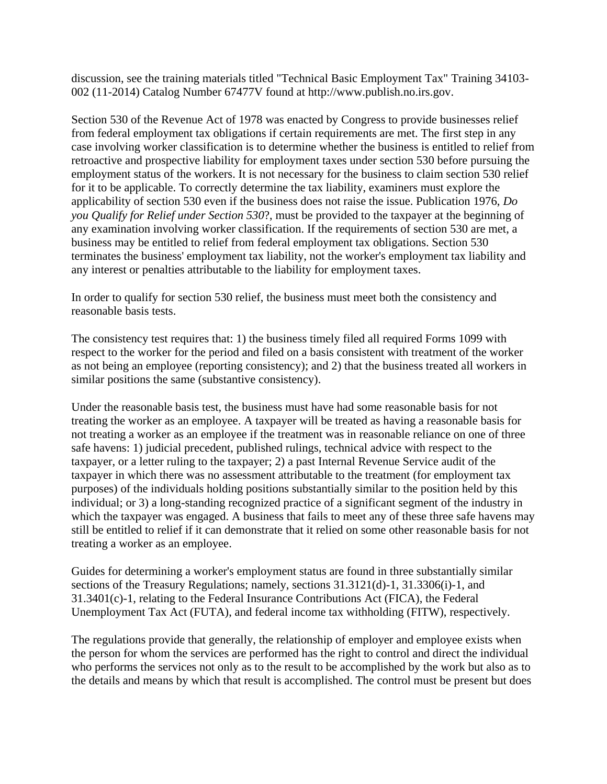discussion, see the training materials titled "Technical Basic Employment Tax" Training 34103- 002 (11-2014) Catalog Number 67477V found at http://www.publish.no.irs.gov.

Section 530 of the Revenue Act of 1978 was enacted by Congress to provide businesses relief from federal employment tax obligations if certain requirements are met. The first step in any case involving worker classification is to determine whether the business is entitled to relief from retroactive and prospective liability for employment taxes under section 530 before pursuing the employment status of the workers. It is not necessary for the business to claim section 530 relief for it to be applicable. To correctly determine the tax liability, examiners must explore the applicability of section 530 even if the business does not raise the issue. Publication 1976, *Do you Qualify for Relief under Section 530*?, must be provided to the taxpayer at the beginning of any examination involving worker classification. If the requirements of section 530 are met, a business may be entitled to relief from federal employment tax obligations. Section 530 terminates the business' employment tax liability, not the worker's employment tax liability and any interest or penalties attributable to the liability for employment taxes.

In order to qualify for section 530 relief, the business must meet both the consistency and reasonable basis tests.

The consistency test requires that: 1) the business timely filed all required Forms 1099 with respect to the worker for the period and filed on a basis consistent with treatment of the worker as not being an employee (reporting consistency); and 2) that the business treated all workers in similar positions the same (substantive consistency).

Under the reasonable basis test, the business must have had some reasonable basis for not treating the worker as an employee. A taxpayer will be treated as having a reasonable basis for not treating a worker as an employee if the treatment was in reasonable reliance on one of three safe havens: 1) judicial precedent, published rulings, technical advice with respect to the taxpayer, or a letter ruling to the taxpayer; 2) a past Internal Revenue Service audit of the taxpayer in which there was no assessment attributable to the treatment (for employment tax purposes) of the individuals holding positions substantially similar to the position held by this individual; or 3) a long-standing recognized practice of a significant segment of the industry in which the taxpayer was engaged. A business that fails to meet any of these three safe havens may still be entitled to relief if it can demonstrate that it relied on some other reasonable basis for not treating a worker as an employee.

Guides for determining a worker's employment status are found in three substantially similar sections of the Treasury Regulations; namely, sections 31.3121(d)-1, 31.3306(i)-1, and 31.3401(c)-1, relating to the Federal Insurance Contributions Act (FICA), the Federal Unemployment Tax Act (FUTA), and federal income tax withholding (FITW), respectively.

The regulations provide that generally, the relationship of employer and employee exists when the person for whom the services are performed has the right to control and direct the individual who performs the services not only as to the result to be accomplished by the work but also as to the details and means by which that result is accomplished. The control must be present but does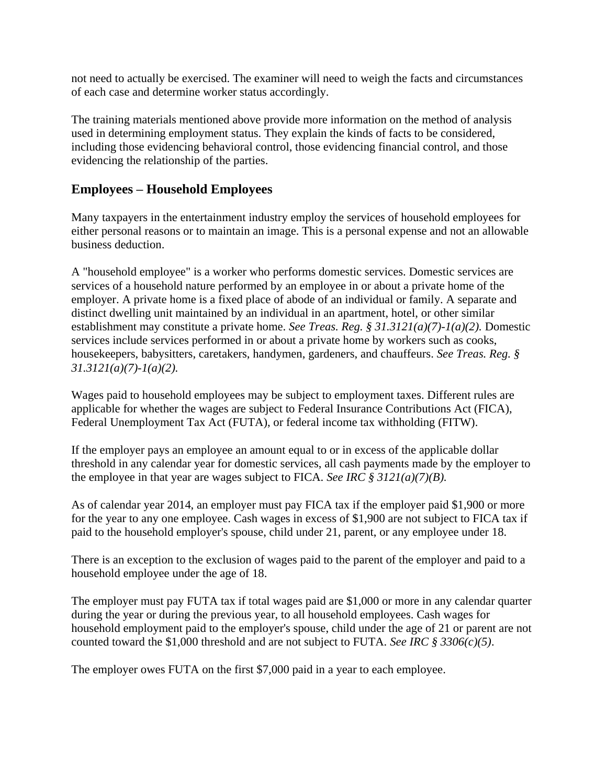not need to actually be exercised. The examiner will need to weigh the facts and circumstances of each case and determine worker status accordingly.

The training materials mentioned above provide more information on the method of analysis used in determining employment status. They explain the kinds of facts to be considered, including those evidencing behavioral control, those evidencing financial control, and those evidencing the relationship of the parties.

## **Employees – Household Employees**

Many taxpayers in the entertainment industry employ the services of household employees for either personal reasons or to maintain an image. This is a personal expense and not an allowable business deduction.

A "household employee" is a worker who performs domestic services. Domestic services are services of a household nature performed by an employee in or about a private home of the employer. A private home is a fixed place of abode of an individual or family. A separate and distinct dwelling unit maintained by an individual in an apartment, hotel, or other similar establishment may constitute a private home. *See Treas. Reg. § 31.3121(a)(7)-1(a)(2).* Domestic services include services performed in or about a private home by workers such as cooks, housekeepers, babysitters, caretakers, handymen, gardeners, and chauffeurs. *See Treas. Reg. § 31.3121(a)(7)-1(a)(2).*

Wages paid to household employees may be subject to employment taxes. Different rules are applicable for whether the wages are subject to Federal Insurance Contributions Act (FICA), Federal Unemployment Tax Act (FUTA), or federal income tax withholding (FITW).

If the employer pays an employee an amount equal to or in excess of the applicable dollar threshold in any calendar year for domestic services, all cash payments made by the employer to the employee in that year are wages subject to FICA. *See IRC § 3121(a)(7)(B).*

As of calendar year 2014, an employer must pay FICA tax if the employer paid \$1,900 or more for the year to any one employee. Cash wages in excess of \$1,900 are not subject to FICA tax if paid to the household employer's spouse, child under 21, parent, or any employee under 18.

There is an exception to the exclusion of wages paid to the parent of the employer and paid to a household employee under the age of 18.

The employer must pay FUTA tax if total wages paid are \$1,000 or more in any calendar quarter during the year or during the previous year, to all household employees. Cash wages for household employment paid to the employer's spouse, child under the age of 21 or parent are not counted toward the \$1,000 threshold and are not subject to FUTA. *See IRC § 3306(c)(5)*.

The employer owes FUTA on the first \$7,000 paid in a year to each employee.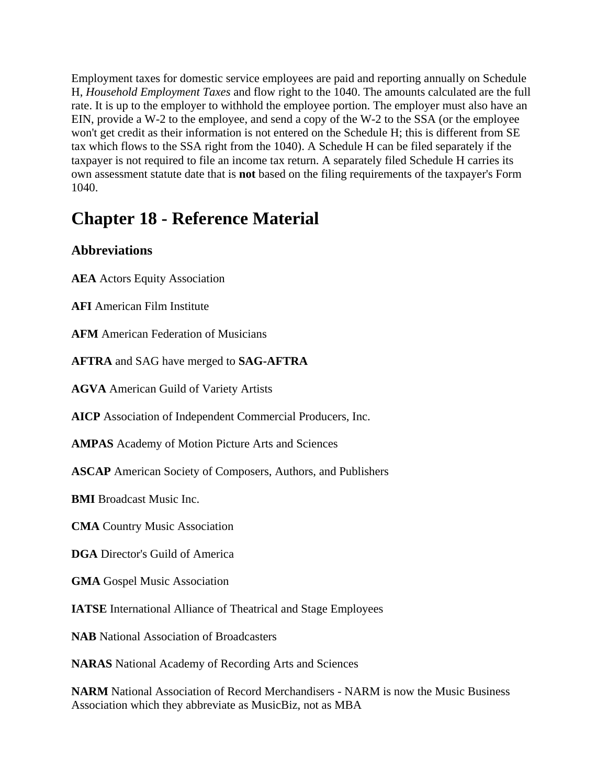Employment taxes for domestic service employees are paid and reporting annually on Schedule H, *Household Employment Taxes* and flow right to the 1040. The amounts calculated are the full rate. It is up to the employer to withhold the employee portion. The employer must also have an EIN, provide a W-2 to the employee, and send a copy of the W-2 to the SSA (or the employee won't get credit as their information is not entered on the Schedule H; this is different from SE tax which flows to the SSA right from the 1040). A Schedule H can be filed separately if the taxpayer is not required to file an income tax return. A separately filed Schedule H carries its own assessment statute date that is **not** based on the filing requirements of the taxpayer's Form 1040.

# **Chapter 18 - Reference Material**

# **Abbreviations**

**AEA** Actors Equity Association

**AFI** American Film Institute

**AFM** American Federation of Musicians

**AFTRA** and SAG have merged to **SAG-AFTRA**

**AGVA** American Guild of Variety Artists

**AICP** Association of Independent Commercial Producers, Inc.

**AMPAS** Academy of Motion Picture Arts and Sciences

**ASCAP** American Society of Composers, Authors, and Publishers

**BMI** Broadcast Music Inc.

**CMA** Country Music Association

**DGA** Director's Guild of America

**GMA** Gospel Music Association

**IATSE** International Alliance of Theatrical and Stage Employees

**NAB** National Association of Broadcasters

**NARAS** National Academy of Recording Arts and Sciences

**NARM** National Association of Record Merchandisers - NARM is now the Music Business Association which they abbreviate as MusicBiz, not as MBA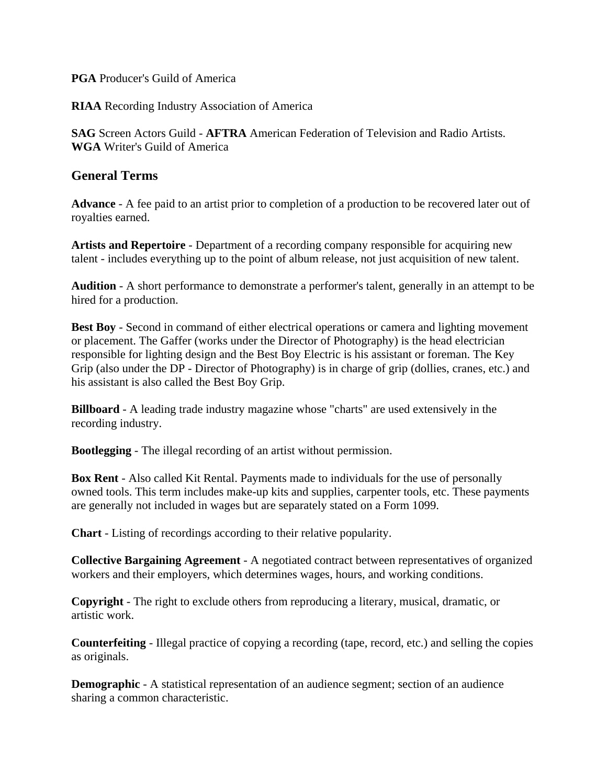**PGA** Producer's Guild of America

**RIAA** Recording Industry Association of America

**SAG** Screen Actors Guild - **AFTRA** American Federation of Television and Radio Artists. **WGA** Writer's Guild of America

## **General Terms**

**Advance** - A fee paid to an artist prior to completion of a production to be recovered later out of royalties earned.

**Artists and Repertoire** - Department of a recording company responsible for acquiring new talent - includes everything up to the point of album release, not just acquisition of new talent.

**Audition** - A short performance to demonstrate a performer's talent, generally in an attempt to be hired for a production.

**Best Boy** - Second in command of either electrical operations or camera and lighting movement or placement. The Gaffer (works under the Director of Photography) is the head electrician responsible for lighting design and the Best Boy Electric is his assistant or foreman. The Key Grip (also under the DP - Director of Photography) is in charge of grip (dollies, cranes, etc.) and his assistant is also called the Best Boy Grip.

**Billboard** - A leading trade industry magazine whose "charts" are used extensively in the recording industry.

**Bootlegging** - The illegal recording of an artist without permission.

**Box Rent** - Also called Kit Rental. Payments made to individuals for the use of personally owned tools. This term includes make-up kits and supplies, carpenter tools, etc. These payments are generally not included in wages but are separately stated on a Form 1099.

**Chart** - Listing of recordings according to their relative popularity.

**Collective Bargaining Agreement** - A negotiated contract between representatives of organized workers and their employers, which determines wages, hours, and working conditions.

**Copyright** - The right to exclude others from reproducing a literary, musical, dramatic, or artistic work.

**Counterfeiting** - Illegal practice of copying a recording (tape, record, etc.) and selling the copies as originals.

**Demographic** - A statistical representation of an audience segment; section of an audience sharing a common characteristic.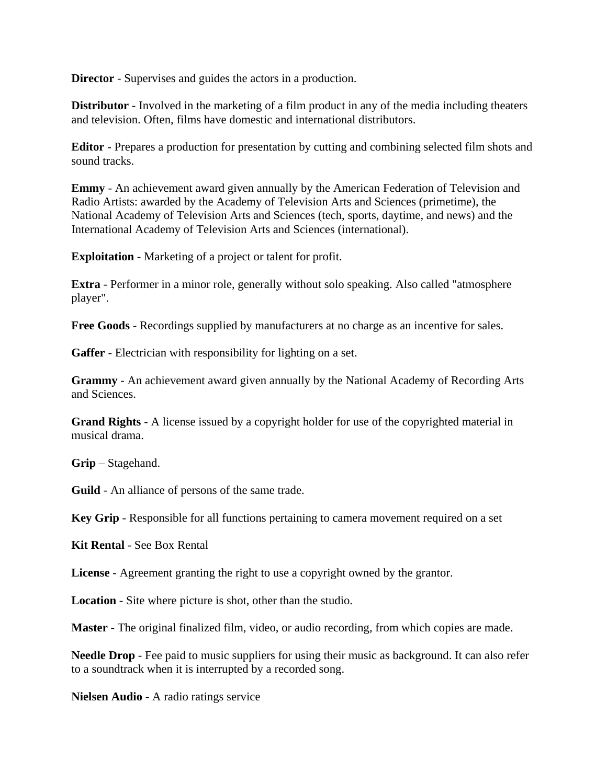**Director** - Supervises and guides the actors in a production.

**Distributor** - Involved in the marketing of a film product in any of the media including theaters and television. Often, films have domestic and international distributors.

**Editor** - Prepares a production for presentation by cutting and combining selected film shots and sound tracks.

**Emmy** - An achievement award given annually by the American Federation of Television and Radio Artists: awarded by the Academy of Television Arts and Sciences (primetime), the National Academy of Television Arts and Sciences (tech, sports, daytime, and news) and the International Academy of Television Arts and Sciences (international).

**Exploitation** - Marketing of a project or talent for profit.

**Extra** - Performer in a minor role, generally without solo speaking. Also called "atmosphere" player".

**Free Goods** - Recordings supplied by manufacturers at no charge as an incentive for sales.

**Gaffer** - Electrician with responsibility for lighting on a set.

**Grammy** - An achievement award given annually by the National Academy of Recording Arts and Sciences.

**Grand Rights** - A license issued by a copyright holder for use of the copyrighted material in musical drama.

**Grip** – Stagehand.

**Guild** - An alliance of persons of the same trade.

**Key Grip** - Responsible for all functions pertaining to camera movement required on a set

**Kit Rental** - See Box Rental

**License** - Agreement granting the right to use a copyright owned by the grantor.

**Location** - Site where picture is shot, other than the studio.

**Master** - The original finalized film, video, or audio recording, from which copies are made.

**Needle Drop** - Fee paid to music suppliers for using their music as background. It can also refer to a soundtrack when it is interrupted by a recorded song.

**Nielsen Audio** - A radio ratings service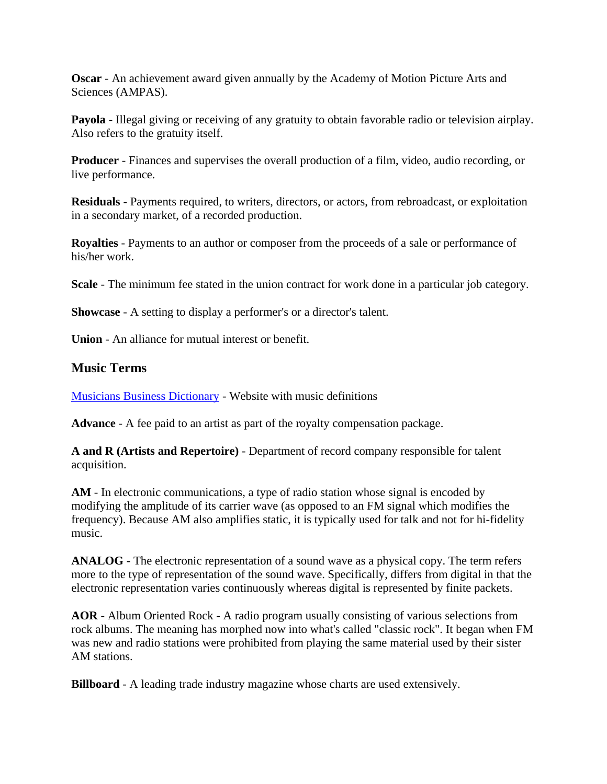**Oscar** - An achievement award given annually by the Academy of Motion Picture Arts and Sciences (AMPAS).

**Payola** - Illegal giving or receiving of any gratuity to obtain favorable radio or television airplay. Also refers to the gratuity itself.

**Producer** - Finances and supervises the overall production of a film, video, audio recording, or live performance.

**Residuals** - Payments required, to writers, directors, or actors, from rebroadcast, or exploitation in a secondary market, of a recorded production.

**Royalties** - Payments to an author or composer from the proceeds of a sale or performance of his/her work.

**Scale** - The minimum fee stated in the union contract for work done in a particular job category.

**Showcase** - A setting to display a performer's or a director's talent.

**Union** - An alliance for mutual interest or benefit.

## **Music Terms**

[Musicians Business Dictionary](http://www.musiciansbusinessdictionary.com/mbd/index.php?title=Special:AllPages) - Website with music definitions

**Advance** - A fee paid to an artist as part of the royalty compensation package.

**A and R (Artists and Repertoire)** - Department of record company responsible for talent acquisition.

**AM** - In electronic communications, a type of radio station whose signal is encoded by modifying the amplitude of its carrier wave (as opposed to an FM signal which modifies the frequency). Because AM also amplifies static, it is typically used for talk and not for hi-fidelity music.

**ANALOG** - The electronic representation of a sound wave as a physical copy. The term refers more to the type of representation of the sound wave. Specifically, differs from digital in that the electronic representation varies continuously whereas digital is represented by finite packets.

**AOR** - Album Oriented Rock - A radio program usually consisting of various selections from rock albums. The meaning has morphed now into what's called "classic rock". It began when FM was new and radio stations were prohibited from playing the same material used by their sister AM stations.

**Billboard** - A leading trade industry magazine whose charts are used extensively.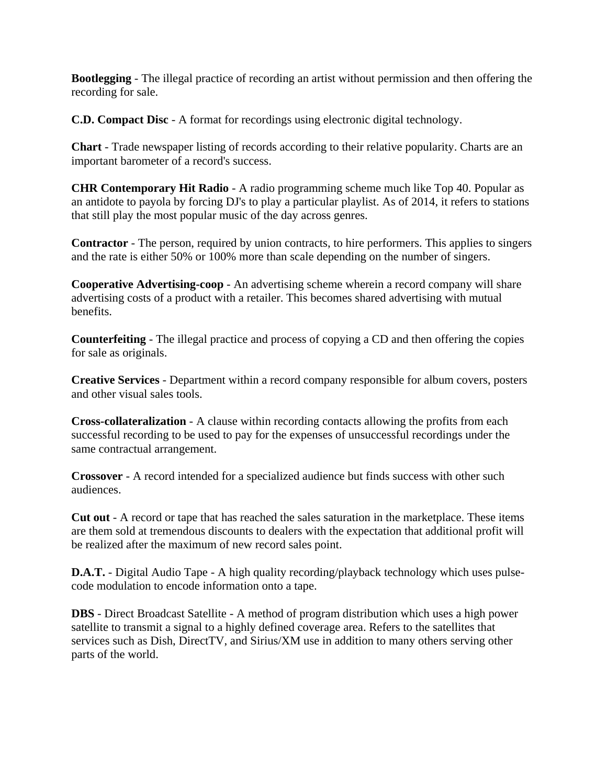**Bootlegging** - The illegal practice of recording an artist without permission and then offering the recording for sale.

**C.D. Compact Disc** - A format for recordings using electronic digital technology.

**Chart** - Trade newspaper listing of records according to their relative popularity. Charts are an important barometer of a record's success.

**CHR Contemporary Hit Radio** - A radio programming scheme much like Top 40. Popular as an antidote to payola by forcing DJ's to play a particular playlist. As of 2014, it refers to stations that still play the most popular music of the day across genres.

**Contractor** - The person, required by union contracts, to hire performers. This applies to singers and the rate is either 50% or 100% more than scale depending on the number of singers.

**Cooperative Advertising-coop** - An advertising scheme wherein a record company will share advertising costs of a product with a retailer. This becomes shared advertising with mutual benefits.

**Counterfeiting** - The illegal practice and process of copying a CD and then offering the copies for sale as originals.

**Creative Services** - Department within a record company responsible for album covers, posters and other visual sales tools.

**Cross-collateralization** - A clause within recording contacts allowing the profits from each successful recording to be used to pay for the expenses of unsuccessful recordings under the same contractual arrangement.

**Crossover** - A record intended for a specialized audience but finds success with other such audiences.

**Cut out** - A record or tape that has reached the sales saturation in the marketplace. These items are them sold at tremendous discounts to dealers with the expectation that additional profit will be realized after the maximum of new record sales point.

**D.A.T.** - Digital Audio Tape - A high quality recording/playback technology which uses pulsecode modulation to encode information onto a tape.

**DBS** - Direct Broadcast Satellite - A method of program distribution which uses a high power satellite to transmit a signal to a highly defined coverage area. Refers to the satellites that services such as Dish, DirectTV, and Sirius/XM use in addition to many others serving other parts of the world.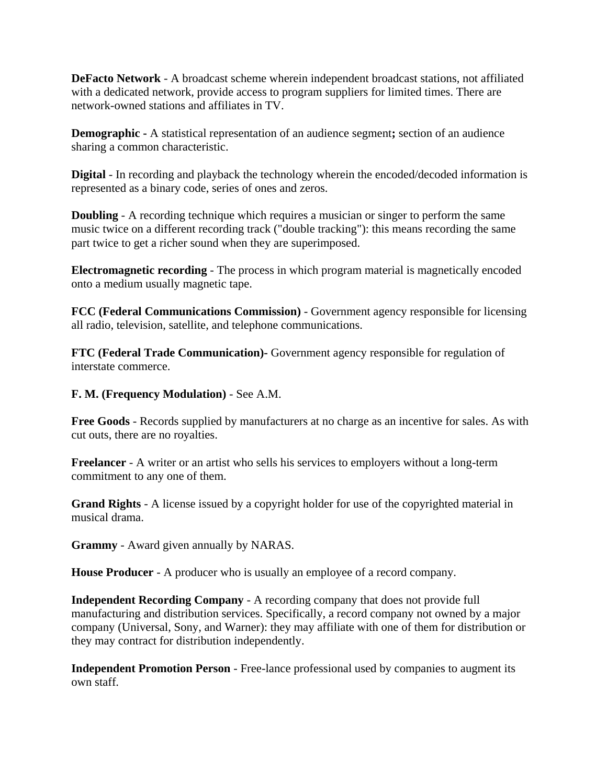**DeFacto Network** - A broadcast scheme wherein independent broadcast stations, not affiliated with a dedicated network, provide access to program suppliers for limited times. There are network-owned stations and affiliates in TV.

**Demographic -** A statistical representation of an audience segment**;** section of an audience sharing a common characteristic.

**Digital** - In recording and playback the technology wherein the encoded/decoded information is represented as a binary code, series of ones and zeros.

**Doubling** - A recording technique which requires a musician or singer to perform the same music twice on a different recording track ("double tracking"): this means recording the same part twice to get a richer sound when they are superimposed.

**Electromagnetic recording** - The process in which program material is magnetically encoded onto a medium usually magnetic tape.

**FCC (Federal Communications Commission)** - Government agency responsible for licensing all radio, television, satellite, and telephone communications.

**FTC (Federal Trade Communication)-** Government agency responsible for regulation of interstate commerce.

#### **F. M. (Frequency Modulation)** - See A.M.

**Free Goods** - Records supplied by manufacturers at no charge as an incentive for sales. As with cut outs, there are no royalties.

**Freelancer** - A writer or an artist who sells his services to employers without a long-term commitment to any one of them.

**Grand Rights** - A license issued by a copyright holder for use of the copyrighted material in musical drama.

**Grammy** - Award given annually by NARAS.

**House Producer** - A producer who is usually an employee of a record company.

**Independent Recording Company** - A recording company that does not provide full manufacturing and distribution services. Specifically, a record company not owned by a major company (Universal, Sony, and Warner): they may affiliate with one of them for distribution or they may contract for distribution independently.

**Independent Promotion Person** - Free-lance professional used by companies to augment its own staff.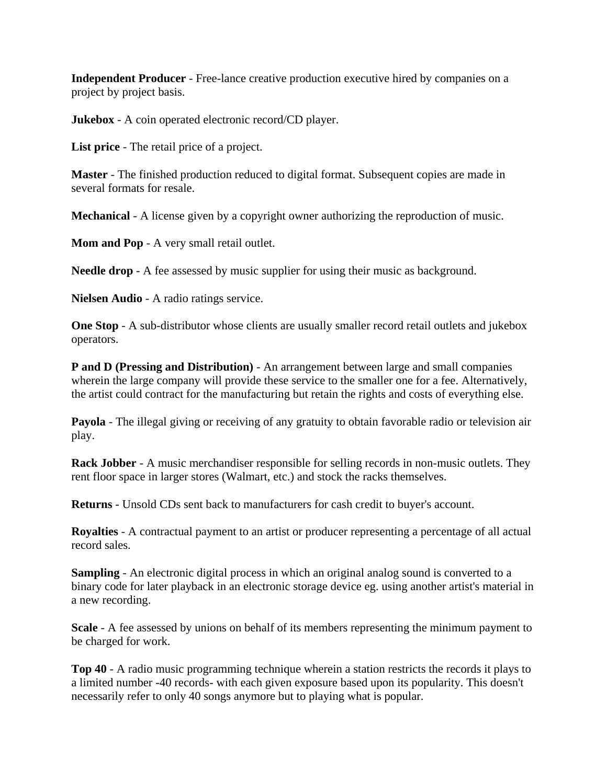**Independent Producer** - Free-lance creative production executive hired by companies on a project by project basis.

**Jukebox** - A coin operated electronic record/CD player.

**List price** - The retail price of a project.

**Master** - The finished production reduced to digital format. Subsequent copies are made in several formats for resale.

**Mechanical** - A license given by a copyright owner authorizing the reproduction of music.

**Mom and Pop** - A very small retail outlet.

**Needle drop** - A fee assessed by music supplier for using their music as background.

**Nielsen Audio** - A radio ratings service.

**One Stop** - A sub-distributor whose clients are usually smaller record retail outlets and jukebox operators.

**P and D (Pressing and Distribution)** - An arrangement between large and small companies wherein the large company will provide these service to the smaller one for a fee. Alternatively, the artist could contract for the manufacturing but retain the rights and costs of everything else.

**Payola** - The illegal giving or receiving of any gratuity to obtain favorable radio or television air play.

**Rack Jobber** - A music merchandiser responsible for selling records in non-music outlets. They rent floor space in larger stores (Walmart, etc.) and stock the racks themselves.

**Returns** - Unsold CDs sent back to manufacturers for cash credit to buyer's account.

**Royalties** - A contractual payment to an artist or producer representing a percentage of all actual record sales.

**Sampling** - An electronic digital process in which an original analog sound is converted to a binary code for later playback in an electronic storage device eg. using another artist's material in a new recording.

**Scale** - A fee assessed by unions on behalf of its members representing the minimum payment to be charged for work.

**Top 40** - A radio music programming technique wherein a station restricts the records it plays to a limited number -40 records- with each given exposure based upon its popularity. This doesn't necessarily refer to only 40 songs anymore but to playing what is popular.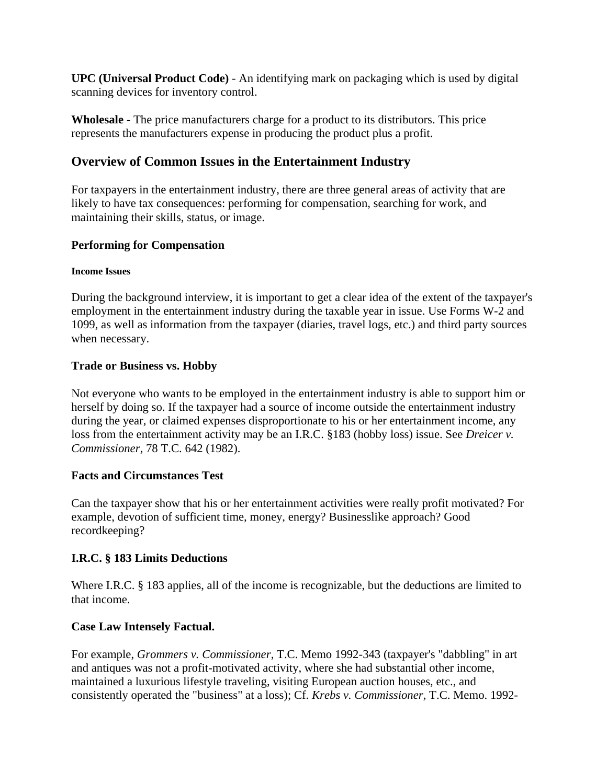**UPC (Universal Product Code)** - An identifying mark on packaging which is used by digital scanning devices for inventory control.

**Wholesale** - The price manufacturers charge for a product to its distributors. This price represents the manufacturers expense in producing the product plus a profit.

## **Overview of Common Issues in the Entertainment Industry**

For taxpayers in the entertainment industry, there are three general areas of activity that are likely to have tax consequences: performing for compensation, searching for work, and maintaining their skills, status, or image.

## **Performing for Compensation**

#### **Income Issues**

During the background interview, it is important to get a clear idea of the extent of the taxpayer's employment in the entertainment industry during the taxable year in issue. Use Forms W-2 and 1099, as well as information from the taxpayer (diaries, travel logs, etc.) and third party sources when necessary.

#### **Trade or Business vs. Hobby**

Not everyone who wants to be employed in the entertainment industry is able to support him or herself by doing so. If the taxpayer had a source of income outside the entertainment industry during the year, or claimed expenses disproportionate to his or her entertainment income, any loss from the entertainment activity may be an I.R.C. §183 (hobby loss) issue. See *Dreicer v. Commissioner*, 78 T.C. 642 (1982).

#### **Facts and Circumstances Test**

Can the taxpayer show that his or her entertainment activities were really profit motivated? For example, devotion of sufficient time, money, energy? Businesslike approach? Good recordkeeping?

## **I.R.C. § 183 Limits Deductions**

Where I.R.C. § 183 applies, all of the income is recognizable, but the deductions are limited to that income.

## **Case Law Intensely Factual.**

For example, *Grommers v. Commissioner*, T.C. Memo 1992-343 (taxpayer's "dabbling" in art and antiques was not a profit-motivated activity, where she had substantial other income, maintained a luxurious lifestyle traveling, visiting European auction houses, etc., and consistently operated the "business" at a loss); Cf. *Krebs v. Commissioner*, T.C. Memo. 1992-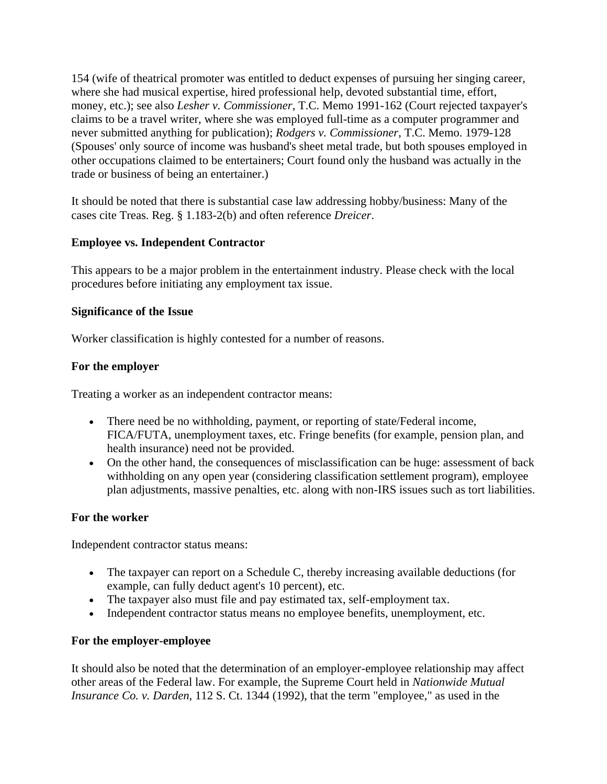154 (wife of theatrical promoter was entitled to deduct expenses of pursuing her singing career, where she had musical expertise, hired professional help, devoted substantial time, effort, money, etc.); see also *Lesher v. Commissioner*, T.C. Memo 1991-162 (Court rejected taxpayer's claims to be a travel writer, where she was employed full-time as a computer programmer and never submitted anything for publication); *Rodgers v. Commissioner*, T.C. Memo. 1979-128 (Spouses' only source of income was husband's sheet metal trade, but both spouses employed in other occupations claimed to be entertainers; Court found only the husband was actually in the trade or business of being an entertainer.)

It should be noted that there is substantial case law addressing hobby/business: Many of the cases cite Treas. Reg. § 1.183-2(b) and often reference *Dreicer*.

## **Employee vs. Independent Contractor**

This appears to be a major problem in the entertainment industry. Please check with the local procedures before initiating any employment tax issue.

## **Significance of the Issue**

Worker classification is highly contested for a number of reasons.

#### **For the employer**

Treating a worker as an independent contractor means:

- There need be no withholding, payment, or reporting of state/Federal income, FICA/FUTA, unemployment taxes, etc. Fringe benefits (for example, pension plan, and health insurance) need not be provided.
- On the other hand, the consequences of misclassification can be huge: assessment of back withholding on any open year (considering classification settlement program), employee plan adjustments, massive penalties, etc. along with non-IRS issues such as tort liabilities.

#### **For the worker**

Independent contractor status means:

- The taxpayer can report on a Schedule C, thereby increasing available deductions (for example, can fully deduct agent's 10 percent), etc.
- The taxpayer also must file and pay estimated tax, self-employment tax.
- Independent contractor status means no employee benefits, unemployment, etc.

## **For the employer-employee**

It should also be noted that the determination of an employer-employee relationship may affect other areas of the Federal law. For example, the Supreme Court held in *Nationwide Mutual Insurance Co. v. Darden*, 112 S. Ct. 1344 (1992), that the term "employee," as used in the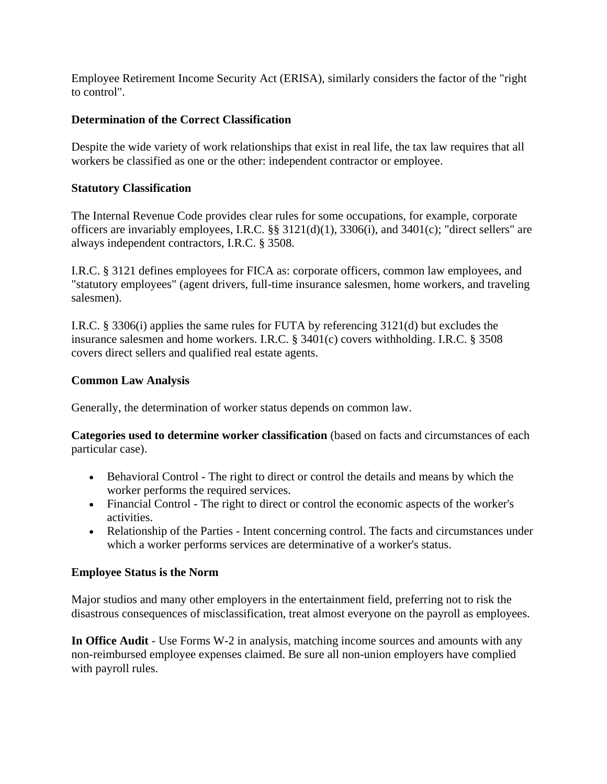Employee Retirement Income Security Act (ERISA), similarly considers the factor of the "right to control".

## **Determination of the Correct Classification**

Despite the wide variety of work relationships that exist in real life, the tax law requires that all workers be classified as one or the other: independent contractor or employee.

## **Statutory Classification**

The Internal Revenue Code provides clear rules for some occupations, for example, corporate officers are invariably employees, I.R.C. §§ 3121(d)(1), 3306(i), and 3401(c); "direct sellers" are always independent contractors, I.R.C. § 3508.

I.R.C. § 3121 defines employees for FICA as: corporate officers, common law employees, and "statutory employees" (agent drivers, full-time insurance salesmen, home workers, and traveling salesmen).

I.R.C. § 3306(i) applies the same rules for FUTA by referencing 3121(d) but excludes the insurance salesmen and home workers. I.R.C. § 3401(c) covers withholding. I.R.C. § 3508 covers direct sellers and qualified real estate agents.

#### **Common Law Analysis**

Generally, the determination of worker status depends on common law.

**Categories used to determine worker classification** (based on facts and circumstances of each particular case).

- Behavioral Control The right to direct or control the details and means by which the worker performs the required services.
- Financial Control The right to direct or control the economic aspects of the worker's activities.
- Relationship of the Parties Intent concerning control. The facts and circumstances under which a worker performs services are determinative of a worker's status.

## **Employee Status is the Norm**

Major studios and many other employers in the entertainment field, preferring not to risk the disastrous consequences of misclassification, treat almost everyone on the payroll as employees.

**In Office Audit** - Use Forms W-2 in analysis, matching income sources and amounts with any non-reimbursed employee expenses claimed. Be sure all non-union employers have complied with payroll rules.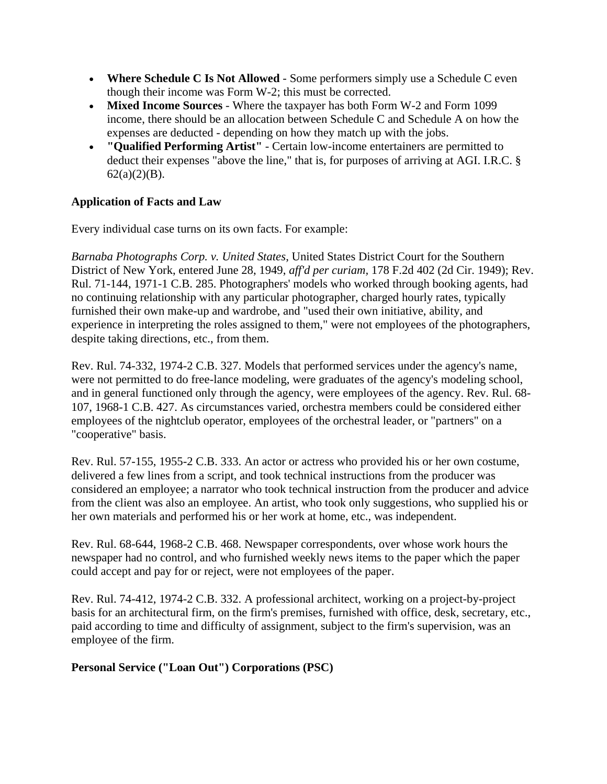- **Where Schedule C Is Not Allowed**  Some performers simply use a Schedule C even though their income was Form W-2; this must be corrected.
- **Mixed Income Sources**  Where the taxpayer has both Form W-2 and Form 1099 income, there should be an allocation between Schedule C and Schedule A on how the expenses are deducted - depending on how they match up with the jobs.
- **"Qualified Performing Artist"**  Certain low-income entertainers are permitted to deduct their expenses "above the line," that is, for purposes of arriving at AGI. I.R.C. §  $62(a)(2)(B)$ .

## **Application of Facts and Law**

Every individual case turns on its own facts. For example:

*Barnaba Photographs Corp. v. United States*, United States District Court for the Southern District of New York, entered June 28, 1949, *aff'd per curiam,* 178 F.2d 402 (2d Cir. 1949); Rev. Rul. 71-144, 1971-1 C.B. 285. Photographers' models who worked through booking agents, had no continuing relationship with any particular photographer, charged hourly rates, typically furnished their own make-up and wardrobe, and "used their own initiative, ability, and experience in interpreting the roles assigned to them," were not employees of the photographers, despite taking directions, etc., from them.

Rev. Rul. 74-332, 1974-2 C.B. 327. Models that performed services under the agency's name, were not permitted to do free-lance modeling, were graduates of the agency's modeling school, and in general functioned only through the agency, were employees of the agency. Rev. Rul. 68- 107, 1968-1 C.B. 427. As circumstances varied, orchestra members could be considered either employees of the nightclub operator, employees of the orchestral leader, or "partners" on a "cooperative" basis.

Rev. Rul. 57-155, 1955-2 C.B. 333. An actor or actress who provided his or her own costume, delivered a few lines from a script, and took technical instructions from the producer was considered an employee; a narrator who took technical instruction from the producer and advice from the client was also an employee. An artist, who took only suggestions, who supplied his or her own materials and performed his or her work at home, etc., was independent.

Rev. Rul. 68-644, 1968-2 C.B. 468. Newspaper correspondents, over whose work hours the newspaper had no control, and who furnished weekly news items to the paper which the paper could accept and pay for or reject, were not employees of the paper.

Rev. Rul. 74-412, 1974-2 C.B. 332. A professional architect, working on a project-by-project basis for an architectural firm, on the firm's premises, furnished with office, desk, secretary, etc., paid according to time and difficulty of assignment, subject to the firm's supervision, was an employee of the firm.

**Personal Service ("Loan Out") Corporations (PSC)**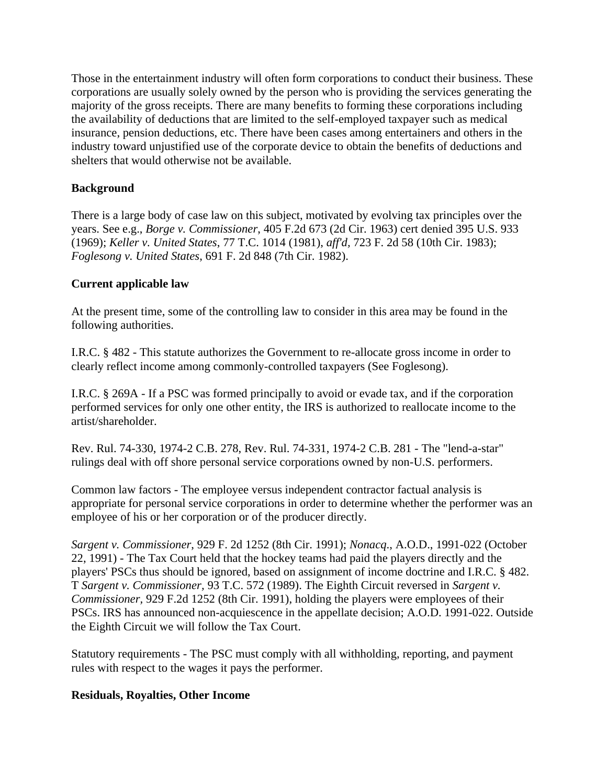Those in the entertainment industry will often form corporations to conduct their business. These corporations are usually solely owned by the person who is providing the services generating the majority of the gross receipts. There are many benefits to forming these corporations including the availability of deductions that are limited to the self-employed taxpayer such as medical insurance, pension deductions, etc. There have been cases among entertainers and others in the industry toward unjustified use of the corporate device to obtain the benefits of deductions and shelters that would otherwise not be available.

## **Background**

There is a large body of case law on this subject, motivated by evolving tax principles over the years. See e.g., *Borge v. Commissioner*, 405 F.2d 673 (2d Cir. 1963) cert denied 395 U.S. 933 (1969); *Keller v. United States*, 77 T.C. 1014 (1981), *aff'd,* 723 F. 2d 58 (10th Cir. 1983); *Foglesong v. United States*, 691 F. 2d 848 (7th Cir. 1982).

## **Current applicable law**

At the present time, some of the controlling law to consider in this area may be found in the following authorities.

I.R.C. § 482 - This statute authorizes the Government to re-allocate gross income in order to clearly reflect income among commonly-controlled taxpayers (See Foglesong).

I.R.C. § 269A - If a PSC was formed principally to avoid or evade tax, and if the corporation performed services for only one other entity, the IRS is authorized to reallocate income to the artist/shareholder.

Rev. Rul. 74-330, 1974-2 C.B. 278, Rev. Rul. 74-331, 1974-2 C.B. 281 - The "lend-a-star" rulings deal with off shore personal service corporations owned by non-U.S. performers.

Common law factors - The employee versus independent contractor factual analysis is appropriate for personal service corporations in order to determine whether the performer was an employee of his or her corporation or of the producer directly.

*Sargent v. Commissioner*, 929 F. 2d 1252 (8th Cir. 1991); *Nonacq*., A.O.D., 1991-022 (October 22, 1991) - The Tax Court held that the hockey teams had paid the players directly and the players' PSCs thus should be ignored, based on assignment of income doctrine and I.R.C. § 482. T *Sargent v. Commissioner,* 93 T.C. 572 (1989). The Eighth Circuit reversed in *Sargent v. Commissioner,* 929 F.2d 1252 (8th Cir. 1991), holding the players were employees of their PSCs. IRS has announced non-acquiescence in the appellate decision; A.O.D. 1991-022. Outside the Eighth Circuit we will follow the Tax Court.

Statutory requirements - The PSC must comply with all withholding, reporting, and payment rules with respect to the wages it pays the performer.

## **Residuals, Royalties, Other Income**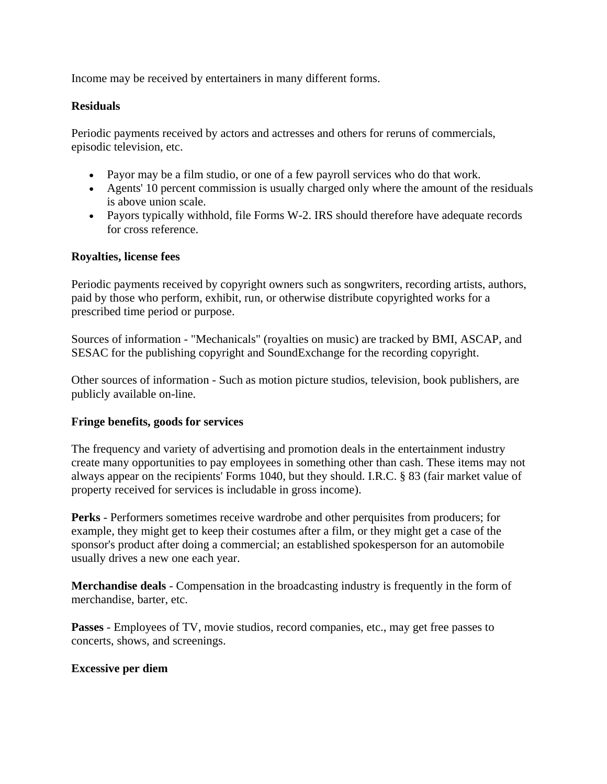Income may be received by entertainers in many different forms.

### **Residuals**

Periodic payments received by actors and actresses and others for reruns of commercials, episodic television, etc.

- Payor may be a film studio, or one of a few payroll services who do that work.
- Agents' 10 percent commission is usually charged only where the amount of the residuals is above union scale.
- Payors typically withhold, file Forms W-2. IRS should therefore have adequate records for cross reference.

#### **Royalties, license fees**

Periodic payments received by copyright owners such as songwriters, recording artists, authors, paid by those who perform, exhibit, run, or otherwise distribute copyrighted works for a prescribed time period or purpose.

Sources of information - "Mechanicals" (royalties on music) are tracked by BMI, ASCAP, and SESAC for the publishing copyright and SoundExchange for the recording copyright.

Other sources of information - Such as motion picture studios, television, book publishers, are publicly available on-line.

#### **Fringe benefits, goods for services**

The frequency and variety of advertising and promotion deals in the entertainment industry create many opportunities to pay employees in something other than cash. These items may not always appear on the recipients' Forms 1040, but they should. I.R.C. § 83 (fair market value of property received for services is includable in gross income).

**Perks** - Performers sometimes receive wardrobe and other perquisites from producers; for example, they might get to keep their costumes after a film, or they might get a case of the sponsor's product after doing a commercial; an established spokesperson for an automobile usually drives a new one each year.

**Merchandise deals** - Compensation in the broadcasting industry is frequently in the form of merchandise, barter, etc.

**Passes** - Employees of TV, movie studios, record companies, etc., may get free passes to concerts, shows, and screenings.

#### **Excessive per diem**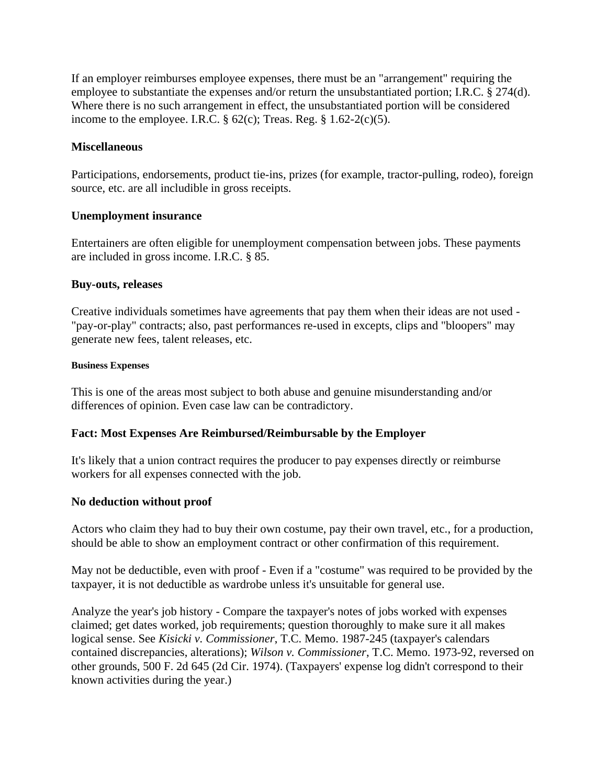If an employer reimburses employee expenses, there must be an "arrangement" requiring the employee to substantiate the expenses and/or return the unsubstantiated portion; I.R.C. § 274(d). Where there is no such arrangement in effect, the unsubstantiated portion will be considered income to the employee. I.R.C.  $\S$  62(c); Treas. Reg.  $\S$  1.62-2(c)(5).

#### **Miscellaneous**

Participations, endorsements, product tie-ins, prizes (for example, tractor-pulling, rodeo), foreign source, etc. are all includible in gross receipts.

#### **Unemployment insurance**

Entertainers are often eligible for unemployment compensation between jobs. These payments are included in gross income. I.R.C. § 85.

#### **Buy-outs, releases**

Creative individuals sometimes have agreements that pay them when their ideas are not used - "pay-or-play" contracts; also, past performances re-used in excepts, clips and "bloopers" may generate new fees, talent releases, etc.

#### **Business Expenses**

This is one of the areas most subject to both abuse and genuine misunderstanding and/or differences of opinion. Even case law can be contradictory.

## **Fact: Most Expenses Are Reimbursed/Reimbursable by the Employer**

It's likely that a union contract requires the producer to pay expenses directly or reimburse workers for all expenses connected with the job.

#### **No deduction without proof**

Actors who claim they had to buy their own costume, pay their own travel, etc., for a production, should be able to show an employment contract or other confirmation of this requirement.

May not be deductible, even with proof - Even if a "costume" was required to be provided by the taxpayer, it is not deductible as wardrobe unless it's unsuitable for general use.

Analyze the year's job history - Compare the taxpayer's notes of jobs worked with expenses claimed; get dates worked, job requirements; question thoroughly to make sure it all makes logical sense. See *Kisicki v. Commissioner*, T.C. Memo. 1987-245 (taxpayer's calendars contained discrepancies, alterations); *Wilson v. Commissioner*, T.C. Memo. 1973-92, reversed on other grounds, 500 F. 2d 645 (2d Cir. 1974). (Taxpayers' expense log didn't correspond to their known activities during the year.)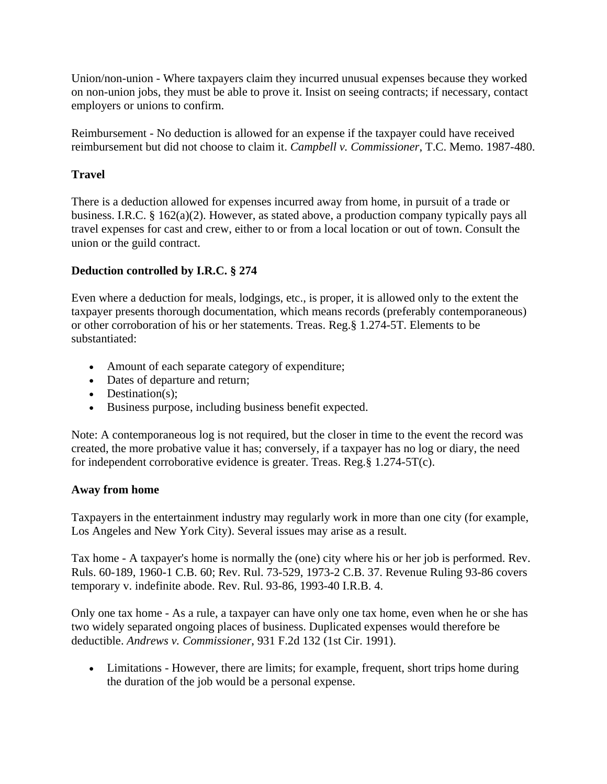Union/non-union - Where taxpayers claim they incurred unusual expenses because they worked on non-union jobs, they must be able to prove it. Insist on seeing contracts; if necessary, contact employers or unions to confirm.

Reimbursement - No deduction is allowed for an expense if the taxpayer could have received reimbursement but did not choose to claim it. *Campbell v. Commissioner*, T.C. Memo. 1987-480.

## **Travel**

There is a deduction allowed for expenses incurred away from home, in pursuit of a trade or business. I.R.C. § 162(a)(2). However, as stated above, a production company typically pays all travel expenses for cast and crew, either to or from a local location or out of town. Consult the union or the guild contract.

## **Deduction controlled by I.R.C. § 274**

Even where a deduction for meals, lodgings, etc., is proper, it is allowed only to the extent the taxpayer presents thorough documentation, which means records (preferably contemporaneous) or other corroboration of his or her statements. Treas. Reg.§ 1.274-5T. Elements to be substantiated:

- Amount of each separate category of expenditure;
- Dates of departure and return;
- $\bullet$  Destination(s);
- Business purpose, including business benefit expected.

Note: A contemporaneous log is not required, but the closer in time to the event the record was created, the more probative value it has; conversely, if a taxpayer has no log or diary, the need for independent corroborative evidence is greater. Treas. Reg.§ 1.274-5T(c).

#### **Away from home**

Taxpayers in the entertainment industry may regularly work in more than one city (for example, Los Angeles and New York City). Several issues may arise as a result.

Tax home - A taxpayer's home is normally the (one) city where his or her job is performed. Rev. Ruls. 60-189, 1960-1 C.B. 60; Rev. Rul. 73-529, 1973-2 C.B. 37. Revenue Ruling 93-86 covers temporary v. indefinite abode. Rev. Rul. 93-86, 1993-40 I.R.B. 4.

Only one tax home - As a rule, a taxpayer can have only one tax home, even when he or she has two widely separated ongoing places of business. Duplicated expenses would therefore be deductible. *Andrews v. Commissioner*, 931 F.2d 132 (1st Cir. 1991).

 Limitations - However, there are limits; for example, frequent, short trips home during the duration of the job would be a personal expense.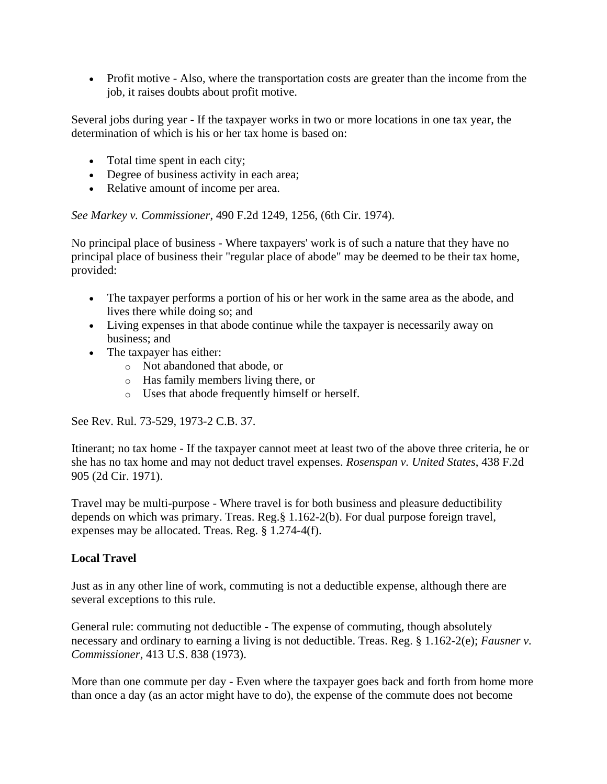• Profit motive - Also, where the transportation costs are greater than the income from the job, it raises doubts about profit motive.

Several jobs during year - If the taxpayer works in two or more locations in one tax year, the determination of which is his or her tax home is based on:

- Total time spent in each city;
- Degree of business activity in each area;
- Relative amount of income per area.

*See Markey v. Commissioner*, 490 F.2d 1249, 1256, (6th Cir. 1974).

No principal place of business - Where taxpayers' work is of such a nature that they have no principal place of business their "regular place of abode" may be deemed to be their tax home, provided:

- The taxpayer performs a portion of his or her work in the same area as the abode, and lives there while doing so; and
- Living expenses in that abode continue while the taxpayer is necessarily away on business; and
- The taxpayer has either:
	- o Not abandoned that abode, or
	- o Has family members living there, or
	- o Uses that abode frequently himself or herself.

See Rev. Rul. 73-529, 1973-2 C.B. 37.

Itinerant; no tax home - If the taxpayer cannot meet at least two of the above three criteria, he or she has no tax home and may not deduct travel expenses. *Rosenspan v. United States*, 438 F.2d 905 (2d Cir. 1971).

Travel may be multi-purpose - Where travel is for both business and pleasure deductibility depends on which was primary. Treas. Reg.§ 1.162-2(b). For dual purpose foreign travel, expenses may be allocated. Treas. Reg. § 1.274-4(f).

## **Local Travel**

Just as in any other line of work, commuting is not a deductible expense, although there are several exceptions to this rule.

General rule: commuting not deductible - The expense of commuting, though absolutely necessary and ordinary to earning a living is not deductible. Treas. Reg. § 1.162-2(e); *Fausner v. Commissioner*, 413 U.S. 838 (1973).

More than one commute per day - Even where the taxpayer goes back and forth from home more than once a day (as an actor might have to do), the expense of the commute does not become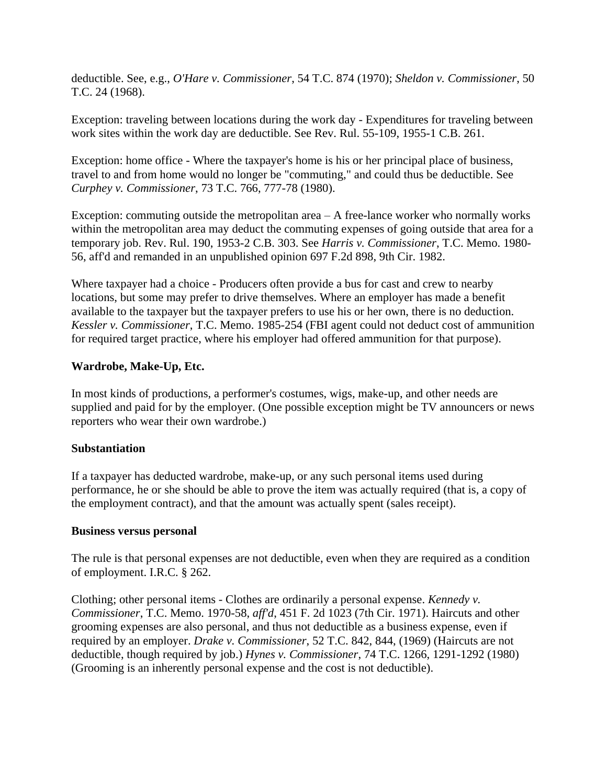deductible. See, e.g., *O'Hare v. Commissioner*, 54 T.C. 874 (1970); *Sheldon v. Commissioner*, 50 T.C. 24 (1968).

Exception: traveling between locations during the work day - Expenditures for traveling between work sites within the work day are deductible. See Rev. Rul. 55-109, 1955-1 C.B. 261.

Exception: home office - Where the taxpayer's home is his or her principal place of business, travel to and from home would no longer be "commuting," and could thus be deductible. See *Curphey v. Commissioner*, 73 T.C. 766, 777-78 (1980).

Exception: commuting outside the metropolitan area  $-A$  free-lance worker who normally works within the metropolitan area may deduct the commuting expenses of going outside that area for a temporary job. Rev. Rul. 190, 1953-2 C.B. 303. See *Harris v. Commissioner*, T.C. Memo. 1980- 56, aff'd and remanded in an unpublished opinion 697 F.2d 898, 9th Cir. 1982.

Where taxpayer had a choice - Producers often provide a bus for cast and crew to nearby locations, but some may prefer to drive themselves. Where an employer has made a benefit available to the taxpayer but the taxpayer prefers to use his or her own, there is no deduction. *Kessler v. Commissioner*, T.C. Memo. 1985-254 (FBI agent could not deduct cost of ammunition for required target practice, where his employer had offered ammunition for that purpose).

#### **Wardrobe, Make-Up, Etc.**

In most kinds of productions, a performer's costumes, wigs, make-up, and other needs are supplied and paid for by the employer. (One possible exception might be TV announcers or news reporters who wear their own wardrobe.)

#### **Substantiation**

If a taxpayer has deducted wardrobe, make-up, or any such personal items used during performance, he or she should be able to prove the item was actually required (that is, a copy of the employment contract), and that the amount was actually spent (sales receipt).

#### **Business versus personal**

The rule is that personal expenses are not deductible, even when they are required as a condition of employment. I.R.C. § 262.

Clothing; other personal items - Clothes are ordinarily a personal expense. *Kennedy v. Commissioner*, T.C. Memo. 1970-58, *aff'd*, 451 F. 2d 1023 (7th Cir. 1971). Haircuts and other grooming expenses are also personal, and thus not deductible as a business expense, even if required by an employer. *Drake v. Commissioner*, 52 T.C. 842, 844, (1969) (Haircuts are not deductible, though required by job.) *Hynes v. Commissioner*, 74 T.C. 1266, 1291-1292 (1980) (Grooming is an inherently personal expense and the cost is not deductible).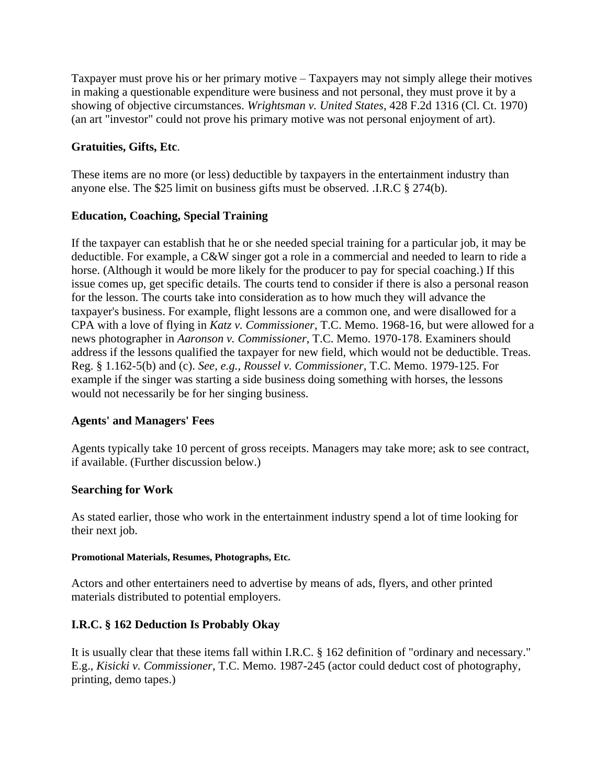Taxpayer must prove his or her primary motive – Taxpayers may not simply allege their motives in making a questionable expenditure were business and not personal, they must prove it by a showing of objective circumstances. *Wrightsman v. United States*, 428 F.2d 1316 (Cl. Ct. 1970) (an art "investor" could not prove his primary motive was not personal enjoyment of art).

## **Gratuities, Gifts, Etc**.

These items are no more (or less) deductible by taxpayers in the entertainment industry than anyone else. The \$25 limit on business gifts must be observed. .I.R.C § 274(b).

## **Education, Coaching, Special Training**

If the taxpayer can establish that he or she needed special training for a particular job, it may be deductible. For example, a C&W singer got a role in a commercial and needed to learn to ride a horse. (Although it would be more likely for the producer to pay for special coaching.) If this issue comes up, get specific details. The courts tend to consider if there is also a personal reason for the lesson. The courts take into consideration as to how much they will advance the taxpayer's business. For example, flight lessons are a common one, and were disallowed for a CPA with a love of flying in *Katz v. Commissioner*, T.C. Memo. 1968-16, but were allowed for a news photographer in *Aaronson v. Commissioner*, T.C. Memo. 1970-178. Examiners should address if the lessons qualified the taxpayer for new field, which would not be deductible. Treas. Reg. § 1.162-5(b) and (c). *See, e.g., Roussel v. Commissioner,* T.C. Memo. 1979-125. For example if the singer was starting a side business doing something with horses, the lessons would not necessarily be for her singing business.

## **Agents' and Managers' Fees**

Agents typically take 10 percent of gross receipts. Managers may take more; ask to see contract, if available. (Further discussion below.)

## **Searching for Work**

As stated earlier, those who work in the entertainment industry spend a lot of time looking for their next job.

#### **Promotional Materials, Resumes, Photographs, Etc.**

Actors and other entertainers need to advertise by means of ads, flyers, and other printed materials distributed to potential employers.

## **I.R.C. § 162 Deduction Is Probably Okay**

It is usually clear that these items fall within I.R.C. § 162 definition of "ordinary and necessary." E.g., *Kisicki v. Commissioner*, T.C. Memo. 1987-245 (actor could deduct cost of photography, printing, demo tapes.)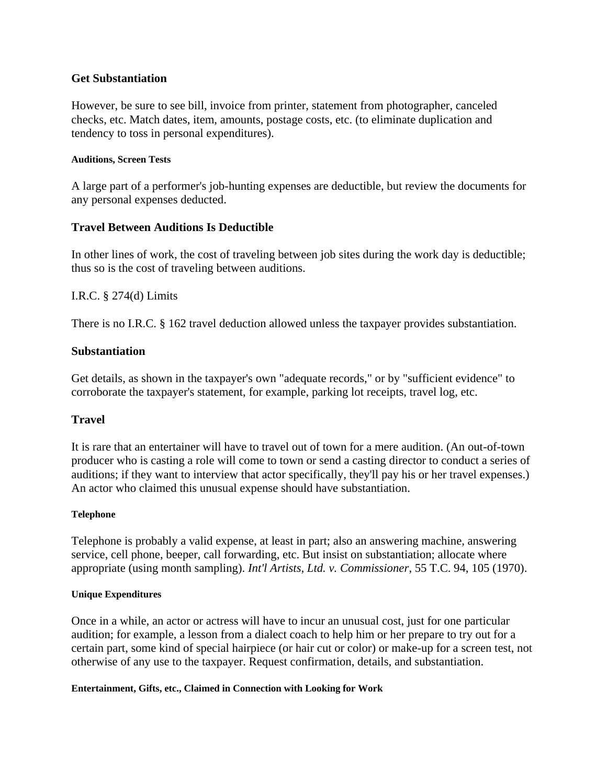#### **Get Substantiation**

However, be sure to see bill, invoice from printer, statement from photographer, canceled checks, etc. Match dates, item, amounts, postage costs, etc. (to eliminate duplication and tendency to toss in personal expenditures).

#### **Auditions, Screen Tests**

A large part of a performer's job-hunting expenses are deductible, but review the documents for any personal expenses deducted.

#### **Travel Between Auditions Is Deductible**

In other lines of work, the cost of traveling between job sites during the work day is deductible; thus so is the cost of traveling between auditions.

#### I.R.C. § 274(d) Limits

There is no I.R.C. § 162 travel deduction allowed unless the taxpayer provides substantiation.

#### **Substantiation**

Get details, as shown in the taxpayer's own "adequate records," or by "sufficient evidence" to corroborate the taxpayer's statement, for example, parking lot receipts, travel log, etc.

## **Travel**

It is rare that an entertainer will have to travel out of town for a mere audition. (An out-of-town producer who is casting a role will come to town or send a casting director to conduct a series of auditions; if they want to interview that actor specifically, they'll pay his or her travel expenses.) An actor who claimed this unusual expense should have substantiation.

#### **Telephone**

Telephone is probably a valid expense, at least in part; also an answering machine, answering service, cell phone, beeper, call forwarding, etc. But insist on substantiation; allocate where appropriate (using month sampling). *Int'l Artists, Ltd. v. Commissioner*, 55 T.C. 94, 105 (1970).

#### **Unique Expenditures**

Once in a while, an actor or actress will have to incur an unusual cost, just for one particular audition; for example, a lesson from a dialect coach to help him or her prepare to try out for a certain part, some kind of special hairpiece (or hair cut or color) or make-up for a screen test, not otherwise of any use to the taxpayer. Request confirmation, details, and substantiation.

#### **Entertainment, Gifts, etc., Claimed in Connection with Looking for Work**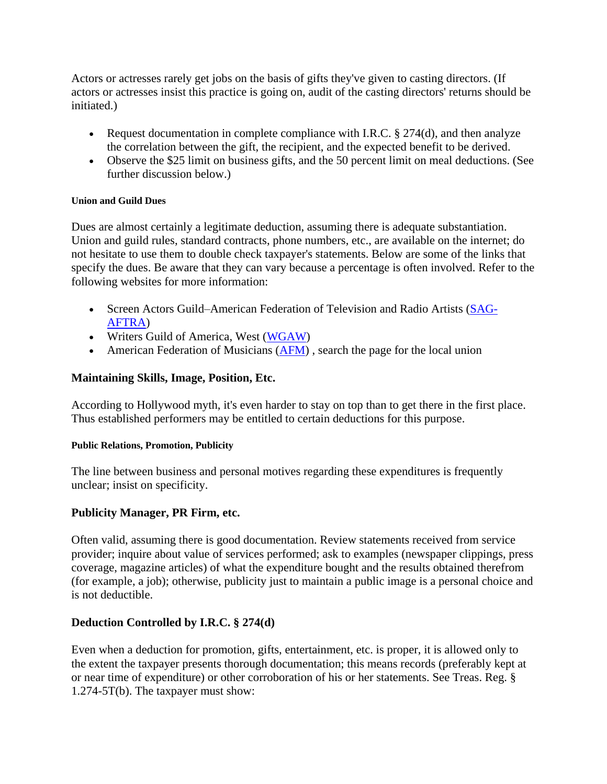Actors or actresses rarely get jobs on the basis of gifts they've given to casting directors. (If actors or actresses insist this practice is going on, audit of the casting directors' returns should be initiated.)

- Request documentation in complete compliance with I.R.C.  $\S 274(d)$ , and then analyze the correlation between the gift, the recipient, and the expected benefit to be derived.
- Observe the \$25 limit on business gifts, and the 50 percent limit on meal deductions. (See further discussion below.)

#### **Union and Guild Dues**

Dues are almost certainly a legitimate deduction, assuming there is adequate substantiation. Union and guild rules, standard contracts, phone numbers, etc., are available on the internet; do not hesitate to use them to double check taxpayer's statements. Below are some of the links that specify the dues. Be aware that they can vary because a percentage is often involved. Refer to the following websites for more information:

- Screen Actors Guild–American Federation of Television and Radio Artists [\(SAG-](http://www.sagaftra.org/content/paying-dues)[AFTRA\)](http://www.sagaftra.org/content/paying-dues)
- Writers Guild of America, West [\(WGAW\)](http://www.wga.org/)
- American Federation of Musicians  $(AFM)$ , search the page for the local union

## **Maintaining Skills, Image, Position, Etc.**

According to Hollywood myth, it's even harder to stay on top than to get there in the first place. Thus established performers may be entitled to certain deductions for this purpose.

#### **Public Relations, Promotion, Publicity**

The line between business and personal motives regarding these expenditures is frequently unclear; insist on specificity.

#### **Publicity Manager, PR Firm, etc.**

Often valid, assuming there is good documentation. Review statements received from service provider; inquire about value of services performed; ask to examples (newspaper clippings, press coverage, magazine articles) of what the expenditure bought and the results obtained therefrom (for example, a job); otherwise, publicity just to maintain a public image is a personal choice and is not deductible.

## **Deduction Controlled by I.R.C. § 274(d)**

Even when a deduction for promotion, gifts, entertainment, etc. is proper, it is allowed only to the extent the taxpayer presents thorough documentation; this means records (preferably kept at or near time of expenditure) or other corroboration of his or her statements. See Treas. Reg. § 1.274-5T(b). The taxpayer must show: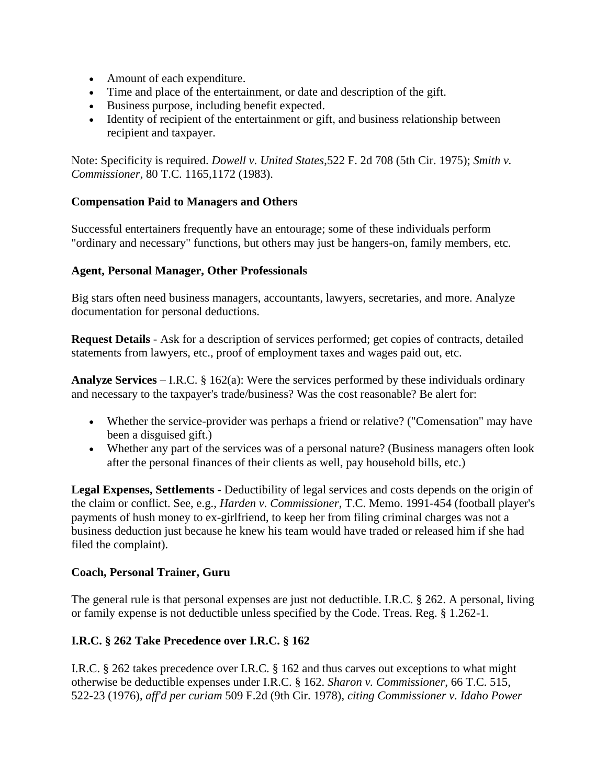- Amount of each expenditure.
- Time and place of the entertainment, or date and description of the gift.
- Business purpose, including benefit expected.
- Identity of recipient of the entertainment or gift, and business relationship between recipient and taxpayer.

Note: Specificity is required. *Dowell v. United States*,522 F. 2d 708 (5th Cir. 1975); *Smith v. Commissioner*, 80 T.C. 1165,1172 (1983).

#### **Compensation Paid to Managers and Others**

Successful entertainers frequently have an entourage; some of these individuals perform "ordinary and necessary" functions, but others may just be hangers-on, family members, etc.

#### **Agent, Personal Manager, Other Professionals**

Big stars often need business managers, accountants, lawyers, secretaries, and more. Analyze documentation for personal deductions.

**Request Details** - Ask for a description of services performed; get copies of contracts, detailed statements from lawyers, etc., proof of employment taxes and wages paid out, etc.

**Analyze Services** – I.R.C. § 162(a): Were the services performed by these individuals ordinary and necessary to the taxpayer's trade/business? Was the cost reasonable? Be alert for:

- Whether the service-provider was perhaps a friend or relative? ("Comensation" may have been a disguised gift.)
- Whether any part of the services was of a personal nature? (Business managers often look after the personal finances of their clients as well, pay household bills, etc.)

**Legal Expenses, Settlements** - Deductibility of legal services and costs depends on the origin of the claim or conflict. See, e.g., *Harden v. Commissioner*, T.C. Memo. 1991-454 (football player's payments of hush money to ex-girlfriend, to keep her from filing criminal charges was not a business deduction just because he knew his team would have traded or released him if she had filed the complaint).

#### **Coach, Personal Trainer, Guru**

The general rule is that personal expenses are just not deductible. I.R.C. § 262. A personal, living or family expense is not deductible unless specified by the Code. Treas. Reg. § 1.262-1.

## **I.R.C. § 262 Take Precedence over I.R.C. § 162**

I.R.C. § 262 takes precedence over I.R.C. § 162 and thus carves out exceptions to what might otherwise be deductible expenses under I.R.C. § 162. *Sharon v. Commissioner*, 66 T.C. 515, 522-23 (1976), *aff'd per curiam* 509 F.2d (9th Cir. 1978), *citing Commissioner v. Idaho Power*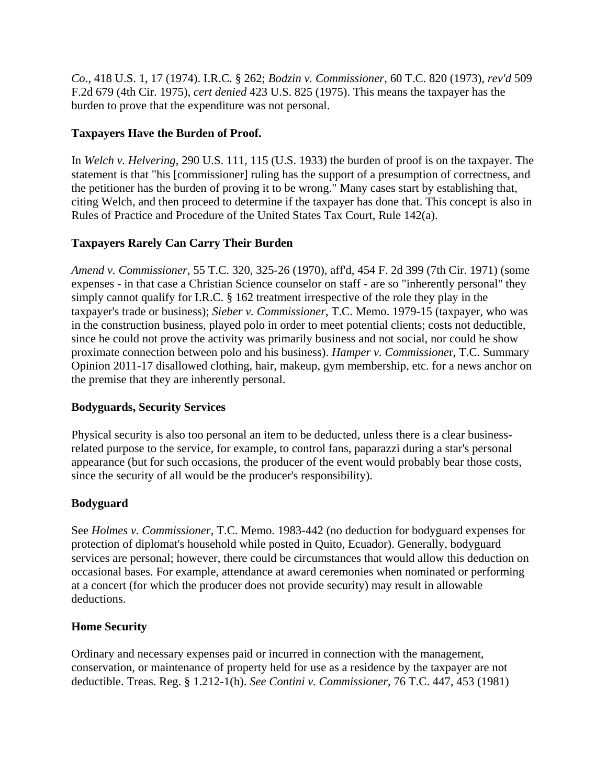*Co*., 418 U.S. 1, 17 (1974). I.R.C. § 262; *Bodzin v. Commissioner*, 60 T.C. 820 (1973), *rev'd* 509 F.2d 679 (4th Cir. 1975), *cert denied* 423 U.S. 825 (1975). This means the taxpayer has the burden to prove that the expenditure was not personal.

## **Taxpayers Have the Burden of Proof.**

In *Welch v. Helvering*, 290 U.S. 111, 115 (U.S. 1933) the burden of proof is on the taxpayer. The statement is that "his [commissioner] ruling has the support of a presumption of correctness, and the petitioner has the burden of proving it to be wrong." Many cases start by establishing that, citing Welch, and then proceed to determine if the taxpayer has done that. This concept is also in Rules of Practice and Procedure of the United States Tax Court, Rule 142(a).

## **Taxpayers Rarely Can Carry Their Burden**

*Amend v. Commissioner*, 55 T.C. 320, 325-26 (1970), aff'd, 454 F. 2d 399 (7th Cir. 1971) (some expenses - in that case a Christian Science counselor on staff - are so "inherently personal" they simply cannot qualify for I.R.C. § 162 treatment irrespective of the role they play in the taxpayer's trade or business); *Sieber v. Commissioner*, T.C. Memo. 1979-15 (taxpayer, who was in the construction business, played polo in order to meet potential clients; costs not deductible, since he could not prove the activity was primarily business and not social, nor could he show proximate connection between polo and his business). *Hamper v. Commissione*r, T.C. Summary Opinion 2011-17 disallowed clothing, hair, makeup, gym membership, etc. for a news anchor on the premise that they are inherently personal.

## **Bodyguards, Security Services**

Physical security is also too personal an item to be deducted, unless there is a clear businessrelated purpose to the service, for example, to control fans, paparazzi during a star's personal appearance (but for such occasions, the producer of the event would probably bear those costs, since the security of all would be the producer's responsibility).

## **Bodyguard**

See *Holmes v. Commissioner*, T.C. Memo. 1983-442 (no deduction for bodyguard expenses for protection of diplomat's household while posted in Quito, Ecuador). Generally, bodyguard services are personal; however, there could be circumstances that would allow this deduction on occasional bases. For example, attendance at award ceremonies when nominated or performing at a concert (for which the producer does not provide security) may result in allowable deductions.

## **Home Security**

Ordinary and necessary expenses paid or incurred in connection with the management, conservation, or maintenance of property held for use as a residence by the taxpayer are not deductible. Treas. Reg. § 1.212-1(h). *See Contini v. Commissioner*, 76 T.C. 447, 453 (1981)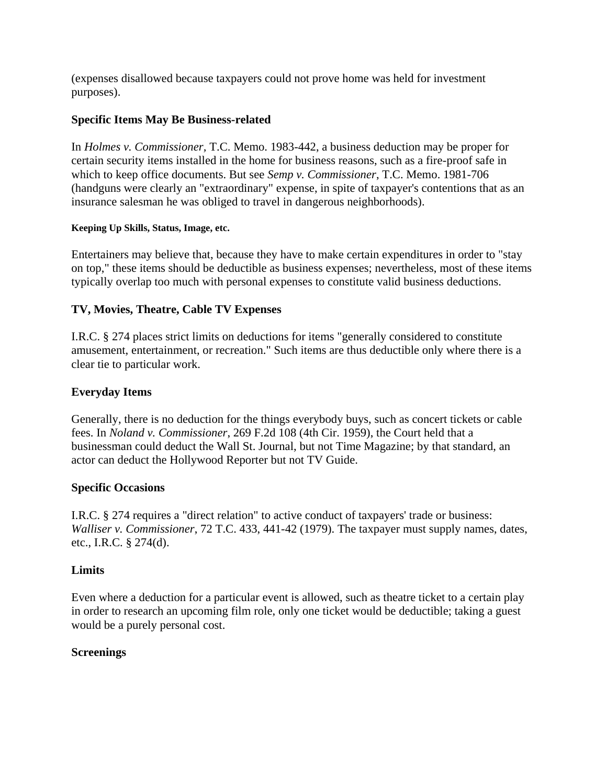(expenses disallowed because taxpayers could not prove home was held for investment purposes).

## **Specific Items May Be Business-related**

In *Holmes v. Commissioner,* T.C. Memo. 1983-442, a business deduction may be proper for certain security items installed in the home for business reasons, such as a fire-proof safe in which to keep office documents. But see *Semp v. Commissioner*, T.C. Memo. 1981-706 (handguns were clearly an "extraordinary" expense, in spite of taxpayer's contentions that as an insurance salesman he was obliged to travel in dangerous neighborhoods).

#### **Keeping Up Skills, Status, Image, etc.**

Entertainers may believe that, because they have to make certain expenditures in order to "stay on top," these items should be deductible as business expenses; nevertheless, most of these items typically overlap too much with personal expenses to constitute valid business deductions.

## **TV, Movies, Theatre, Cable TV Expenses**

I.R.C. § 274 places strict limits on deductions for items "generally considered to constitute amusement, entertainment, or recreation." Such items are thus deductible only where there is a clear tie to particular work.

## **Everyday Items**

Generally, there is no deduction for the things everybody buys, such as concert tickets or cable fees. In *Noland v. Commissioner*, 269 F.2d 108 (4th Cir. 1959), the Court held that a businessman could deduct the Wall St. Journal, but not Time Magazine; by that standard, an actor can deduct the Hollywood Reporter but not TV Guide.

## **Specific Occasions**

I.R.C. § 274 requires a "direct relation" to active conduct of taxpayers' trade or business: *Walliser v. Commissioner*, 72 T.C. 433, 441-42 (1979). The taxpayer must supply names, dates, etc., I.R.C. § 274(d).

## **Limits**

Even where a deduction for a particular event is allowed, such as theatre ticket to a certain play in order to research an upcoming film role, only one ticket would be deductible; taking a guest would be a purely personal cost.

## **Screenings**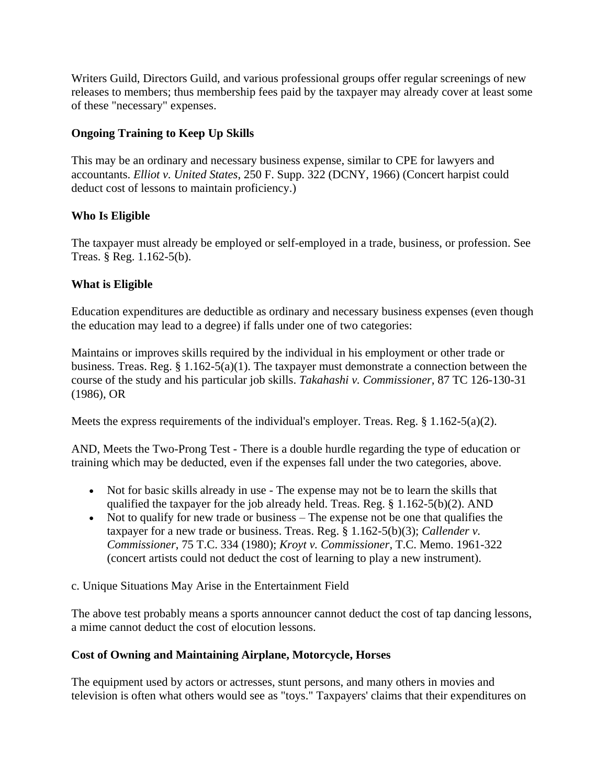Writers Guild, Directors Guild, and various professional groups offer regular screenings of new releases to members; thus membership fees paid by the taxpayer may already cover at least some of these "necessary" expenses.

## **Ongoing Training to Keep Up Skills**

This may be an ordinary and necessary business expense, similar to CPE for lawyers and accountants. *Elliot v. United States*, 250 F. Supp. 322 (DCNY, 1966) (Concert harpist could deduct cost of lessons to maintain proficiency.)

## **Who Is Eligible**

The taxpayer must already be employed or self-employed in a trade, business, or profession. See Treas. § Reg. 1.162-5(b).

## **What is Eligible**

Education expenditures are deductible as ordinary and necessary business expenses (even though the education may lead to a degree) if falls under one of two categories:

Maintains or improves skills required by the individual in his employment or other trade or business. Treas. Reg. § 1.162-5(a)(1). The taxpayer must demonstrate a connection between the course of the study and his particular job skills. *Takahashi v. Commissioner,* 87 TC 126-130-31 (1986), OR

Meets the express requirements of the individual's employer. Treas. Reg. § 1.162-5(a)(2).

AND, Meets the Two-Prong Test - There is a double hurdle regarding the type of education or training which may be deducted, even if the expenses fall under the two categories, above.

- Not for basic skills already in use The expense may not be to learn the skills that qualified the taxpayer for the job already held. Treas. Reg. § 1.162-5(b)(2). AND
- Not to qualify for new trade or business The expense not be one that qualifies the taxpayer for a new trade or business. Treas. Reg. § 1.162-5(b)(3); *Callender v. Commissioner*, 75 T.C. 334 (1980); *Kroyt v. Commissioner*, T.C. Memo. 1961-322 (concert artists could not deduct the cost of learning to play a new instrument).
- c. Unique Situations May Arise in the Entertainment Field

The above test probably means a sports announcer cannot deduct the cost of tap dancing lessons, a mime cannot deduct the cost of elocution lessons.

## **Cost of Owning and Maintaining Airplane, Motorcycle, Horses**

The equipment used by actors or actresses, stunt persons, and many others in movies and television is often what others would see as "toys." Taxpayers' claims that their expenditures on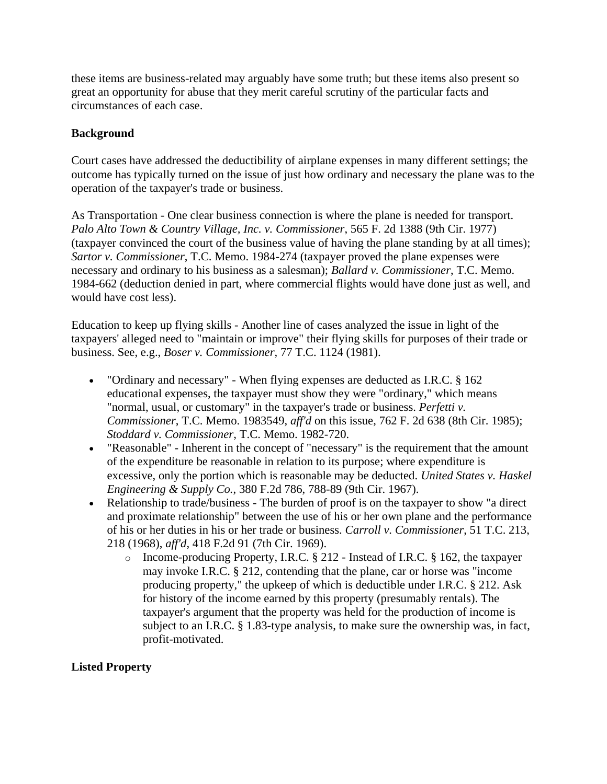these items are business-related may arguably have some truth; but these items also present so great an opportunity for abuse that they merit careful scrutiny of the particular facts and circumstances of each case.

## **Background**

Court cases have addressed the deductibility of airplane expenses in many different settings; the outcome has typically turned on the issue of just how ordinary and necessary the plane was to the operation of the taxpayer's trade or business.

As Transportation - One clear business connection is where the plane is needed for transport. *Palo Alto Town & Country Village, Inc. v. Commissioner*, 565 F. 2d 1388 (9th Cir. 1977) (taxpayer convinced the court of the business value of having the plane standing by at all times); *Sartor v. Commissioner*, T.C. Memo. 1984-274 (taxpayer proved the plane expenses were necessary and ordinary to his business as a salesman); *Ballard v. Commissioner*, T.C. Memo. 1984-662 (deduction denied in part, where commercial flights would have done just as well, and would have cost less).

Education to keep up flying skills - Another line of cases analyzed the issue in light of the taxpayers' alleged need to "maintain or improve" their flying skills for purposes of their trade or business. See, e.g., *Boser v. Commissioner,* 77 T.C. 1124 (1981).

- "Ordinary and necessary" When flying expenses are deducted as I.R.C. § 162 educational expenses, the taxpayer must show they were "ordinary," which means "normal, usual, or customary" in the taxpayer's trade or business. *Perfetti v. Commissioner*, T.C. Memo. 1983549, *aff'd* on this issue, 762 F. 2d 638 (8th Cir. 1985); *Stoddard v. Commissioner*, T.C. Memo. 1982-720.
- "Reasonable" Inherent in the concept of "necessary" is the requirement that the amount of the expenditure be reasonable in relation to its purpose; where expenditure is excessive, only the portion which is reasonable may be deducted. *United States v. Haskel Engineering & Supply Co.*, 380 F.2d 786, 788-89 (9th Cir. 1967).
- Relationship to trade/business The burden of proof is on the taxpayer to show "a direct and proximate relationship" between the use of his or her own plane and the performance of his or her duties in his or her trade or business. *Carroll v. Commissioner*, 51 T.C. 213, 218 (1968), *aff'd*, 418 F.2d 91 (7th Cir. 1969).
	- o Income-producing Property, I.R.C. § 212 Instead of I.R.C. § 162, the taxpayer may invoke I.R.C. § 212, contending that the plane, car or horse was "income producing property," the upkeep of which is deductible under I.R.C. § 212. Ask for history of the income earned by this property (presumably rentals). The taxpayer's argument that the property was held for the production of income is subject to an I.R.C. § 1.83-type analysis, to make sure the ownership was, in fact, profit-motivated.

## **Listed Property**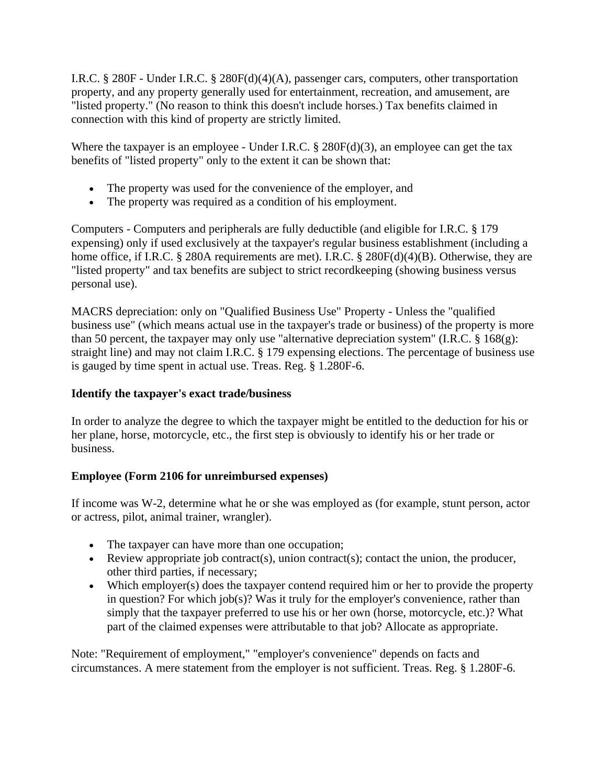I.R.C. § 280F - Under I.R.C. § 280F(d)(4)(A), passenger cars, computers, other transportation property, and any property generally used for entertainment, recreation, and amusement, are "listed property." (No reason to think this doesn't include horses.) Tax benefits claimed in connection with this kind of property are strictly limited.

Where the taxpayer is an employee - Under I.R.C.  $\S$  280F(d)(3), an employee can get the tax benefits of "listed property" only to the extent it can be shown that:

- The property was used for the convenience of the employer, and
- The property was required as a condition of his employment.

Computers - Computers and peripherals are fully deductible (and eligible for I.R.C. § 179 expensing) only if used exclusively at the taxpayer's regular business establishment (including a home office, if I.R.C. § 280A requirements are met). I.R.C. § 280F(d)(4)(B). Otherwise, they are "listed property" and tax benefits are subject to strict recordkeeping (showing business versus personal use).

MACRS depreciation: only on "Qualified Business Use" Property - Unless the "qualified business use" (which means actual use in the taxpayer's trade or business) of the property is more than 50 percent, the taxpayer may only use "alternative depreciation system" (I.R.C.  $\S$  168(g): straight line) and may not claim I.R.C. § 179 expensing elections. The percentage of business use is gauged by time spent in actual use. Treas. Reg. § 1.280F-6.

### **Identify the taxpayer's exact trade/business**

In order to analyze the degree to which the taxpayer might be entitled to the deduction for his or her plane, horse, motorcycle, etc., the first step is obviously to identify his or her trade or business.

## **Employee (Form 2106 for unreimbursed expenses)**

If income was W-2, determine what he or she was employed as (for example, stunt person, actor or actress, pilot, animal trainer, wrangler).

- The taxpayer can have more than one occupation;
- Eview appropriate job contract(s), union contract(s); contact the union, the producer, other third parties, if necessary;
- Which employer(s) does the taxpayer contend required him or her to provide the property in question? For which job(s)? Was it truly for the employer's convenience, rather than simply that the taxpayer preferred to use his or her own (horse, motorcycle, etc.)? What part of the claimed expenses were attributable to that job? Allocate as appropriate.

Note: "Requirement of employment," "employer's convenience" depends on facts and circumstances. A mere statement from the employer is not sufficient. Treas. Reg. § 1.280F-6.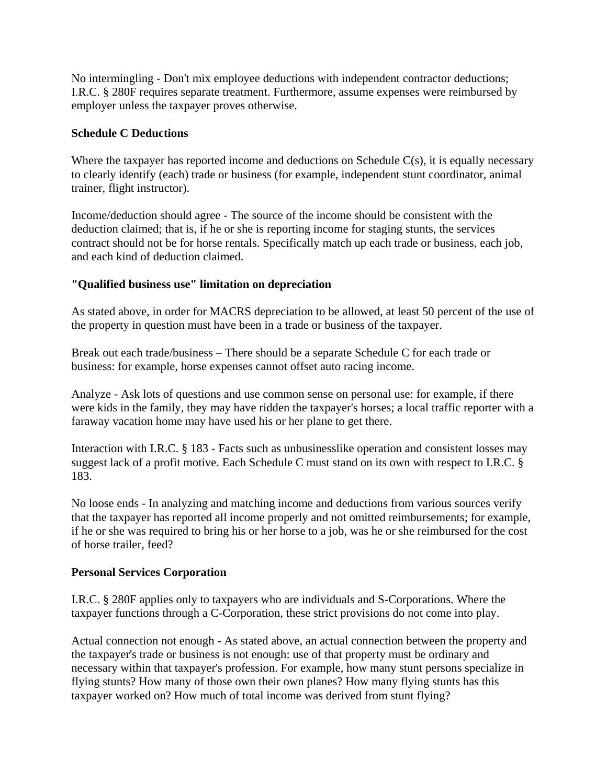No intermingling - Don't mix employee deductions with independent contractor deductions; I.R.C. § 280F requires separate treatment. Furthermore, assume expenses were reimbursed by employer unless the taxpayer proves otherwise.

#### **Schedule C Deductions**

Where the taxpayer has reported income and deductions on Schedule  $C(s)$ , it is equally necessary to clearly identify (each) trade or business (for example, independent stunt coordinator, animal trainer, flight instructor).

Income/deduction should agree - The source of the income should be consistent with the deduction claimed; that is, if he or she is reporting income for staging stunts, the services contract should not be for horse rentals. Specifically match up each trade or business, each job, and each kind of deduction claimed.

## **"Qualified business use" limitation on depreciation**

As stated above, in order for MACRS depreciation to be allowed, at least 50 percent of the use of the property in question must have been in a trade or business of the taxpayer.

Break out each trade/business – There should be a separate Schedule C for each trade or business: for example, horse expenses cannot offset auto racing income.

Analyze - Ask lots of questions and use common sense on personal use: for example, if there were kids in the family, they may have ridden the taxpayer's horses; a local traffic reporter with a faraway vacation home may have used his or her plane to get there.

Interaction with I.R.C. § 183 - Facts such as unbusinesslike operation and consistent losses may suggest lack of a profit motive. Each Schedule C must stand on its own with respect to I.R.C. § 183.

No loose ends - In analyzing and matching income and deductions from various sources verify that the taxpayer has reported all income properly and not omitted reimbursements; for example, if he or she was required to bring his or her horse to a job, was he or she reimbursed for the cost of horse trailer, feed?

#### **Personal Services Corporation**

I.R.C. § 280F applies only to taxpayers who are individuals and S-Corporations. Where the taxpayer functions through a C-Corporation, these strict provisions do not come into play.

Actual connection not enough - As stated above, an actual connection between the property and the taxpayer's trade or business is not enough: use of that property must be ordinary and necessary within that taxpayer's profession. For example, how many stunt persons specialize in flying stunts? How many of those own their own planes? How many flying stunts has this taxpayer worked on? How much of total income was derived from stunt flying?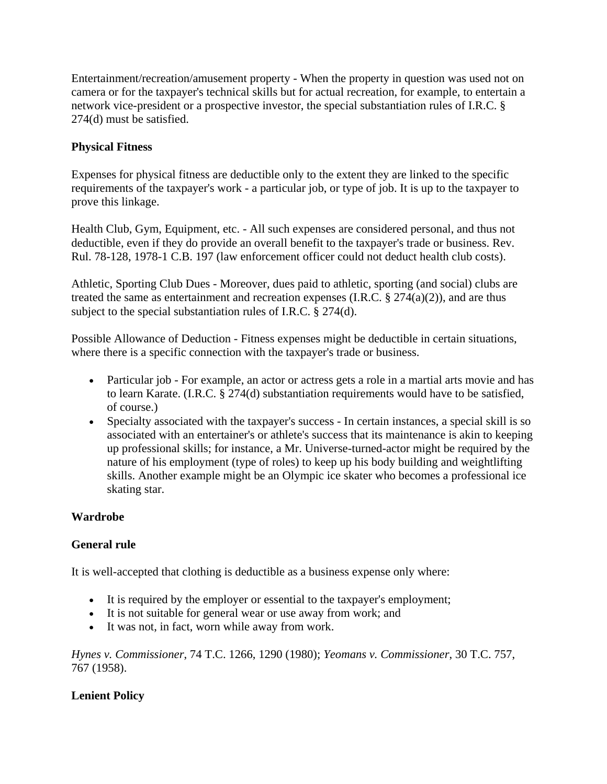Entertainment/recreation/amusement property - When the property in question was used not on camera or for the taxpayer's technical skills but for actual recreation, for example, to entertain a network vice-president or a prospective investor, the special substantiation rules of I.R.C. § 274(d) must be satisfied.

# **Physical Fitness**

Expenses for physical fitness are deductible only to the extent they are linked to the specific requirements of the taxpayer's work - a particular job, or type of job. It is up to the taxpayer to prove this linkage.

Health Club, Gym, Equipment, etc. - All such expenses are considered personal, and thus not deductible, even if they do provide an overall benefit to the taxpayer's trade or business. Rev. Rul. 78-128, 1978-1 C.B. 197 (law enforcement officer could not deduct health club costs).

Athletic, Sporting Club Dues - Moreover, dues paid to athletic, sporting (and social) clubs are treated the same as entertainment and recreation expenses (I.R.C.  $\S 274(a)(2)$ ), and are thus subject to the special substantiation rules of I.R.C. § 274(d).

Possible Allowance of Deduction - Fitness expenses might be deductible in certain situations, where there is a specific connection with the taxpayer's trade or business.

- Particular job For example, an actor or actress gets a role in a martial arts movie and has to learn Karate. (I.R.C. § 274(d) substantiation requirements would have to be satisfied, of course.)
- Specialty associated with the taxpayer's success In certain instances, a special skill is so associated with an entertainer's or athlete's success that its maintenance is akin to keeping up professional skills; for instance, a Mr. Universe-turned-actor might be required by the nature of his employment (type of roles) to keep up his body building and weightlifting skills. Another example might be an Olympic ice skater who becomes a professional ice skating star.

# **Wardrobe**

# **General rule**

It is well-accepted that clothing is deductible as a business expense only where:

- It is required by the employer or essential to the taxpayer's employment;
- It is not suitable for general wear or use away from work; and
- It was not, in fact, worn while away from work.

*Hynes v. Commissioner*, 74 T.C. 1266, 1290 (1980); *Yeomans v. Commissioner*, 30 T.C. 757, 767 (1958).

# **Lenient Policy**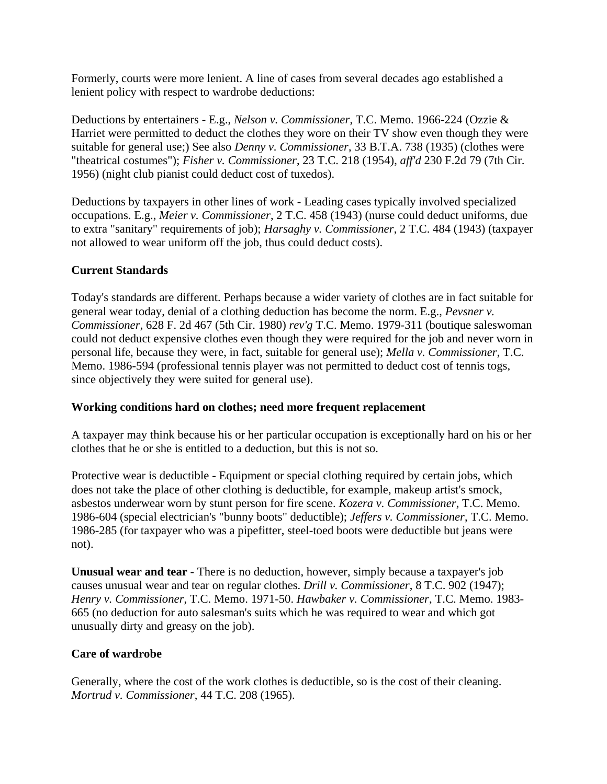Formerly, courts were more lenient. A line of cases from several decades ago established a lenient policy with respect to wardrobe deductions:

Deductions by entertainers - E.g., *Nelson v. Commissioner*, T.C. Memo. 1966-224 (Ozzie & Harriet were permitted to deduct the clothes they wore on their TV show even though they were suitable for general use;) See also *Denny v. Commissioner*, 33 B.T.A. 738 (1935) (clothes were "theatrical costumes"); *Fisher v. Commissioner*, 23 T.C. 218 (1954), *aff'd* 230 F.2d 79 (7th Cir. 1956) (night club pianist could deduct cost of tuxedos).

Deductions by taxpayers in other lines of work - Leading cases typically involved specialized occupations. E.g., *Meier v. Commissioner*, 2 T.C. 458 (1943) (nurse could deduct uniforms, due to extra "sanitary" requirements of job); *Harsaghy v. Commissioner*, 2 T.C. 484 (1943) (taxpayer not allowed to wear uniform off the job, thus could deduct costs).

# **Current Standards**

Today's standards are different. Perhaps because a wider variety of clothes are in fact suitable for general wear today, denial of a clothing deduction has become the norm. E.g., *Pevsner v. Commissioner*, 628 F. 2d 467 (5th Cir. 1980) *rev'g* T.C. Memo. 1979-311 (boutique saleswoman could not deduct expensive clothes even though they were required for the job and never worn in personal life, because they were, in fact, suitable for general use); *Mella v. Commissioner*, T.C. Memo. 1986-594 (professional tennis player was not permitted to deduct cost of tennis togs, since objectively they were suited for general use).

# **Working conditions hard on clothes; need more frequent replacement**

A taxpayer may think because his or her particular occupation is exceptionally hard on his or her clothes that he or she is entitled to a deduction, but this is not so.

Protective wear is deductible - Equipment or special clothing required by certain jobs, which does not take the place of other clothing is deductible, for example, makeup artist's smock, asbestos underwear worn by stunt person for fire scene. *Kozera v. Commissioner*, T.C. Memo. 1986-604 (special electrician's "bunny boots" deductible); *Jeffers v. Commissioner*, T.C. Memo. 1986-285 (for taxpayer who was a pipefitter, steel-toed boots were deductible but jeans were not).

**Unusual wear and tear** - There is no deduction, however, simply because a taxpayer's job causes unusual wear and tear on regular clothes. *Drill v. Commissioner*, 8 T.C. 902 (1947); *Henry v. Commissioner*, T.C. Memo. 1971-50. *Hawbaker v. Commissioner*, T.C. Memo. 1983- 665 (no deduction for auto salesman's suits which he was required to wear and which got unusually dirty and greasy on the job).

# **Care of wardrobe**

Generally, where the cost of the work clothes is deductible, so is the cost of their cleaning. *Mortrud v. Commissioner*, 44 T.C. 208 (1965).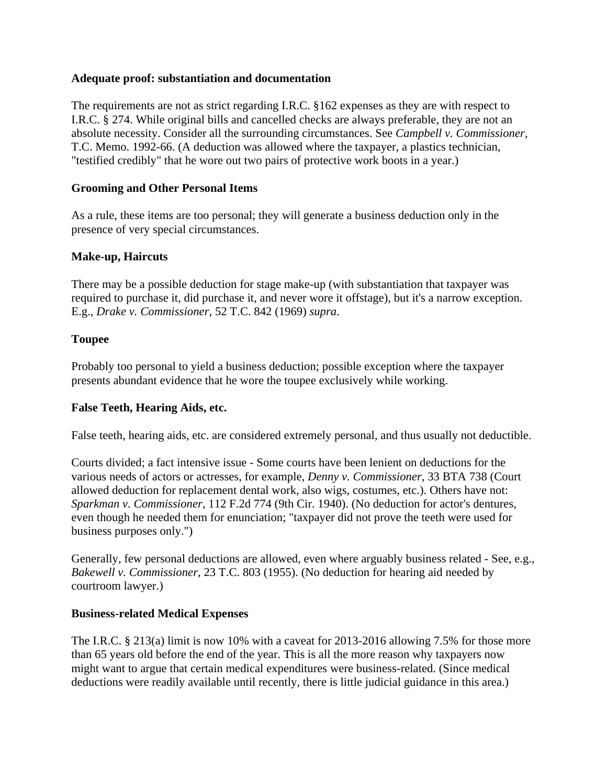### **Adequate proof: substantiation and documentation**

The requirements are not as strict regarding I.R.C. §162 expenses as they are with respect to I.R.C. § 274. While original bills and cancelled checks are always preferable, they are not an absolute necessity. Consider all the surrounding circumstances. See *Campbell v. Commissioner*, T.C. Memo. 1992-66. (A deduction was allowed where the taxpayer, a plastics technician, "testified credibly" that he wore out two pairs of protective work boots in a year.)

### **Grooming and Other Personal Items**

As a rule, these items are too personal; they will generate a business deduction only in the presence of very special circumstances.

### **Make-up, Haircuts**

There may be a possible deduction for stage make-up (with substantiation that taxpayer was required to purchase it, did purchase it, and never wore it offstage), but it's a narrow exception. E.g., *Drake v. Commissioner*, 52 T.C. 842 (1969) *supra*.

#### **Toupee**

Probably too personal to yield a business deduction; possible exception where the taxpayer presents abundant evidence that he wore the toupee exclusively while working.

#### **False Teeth, Hearing Aids, etc.**

False teeth, hearing aids, etc. are considered extremely personal, and thus usually not deductible.

Courts divided; a fact intensive issue - Some courts have been lenient on deductions for the various needs of actors or actresses, for example, *Denny v. Commissioner*, 33 BTA 738 (Court allowed deduction for replacement dental work, also wigs, costumes, etc.). Others have not: *Sparkman v. Commissioner*, 112 F.2d 774 (9th Cir. 1940). (No deduction for actor's dentures, even though he needed them for enunciation; "taxpayer did not prove the teeth were used for business purposes only.")

Generally, few personal deductions are allowed, even where arguably business related - See, e.g., *Bakewell v. Commissioner*, 23 T.C. 803 (1955). (No deduction for hearing aid needed by courtroom lawyer.)

#### **Business-related Medical Expenses**

The I.R.C. § 213(a) limit is now 10% with a caveat for 2013-2016 allowing 7.5% for those more than 65 years old before the end of the year. This is all the more reason why taxpayers now might want to argue that certain medical expenditures were business-related. (Since medical deductions were readily available until recently, there is little judicial guidance in this area.)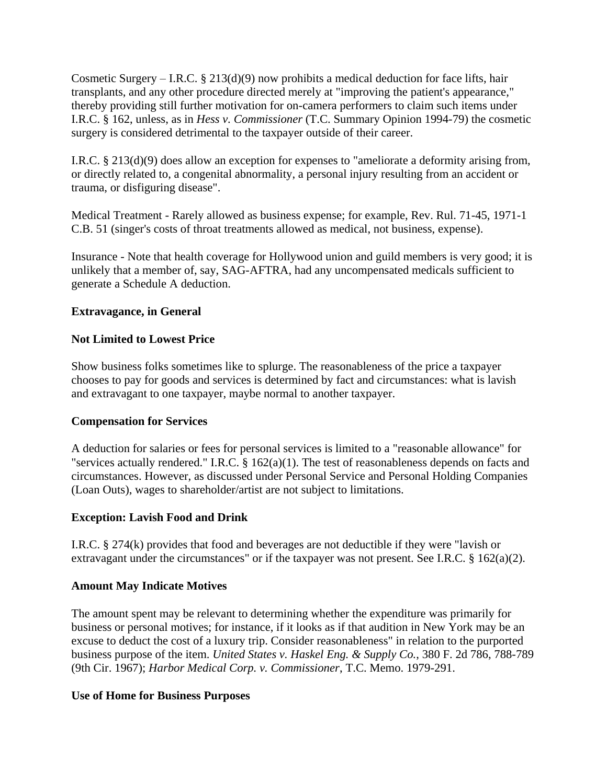Cosmetic Surgery – I.R.C. § 213(d)(9) now prohibits a medical deduction for face lifts, hair transplants, and any other procedure directed merely at "improving the patient's appearance," thereby providing still further motivation for on-camera performers to claim such items under I.R.C. § 162, unless, as in *Hess v. Commissioner* (T.C. Summary Opinion 1994-79) the cosmetic surgery is considered detrimental to the taxpayer outside of their career.

I.R.C. § 213(d)(9) does allow an exception for expenses to "ameliorate a deformity arising from, or directly related to, a congenital abnormality, a personal injury resulting from an accident or trauma, or disfiguring disease".

Medical Treatment - Rarely allowed as business expense; for example, Rev. Rul. 71-45, 1971-1 C.B. 51 (singer's costs of throat treatments allowed as medical, not business, expense).

Insurance - Note that health coverage for Hollywood union and guild members is very good; it is unlikely that a member of, say, SAG-AFTRA, had any uncompensated medicals sufficient to generate a Schedule A deduction.

# **Extravagance, in General**

### **Not Limited to Lowest Price**

Show business folks sometimes like to splurge. The reasonableness of the price a taxpayer chooses to pay for goods and services is determined by fact and circumstances: what is lavish and extravagant to one taxpayer, maybe normal to another taxpayer.

# **Compensation for Services**

A deduction for salaries or fees for personal services is limited to a "reasonable allowance" for "services actually rendered." I.R.C. § 162(a)(1). The test of reasonableness depends on facts and circumstances. However, as discussed under Personal Service and Personal Holding Companies (Loan Outs), wages to shareholder/artist are not subject to limitations.

# **Exception: Lavish Food and Drink**

I.R.C. § 274(k) provides that food and beverages are not deductible if they were "lavish or extravagant under the circumstances" or if the taxpayer was not present. See I.R.C. § 162(a)(2).

#### **Amount May Indicate Motives**

The amount spent may be relevant to determining whether the expenditure was primarily for business or personal motives; for instance, if it looks as if that audition in New York may be an excuse to deduct the cost of a luxury trip. Consider reasonableness" in relation to the purported business purpose of the item. *United States v. Haskel Eng. & Supply Co.*, 380 F. 2d 786, 788-789 (9th Cir. 1967); *Harbor Medical Corp. v. Commissioner*, T.C. Memo. 1979-291.

#### **Use of Home for Business Purposes**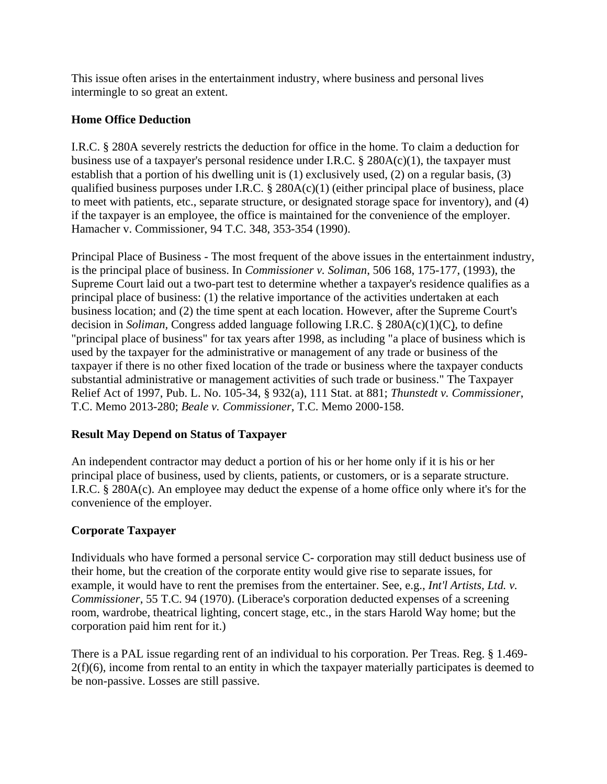This issue often arises in the entertainment industry, where business and personal lives intermingle to so great an extent.

# **Home Office Deduction**

I.R.C. § 280A severely restricts the deduction for office in the home. To claim a deduction for business use of a taxpayer's personal residence under I.R.C.  $\S$  280A(c)(1), the taxpayer must establish that a portion of his dwelling unit is (1) exclusively used, (2) on a regular basis, (3) qualified business purposes under I.R.C.  $\S$  280A(c)(1) (either principal place of business, place to meet with patients, etc., separate structure, or designated storage space for inventory), and (4) if the taxpayer is an employee, the office is maintained for the convenience of the employer. Hamacher v. Commissioner, 94 T.C. 348, 353-354 (1990).

Principal Place of Business - The most frequent of the above issues in the entertainment industry, is the principal place of business. In *Commissioner v. Soliman*, 506 168, 175-177, (1993), the Supreme Court laid out a two-part test to determine whether a taxpayer's residence qualifies as a principal place of business: (1) the relative importance of the activities undertaken at each business location; and (2) the time spent at each location. However, after the Supreme Court's decision in *Soliman,* Congress added language following I.R.C. § 280A(c)(1)(C), to define "principal place of business" for tax years after 1998, as including "a place of business which is used by the taxpayer for the administrative or management of any trade or business of the taxpayer if there is no other fixed location of the trade or business where the taxpayer conducts substantial administrative or management activities of such trade or business." The Taxpayer Relief Act of 1997, Pub. L. No. 105-34, § 932(a), 111 Stat. at 881; *Thunstedt v. Commissioner*, T.C. Memo 2013-280; *Beale v. Commissioner*, T.C. Memo 2000-158.

# **Result May Depend on Status of Taxpayer**

An independent contractor may deduct a portion of his or her home only if it is his or her principal place of business, used by clients, patients, or customers, or is a separate structure. I.R.C. § 280A(c). An employee may deduct the expense of a home office only where it's for the convenience of the employer.

# **Corporate Taxpayer**

Individuals who have formed a personal service C- corporation may still deduct business use of their home, but the creation of the corporate entity would give rise to separate issues, for example, it would have to rent the premises from the entertainer. See, e.g., *Int'l Artists, Ltd. v. Commissioner*, 55 T.C. 94 (1970). (Liberace's corporation deducted expenses of a screening room, wardrobe, theatrical lighting, concert stage, etc., in the stars Harold Way home; but the corporation paid him rent for it.)

There is a PAL issue regarding rent of an individual to his corporation. Per Treas. Reg. § 1.469-  $2(f)(6)$ , income from rental to an entity in which the taxpayer materially participates is deemed to be non-passive. Losses are still passive.